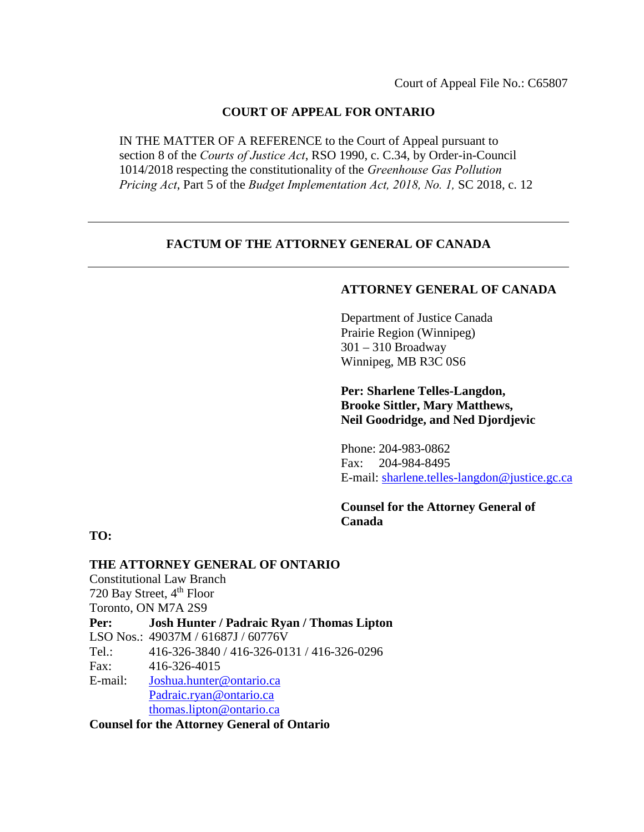## **COURT OF APPEAL FOR ONTARIO**

IN THE MATTER OF A REFERENCE to the Court of Appeal pursuant to section 8 of the *Courts of Justice Act*, RSO 1990, c. C.34, by Order-in-Council 1014/2018 respecting the constitutionality of the *Greenhouse Gas Pollution Pricing Act*, Part 5 of the *Budget Implementation Act, 2018, No. 1,* SC 2018, c. 12

## **FACTUM OF THE ATTORNEY GENERAL OF CANADA**

## **ATTORNEY GENERAL OF CANADA**

Department of Justice Canada Prairie Region (Winnipeg) 301 – 310 Broadway Winnipeg, MB R3C 0S6

**Per: Sharlene Telles-Langdon, Brooke Sittler, Mary Matthews, Neil Goodridge, and Ned Djordjevic** 

Phone: 204-983-0862 Fax: 204-984-8495 E-mail: [sharlene.telles-langdon@justice.gc.ca](mailto:sharlene.telles-langdon@justice.gc.ca) 

**Counsel for the Attorney General of Canada**

**TO:**

**THE ATTORNEY GENERAL OF ONTARIO** Constitutional Law Branch 720 Bay Street, 4<sup>th</sup> Floor Toronto, ON M7A 2S9 **Per: Josh Hunter / Padraic Ryan / Thomas Lipton**  LSO Nos.: 49037M / 61687J / 60776V Tel.: 416-326-3840 / 416-326-0131 / 416-326-0296 Fax: 416-326-4015 E-mail: [Joshua.hunter@ontario.ca](mailto:Joshua.hunter@ontario.ca) [Padraic.ryan@ontario.ca](mailto:Padraic.ryan@ontario.ca) [thomas.lipton@ontario.ca](mailto:Andrea.bolieiro@ontario.ca)

**Counsel for the Attorney General of Ontario**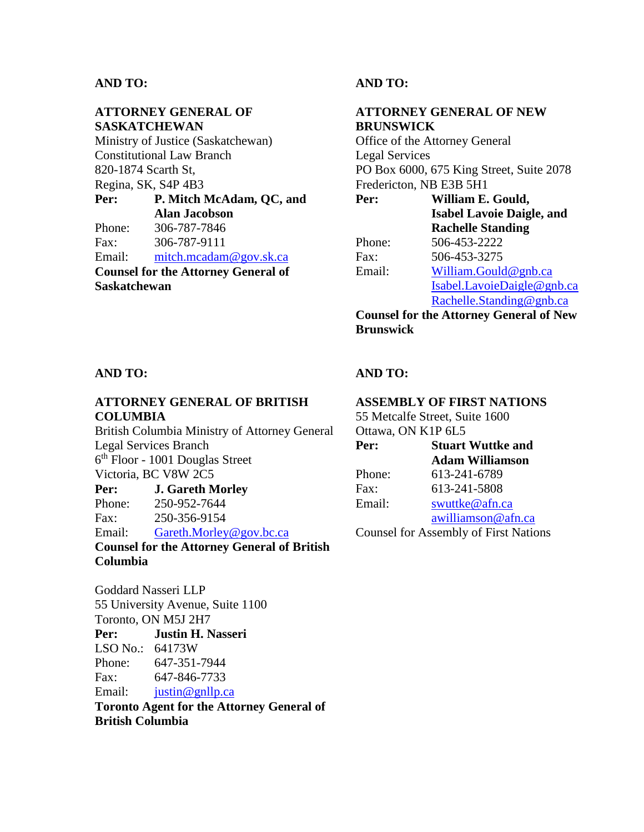## **ATTORNEY GENERAL OF SASKATCHEWAN**

Ministry of Justice (Saskatchewan) Constitutional Law Branch 820-1874 Scarth St, Regina, SK, S4P 4B3 **Per: P. Mitch McAdam, QC, and** 

**Alan Jacobson**  Phone: 306-787-7846 Fax: 306-787-9111

Email: [mitch.mcadam@gov.sk.ca](mailto:mitch.mcadam@gov.sk.ca) **Counsel for the Attorney General of Saskatchewan** 

## **AND TO:**

## **ATTORNEY GENERAL OF NEW BRUNSWICK**

Office of the Attorney General Legal Services PO Box 6000, 675 King Street, Suite 2078 Fredericton, NB E3B 5H1

**Per: William E. Gould, Isabel Lavoie Daigle, and Rachelle Standing** Phone: 506-453-2222 Fax: 506-453-3275 Email: [William.Gould@gnb.ca](mailto:William.Gould@gnb.ca)  [Isabel.LavoieDaigle@gnb.ca](mailto:Isabel.LavoieDaigle@gnb.ca) [Rachelle.Standing@gnb.ca](mailto:Rachelle.Standing@gnb.ca)

**Counsel for the Attorney General of New Brunswick**

### **AND TO:**

## **ATTORNEY GENERAL OF BRITISH COLUMBIA**

British Columbia Ministry of Attorney General Legal Services Branch 6th Floor - 1001 Douglas Street Victoria, BC V8W 2C5 **Per: J. Gareth Morley**

Phone: 250-952-7644 Fax: 250-356-9154

Email: Gareth.Morley@gov.bc.ca

**Counsel for the Attorney General of British Columbia**

Goddard Nasseri LLP 55 University Avenue, Suite 1100 Toronto, ON M5J 2H7 **Per: Justin H. Nasseri**  LSO No.: 64173W Phone: 647-351-7944 Fax: 647-846-7733 Email: [justin@gnllp.ca](mailto:justin@gnllp.ca)

**Toronto Agent for the Attorney General of British Columbia**

## **AND TO:**

## **ASSEMBLY OF FIRST NATIONS**

55 Metcalfe Street, Suite 1600 Ottawa, ON K1P 6L5

| Per:   | <b>Stuart Wuttke and</b>                     |
|--------|----------------------------------------------|
|        | <b>Adam Williamson</b>                       |
| Phone: | 613-241-6789                                 |
| Fax:   | 613-241-5808                                 |
| Email: | swuttke@afn.ca                               |
|        | awilliamson@afn.ca                           |
|        | <b>Counsel for Assembly of First Nations</b> |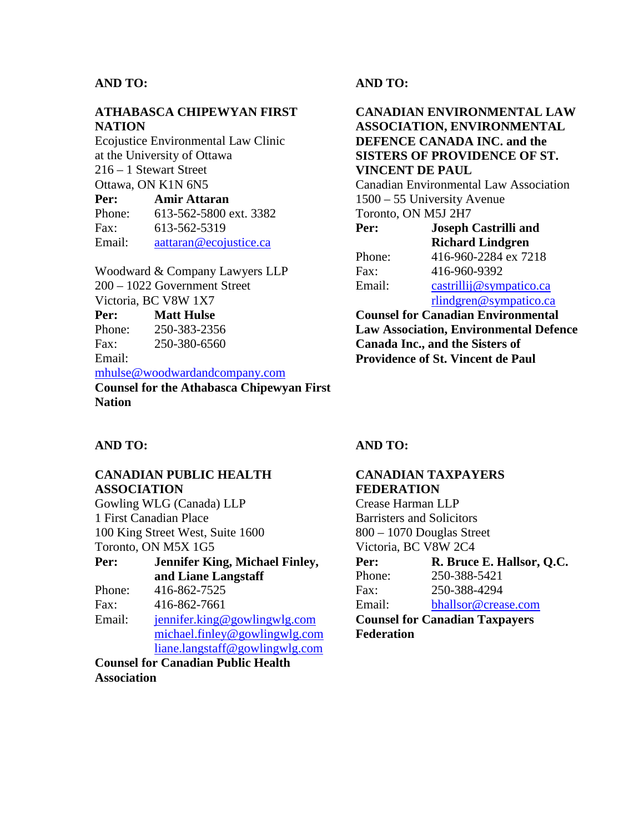## **ATHABASCA CHIPEWYAN FIRST NATION**

Ecojustice Environmental Law Clinic at the University of Ottawa 216 – 1 Stewart Street Ottawa, ON K1N 6N5

| Per:   | <b>Amir Attaran</b>    |
|--------|------------------------|
| Phone: | 613-562-5800 ext. 3382 |
| Fax:   | 613-562-5319           |
| Email: | aattaran@ecojustice.ca |

Woodward & Company Lawyers LLP 200 – 1022 Government Street Victoria, BC V8W 1X7

#### **Per: Matt Hulse**

Phone: 250-383-2356 Fax: 250-380-6560 Email:

#### [mhulse@woodwardandcompany.com](mailto:mhulse@woodwardandcompany.com)

**Counsel for the Athabasca Chipewyan First Nation** 

## **AND TO:**

## **CANADIAN ENVIRONMENTAL LAW ASSOCIATION, ENVIRONMENTAL DEFENCE CANADA INC. and the SISTERS OF PROVIDENCE OF ST. VINCENT DE PAUL**

Canadian Environmental Law Association 1500 – 55 University Avenue Toronto, ON M5J 2H7

| <b>Joseph Castrilli and</b> |
|-----------------------------|
| <b>Richard Lindgren</b>     |
| 416-960-2284 ex 7218        |
| 416-960-9392                |
| castrillij@sympatico.ca     |
| rlindgren@sympatico.ca      |
|                             |

**Counsel for Canadian Environmental Law Association, Environmental Defence Canada Inc., and the Sisters of Providence of St. Vincent de Paul**

## **AND TO:**

## **CANADIAN PUBLIC HEALTH ASSOCIATION**

Gowling WLG (Canada) LLP 1 First Canadian Place 100 King Street West, Suite 1600 Toronto, ON M5X 1G5 **Per: Jennifer King, Michael Finley, and Liane Langstaff**  Phone: 416-862-7525 Fax: 416-862-7661 Email: [jennifer.king@gowlingwlg.com](mailto:jennifer.king@gowlingwlg.com) [michael.finley@gowlingwlg.com](mailto:michael.finley@gowlingwlg.com) [liane.langstaff@gowlingwlg.com](mailto:liane.langstaff@gowlingwlg.com)

**Counsel for Canadian Public Health Association** 

## **AND TO:**

# **CANADIAN TAXPAYERS FEDERATION**

Crease Harman LLP Barristers and Solicitors 800 – 1070 Douglas Street Victoria, BC V8W 2C4 **P**. **P**. **Bruce E. Hallson, Q.C.** 

| rer:                                  | K. Bruce E. Hallsof, Q.C. |  |  |  |
|---------------------------------------|---------------------------|--|--|--|
| Phone:                                | 250-388-5421              |  |  |  |
| Fax:                                  | 250-388-4294              |  |  |  |
| Email:                                | bhallsor@crease.com       |  |  |  |
| <b>Counsel for Canadian Taxpayers</b> |                           |  |  |  |
| Federation                            |                           |  |  |  |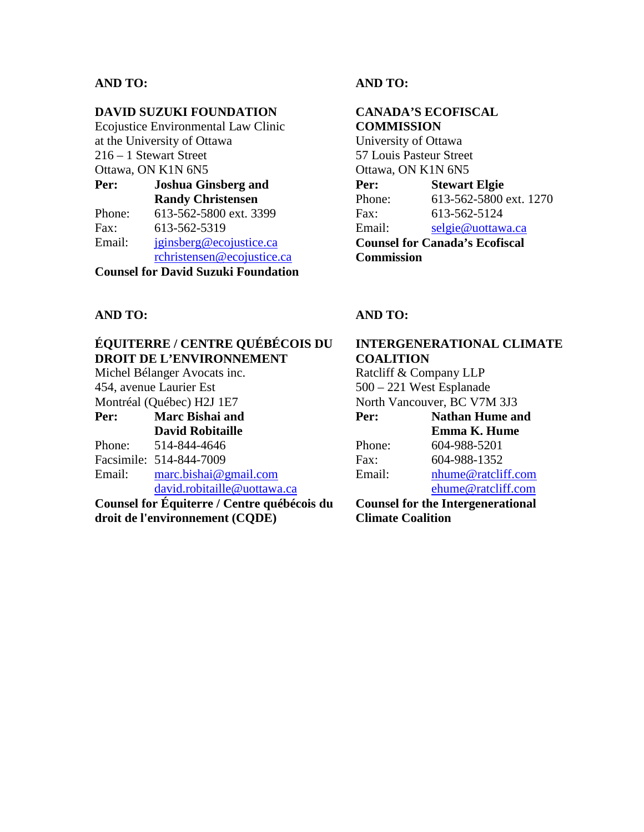## **DAVID SUZUKI FOUNDATION**

Ecojustice Environmental Law Clinic at the University of Ottawa 216 – 1 Stewart Street Ottawa, ON K1N 6N5 **Per: Joshua Ginsberg and Randy Christensen**

|        | <b>Randy Christensen</b>   |
|--------|----------------------------|
| Phone: | 613-562-5800 ext. 3399     |
| Fax:   | 613-562-5319               |
| Email: | iginsberg@ecojustice.ca    |
|        | rchristensen@ecojustice.ca |
|        |                            |

**Counsel for David Suzuki Foundation**

# **AND TO:**

## **CANADA'S ECOFISCAL COMMISSION** University of Ottawa

57 Louis Pasteur Street Ottawa, ON K1N 6N5 **Per: Stewart Elgie**  Phone: 613-562-5800 ext. 1270 Fax: 613-562-5124 Email: [selgie@uottawa.ca](mailto:selgie@uottawa.ca) **Counsel for Canada's Ecofiscal Commission**

## **AND TO:**

# **ÉQUITERRE / CENTRE QUÉBÉCOIS DU DROIT DE L'ENVIRONNEMENT**

Michel Bélanger Avocats inc. 454, avenue Laurier Est Montréal (Québec) H2J 1E7

- **Per: Marc Bishai and David Robitaille** Phone: 514-844-4646
- Facsimile: 514-844-7009
- Email: [marc.bishai@gmail.com](mailto:marc.bishai@gmail.com)

[david.robitaille@uottawa.ca](mailto:david.robitaille@uottawa.ca)

**Counsel for Équiterre / Centre québécois du droit de l'environnement (CQDE)**

## **AND TO:**

# **INTERGENERATIONAL CLIMATE COALITION**

Ratcliff & Company LLP 500 – 221 West Esplanade North Vancouver, BC V7M 3J3 **Per: Nathan Hume and Emma K. Hume** Phone: 604-988-5201 Fax: 604-988-1352 Email: [nhume@ratcliff.com](mailto:nhume@ratcliff.com) [ehume@ratcliff.com](mailto:ehume@ratcliff.com)

**Counsel for the Intergenerational Climate Coalition**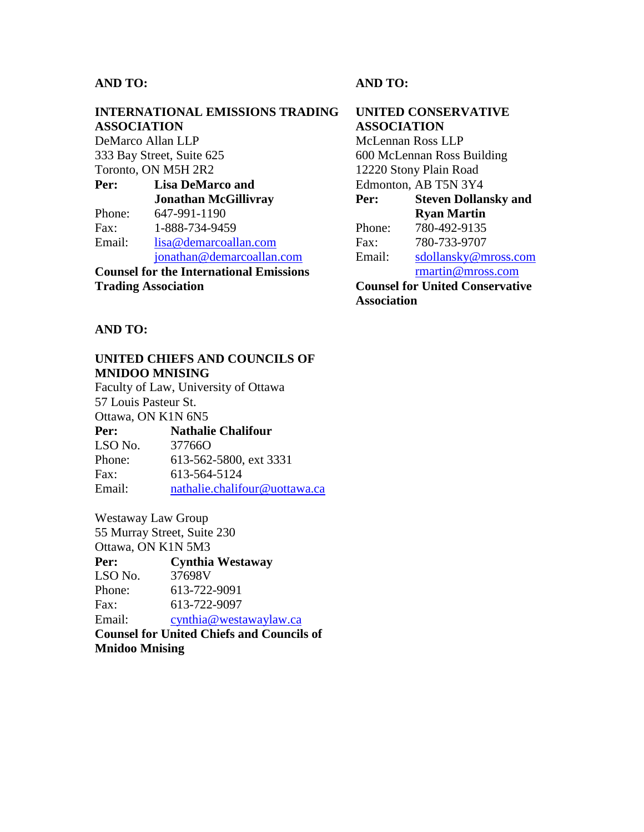# **INTERNATIONAL EMISSIONS TRADING ASSOCIATION**

DeMarco Allan LLP 333 Bay Street, Suite 625 Toronto, ON M5H 2R2

**Per: Lisa DeMarco and Jonathan McGillivray**  Phone: 647-991-1190 Fax: 1-888-734-9459 Email: [lisa@demarcoallan.com](mailto:lisa@demarcoallan.com) [jonathan@demarcoallan.com](mailto:jonathan@demarcoallan.com)

**Counsel for the International Emissions Trading Association**

**AND TO:**

## **UNITED CHIEFS AND COUNCILS OF MNIDOO MNISING**

Faculty of Law, University of Ottawa 57 Louis Pasteur St. Ottawa, ON K1N 6N5 **Per:** Nathalie Chalifour<br> **ISO No** 377660 LSO  $N_0$ 

| ----   | .                             |
|--------|-------------------------------|
| Phone: | 613-562-5800, ext 3331        |
| Fax:   | 613-564-5124                  |
| Email: | nathalie.chalifour@uottawa.ca |

Westaway Law Group 55 Murray Street, Suite 230 Ottawa, ON K1N 5M3 **Per: Cynthia Westaway**  LSO No. 37698V Phone: 613-722-9091 Fax: 613-722-9097 Email: [cynthia@westawaylaw.ca](mailto:cynthia@westawaylaw.ca) **Counsel for United Chiefs and Councils of Mnidoo Mnising**

**AND TO:**

# **UNITED CONSERVATIVE ASSOCIATION**

McLennan Ross LLP 600 McLennan Ross Building 12220 Stony Plain Road Edmonton, AB T5N 3Y4

| Per:                                   | <b>Steven Dollansky and</b> |  |  |
|----------------------------------------|-----------------------------|--|--|
|                                        | <b>Ryan Martin</b>          |  |  |
| Phone:                                 | 780-492-9135                |  |  |
| Fax:                                   | 780-733-9707                |  |  |
| Email:                                 | sdollansky@mross.com        |  |  |
|                                        | rmartin@mross.com           |  |  |
| <b>Counsel for United Conservative</b> |                             |  |  |
| <b>Association</b>                     |                             |  |  |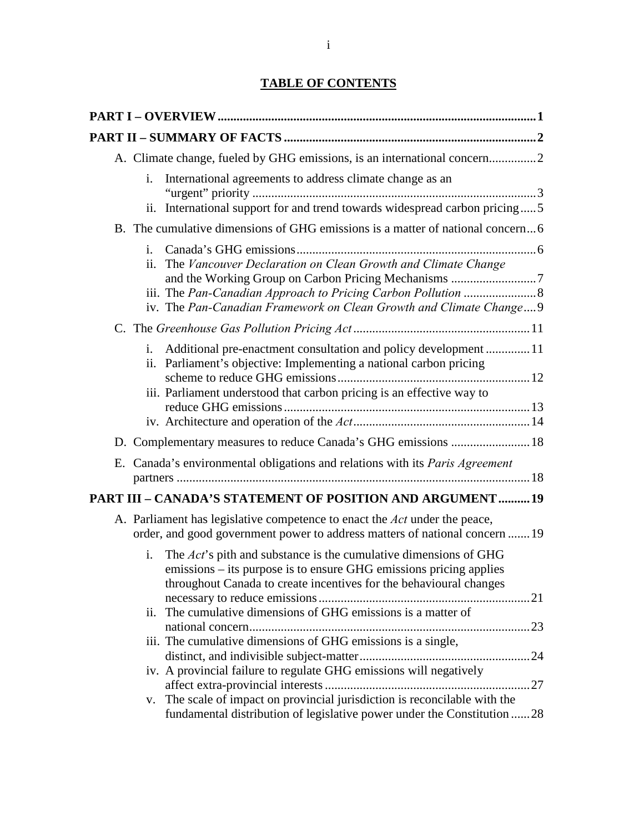# **TABLE OF CONTENTS**

| A. Climate change, fueled by GHG emissions, is an international concern2                                                                                                                                                                                                                                                                                                                                                                                                                                                                                                                                                                                                      |  |
|-------------------------------------------------------------------------------------------------------------------------------------------------------------------------------------------------------------------------------------------------------------------------------------------------------------------------------------------------------------------------------------------------------------------------------------------------------------------------------------------------------------------------------------------------------------------------------------------------------------------------------------------------------------------------------|--|
| International agreements to address climate change as an<br>i.<br>International support for and trend towards widespread carbon pricing5<br>ii.                                                                                                                                                                                                                                                                                                                                                                                                                                                                                                                               |  |
| B. The cumulative dimensions of GHG emissions is a matter of national concern6                                                                                                                                                                                                                                                                                                                                                                                                                                                                                                                                                                                                |  |
| i.<br>ii. The Vancouver Declaration on Clean Growth and Climate Change<br>iv. The Pan-Canadian Framework on Clean Growth and Climate Change 9                                                                                                                                                                                                                                                                                                                                                                                                                                                                                                                                 |  |
|                                                                                                                                                                                                                                                                                                                                                                                                                                                                                                                                                                                                                                                                               |  |
| i. Additional pre-enactment consultation and policy development 11<br>ii. Parliament's objective: Implementing a national carbon pricing<br>iii. Parliament understood that carbon pricing is an effective way to                                                                                                                                                                                                                                                                                                                                                                                                                                                             |  |
| D. Complementary measures to reduce Canada's GHG emissions  18                                                                                                                                                                                                                                                                                                                                                                                                                                                                                                                                                                                                                |  |
| E. Canada's environmental obligations and relations with its <i>Paris Agreement</i>                                                                                                                                                                                                                                                                                                                                                                                                                                                                                                                                                                                           |  |
| PART III - CANADA'S STATEMENT OF POSITION AND ARGUMENT19                                                                                                                                                                                                                                                                                                                                                                                                                                                                                                                                                                                                                      |  |
| A. Parliament has legislative competence to enact the Act under the peace,<br>order, and good government power to address matters of national concern 19<br>The <i>Act's</i> pith and substance is the cumulative dimensions of GHG<br>i.<br>emissions – its purpose is to ensure GHG emissions pricing applies<br>throughout Canada to create incentives for the behavioural changes<br>The cumulative dimensions of GHG emissions is a matter of<br>ii.<br>iii. The cumulative dimensions of GHG emissions is a single,<br>iv. A provincial failure to regulate GHG emissions will negatively<br>v. The scale of impact on provincial jurisdiction is reconcilable with the |  |
| fundamental distribution of legislative power under the Constitution 28                                                                                                                                                                                                                                                                                                                                                                                                                                                                                                                                                                                                       |  |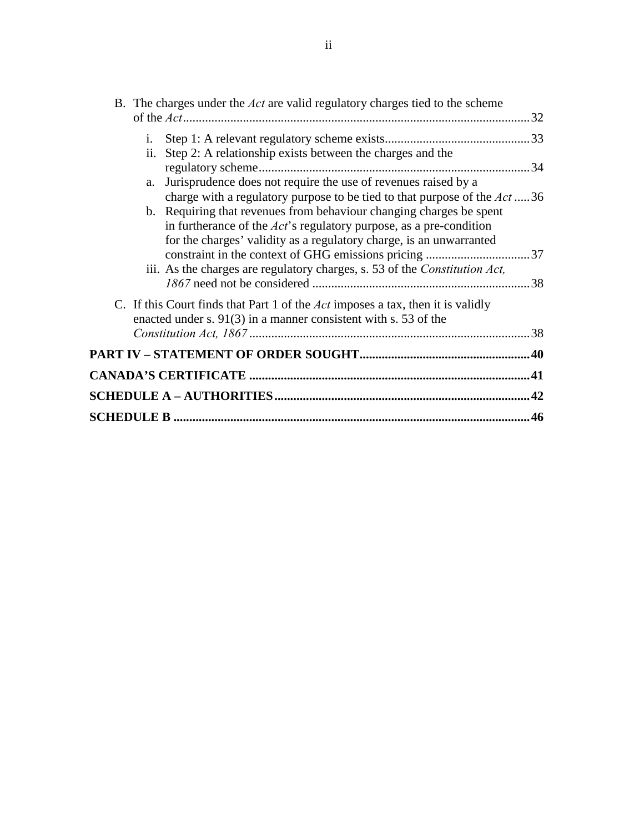|           | B. The charges under the <i>Act</i> are valid regulatory charges tied to the scheme                                                                                                                                                                                                             |     |
|-----------|-------------------------------------------------------------------------------------------------------------------------------------------------------------------------------------------------------------------------------------------------------------------------------------------------|-----|
|           |                                                                                                                                                                                                                                                                                                 |     |
| i.<br>ii. | Step 2: A relationship exists between the charges and the                                                                                                                                                                                                                                       |     |
|           |                                                                                                                                                                                                                                                                                                 | .34 |
| a.        | Jurisprudence does not require the use of revenues raised by a                                                                                                                                                                                                                                  |     |
|           | charge with a regulatory purpose to be tied to that purpose of the Act36<br>b. Requiring that revenues from behaviour changing charges be spent<br>in furtherance of the $Act$ 's regulatory purpose, as a pre-condition<br>for the charges' validity as a regulatory charge, is an unwarranted |     |
|           | iii. As the charges are regulatory charges, s. 53 of the Constitution Act,                                                                                                                                                                                                                      |     |
|           | C. If this Court finds that Part 1 of the <i>Act</i> imposes a tax, then it is validly<br>enacted under s. $91(3)$ in a manner consistent with s. 53 of the                                                                                                                                     | .38 |
|           |                                                                                                                                                                                                                                                                                                 |     |
|           |                                                                                                                                                                                                                                                                                                 | 41  |
|           |                                                                                                                                                                                                                                                                                                 |     |
|           |                                                                                                                                                                                                                                                                                                 | 42  |
|           |                                                                                                                                                                                                                                                                                                 | 46  |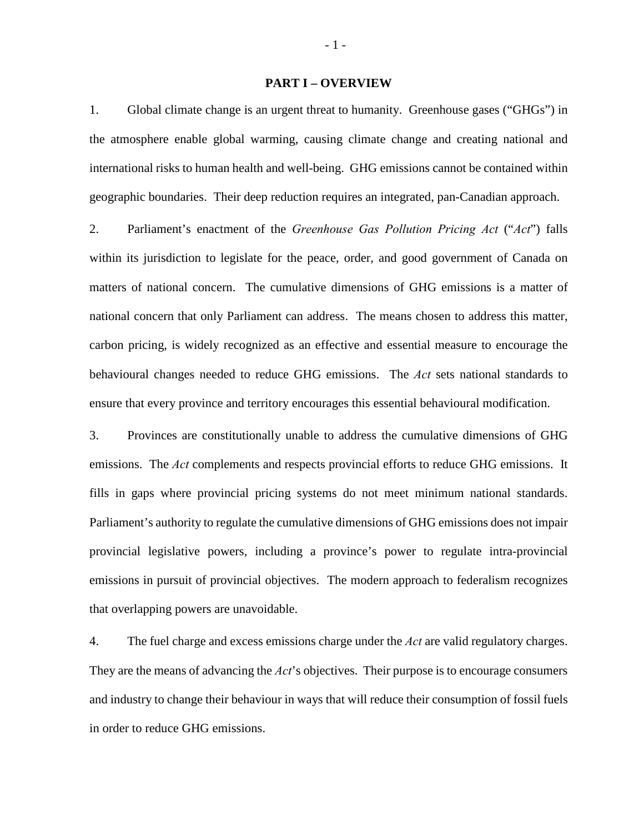#### **PART I – OVERVIEW**

<span id="page-7-0"></span>1. Global climate change is an urgent threat to humanity. Greenhouse gases ("GHGs") in the atmosphere enable global warming, causing climate change and creating national and international risks to human health and well-being. GHG emissions cannot be contained within geographic boundaries. Their deep reduction requires an integrated, pan-Canadian approach.

2. Parliament's enactment of the *Greenhouse Gas Pollution Pricing Act* ("*Act*") falls within its jurisdiction to legislate for the peace, order, and good government of Canada on matters of national concern. The cumulative dimensions of GHG emissions is a matter of national concern that only Parliament can address. The means chosen to address this matter, carbon pricing, is widely recognized as an effective and essential measure to encourage the behavioural changes needed to reduce GHG emissions. The *Act* sets national standards to ensure that every province and territory encourages this essential behavioural modification.

3. Provinces are constitutionally unable to address the cumulative dimensions of GHG emissions. The *Act* complements and respects provincial efforts to reduce GHG emissions. It fills in gaps where provincial pricing systems do not meet minimum national standards. Parliament's authority to regulate the cumulative dimensions of GHG emissions does not impair provincial legislative powers, including a province's power to regulate intra-provincial emissions in pursuit of provincial objectives. The modern approach to federalism recognizes that overlapping powers are unavoidable.

4. The fuel charge and excess emissions charge under the *Act* are valid regulatory charges. They are the means of advancing the *Act*'s objectives. Their purpose is to encourage consumers and industry to change their behaviour in ways that will reduce their consumption of fossil fuels in order to reduce GHG emissions.

- 1 -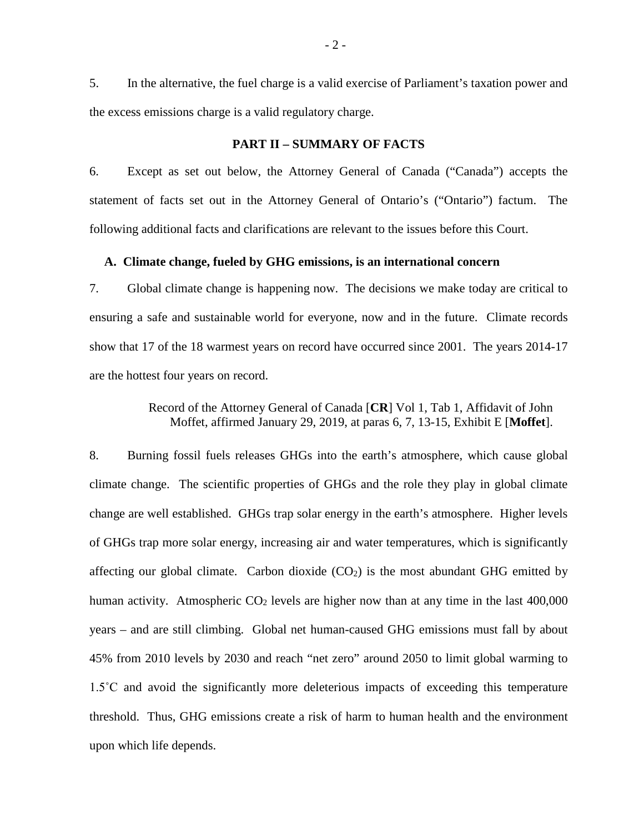5. In the alternative, the fuel charge is a valid exercise of Parliament's taxation power and the excess emissions charge is a valid regulatory charge.

#### **PART II – SUMMARY OF FACTS**

<span id="page-8-0"></span>6. Except as set out below, the Attorney General of Canada ("Canada") accepts the statement of facts set out in the Attorney General of Ontario's ("Ontario") factum. The following additional facts and clarifications are relevant to the issues before this Court.

## <span id="page-8-1"></span>**A. Climate change, fueled by GHG emissions, is an international concern**

7. Global climate change is happening now. The decisions we make today are critical to ensuring a safe and sustainable world for everyone, now and in the future. Climate records show that 17 of the 18 warmest years on record have occurred since 2001. The years 2014-17 are the hottest four years on record.

> Record of the Attorney General of Canada [**CR**] Vol 1, Tab 1, Affidavit of John Moffet, affirmed January 29, 2019, at paras 6, 7, 13-15, Exhibit E [**Moffet**].

8. Burning fossil fuels releases GHGs into the earth's atmosphere, which cause global climate change. The scientific properties of GHGs and the role they play in global climate change are well established. GHGs trap solar energy in the earth's atmosphere. Higher levels of GHGs trap more solar energy, increasing air and water temperatures, which is significantly affecting our global climate. Carbon dioxide  $(CO<sub>2</sub>)$  is the most abundant GHG emitted by human activity. Atmospheric  $CO<sub>2</sub>$  levels are higher now than at any time in the last 400,000 years – and are still climbing. Global net human-caused GHG emissions must fall by about 45% from 2010 levels by 2030 and reach "net zero" around 2050 to limit global warming to 1.5˚C and avoid the significantly more deleterious impacts of exceeding this temperature threshold. Thus, GHG emissions create a risk of harm to human health and the environment upon which life depends.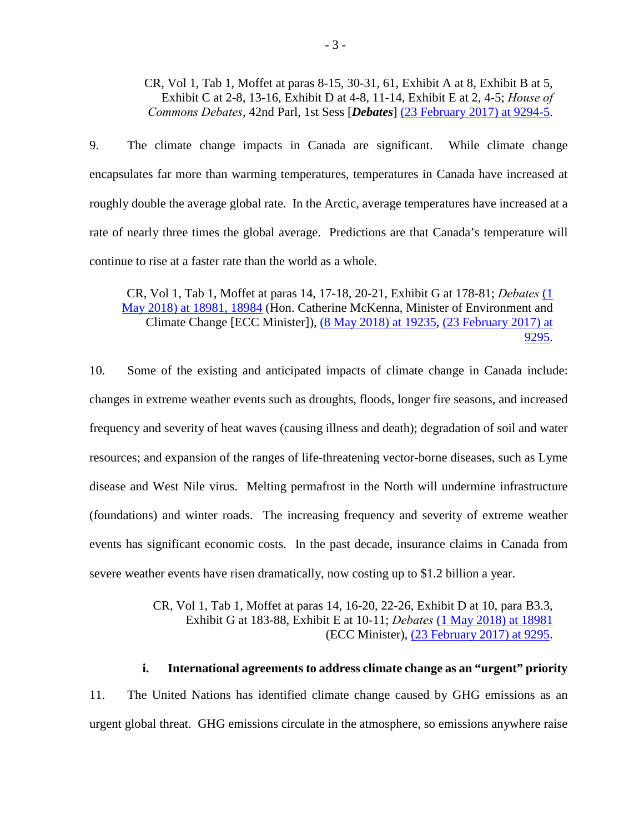CR, Vol 1, Tab 1, Moffet at paras 8-15, 30-31, 61, Exhibit A at 8, Exhibit B at 5, Exhibit C at 2-8, 13-16, Exhibit D at 4-8, 11-14, Exhibit E at 2, 4-5; *House of Commons Debates*, 42nd Parl, 1st Sess [*Debates*] [\(23 February 2017\) at 9294-5.](http://www.ourcommons.ca/Content/House/421/Debates/146/HAN146-E.PDF)

9. The climate change impacts in Canada are significant. While climate change encapsulates far more than warming temperatures, temperatures in Canada have increased at roughly double the average global rate. In the Arctic, average temperatures have increased at a rate of nearly three times the global average. Predictions are that Canada's temperature will continue to rise at a faster rate than the world as a whole.

CR, Vol 1, Tab 1, Moffet at paras 14, 17-18, 20-21, Exhibit G at 178-81; *Debates* [\(1](http://www.ourcommons.ca/Content/House/421/Debates/289/HAN289-E.PDF)  [May 2018\) at 18981, 18984](http://www.ourcommons.ca/Content/House/421/Debates/289/HAN289-E.PDF) (Hon. Catherine McKenna, Minister of Environment and Climate Change [ECC Minister]), [\(8 May 2018\) at 19235,](http://www.ourcommons.ca/Content/House/421/Debates/294/HAN294-E.PDF) [\(23 February 2017\) at](http://www.ourcommons.ca/Content/House/421/Debates/146/HAN146-E.PDF)  [9295.](http://www.ourcommons.ca/Content/House/421/Debates/146/HAN146-E.PDF)

10. Some of the existing and anticipated impacts of climate change in Canada include: changes in extreme weather events such as droughts, floods, longer fire seasons, and increased frequency and severity of heat waves (causing illness and death); degradation of soil and water resources; and expansion of the ranges of life-threatening vector-borne diseases, such as Lyme disease and West Nile virus. Melting permafrost in the North will undermine infrastructure (foundations) and winter roads. The increasing frequency and severity of extreme weather events has significant economic costs. In the past decade, insurance claims in Canada from severe weather events have risen dramatically, now costing up to \$1.2 billion a year.

> CR, Vol 1, Tab 1, Moffet at paras 14, 16-20, 22-26, Exhibit D at 10, para B3.3, Exhibit G at 183-88, Exhibit E at 10-11; *Debates* [\(1 May 2018\) at 18981](http://www.ourcommons.ca/Content/House/421/Debates/289/HAN289-E.PDF) (ECC Minister), [\(23 February 2017\) at 9295.](http://www.ourcommons.ca/Content/House/421/Debates/146/HAN146-E.PDF)

<span id="page-9-0"></span>**i. International agreements to address climate change as an "urgent" priority** 11. The United Nations has identified climate change caused by GHG emissions as an urgent global threat. GHG emissions circulate in the atmosphere, so emissions anywhere raise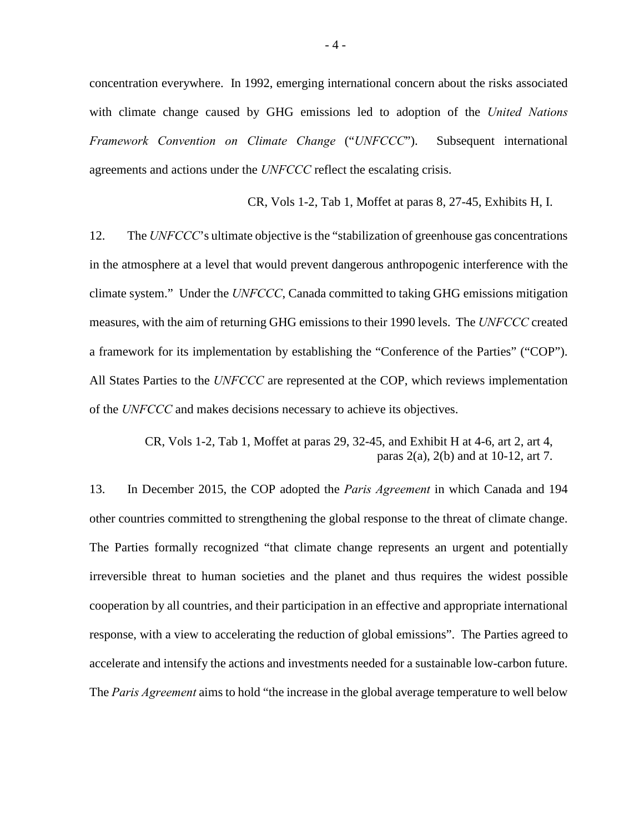concentration everywhere. In 1992, emerging international concern about the risks associated with climate change caused by GHG emissions led to adoption of the *United Nations Framework Convention on Climate Change* ("*UNFCCC*"). Subsequent international agreements and actions under the *UNFCCC* reflect the escalating crisis.

CR, Vols 1-2, Tab 1, Moffet at paras 8, 27-45, Exhibits H, I.

12. The *UNFCCC*'s ultimate objective is the "stabilization of greenhouse gas concentrations in the atmosphere at a level that would prevent dangerous anthropogenic interference with the climate system." Under the *UNFCCC*, Canada committed to taking GHG emissions mitigation measures, with the aim of returning GHG emissions to their 1990 levels. The *UNFCCC* created a framework for its implementation by establishing the "Conference of the Parties" ("COP"). All States Parties to the *UNFCCC* are represented at the COP, which reviews implementation of the *UNFCCC* and makes decisions necessary to achieve its objectives.

> CR, Vols 1-2, Tab 1, Moffet at paras 29, 32-45, and Exhibit H at 4-6, art 2, art 4, paras 2(a), 2(b) and at 10-12, art 7.

13. In December 2015, the COP adopted the *Paris Agreement* in which Canada and 194 other countries committed to strengthening the global response to the threat of climate change. The Parties formally recognized "that climate change represents an urgent and potentially irreversible threat to human societies and the planet and thus requires the widest possible cooperation by all countries, and their participation in an effective and appropriate international response, with a view to accelerating the reduction of global emissions". The Parties agreed to accelerate and intensify the actions and investments needed for a sustainable low-carbon future. The *Paris Agreement* aims to hold "the increase in the global average temperature to well below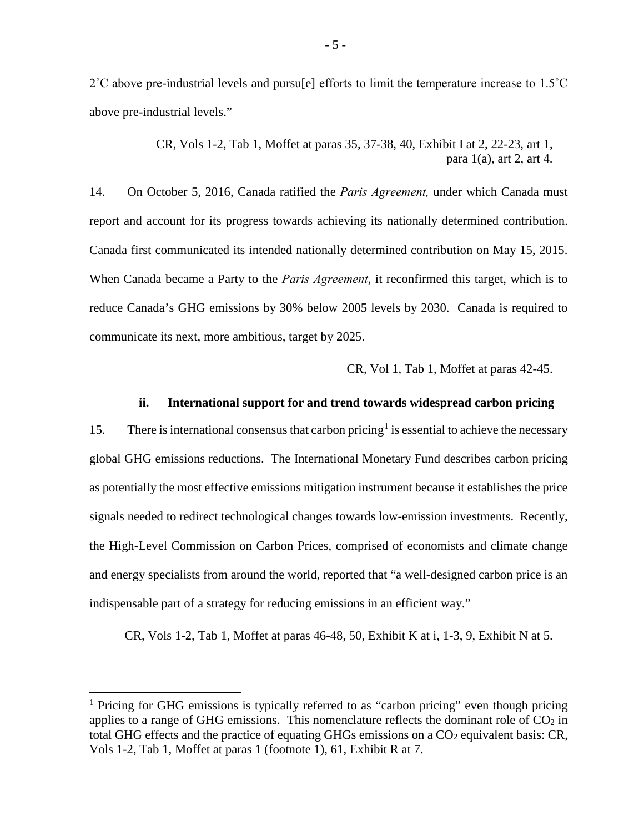$2^{\circ}$ C above pre-industrial levels and pursu[e] efforts to limit the temperature increase to 1.5<sup> $\circ$ </sup>C above pre-industrial levels."

> CR, Vols 1-2, Tab 1, Moffet at paras 35, 37-38, 40, Exhibit I at 2, 22-23, art 1, para  $1(a)$ , art 2, art 4.

14. On October 5, 2016, Canada ratified the *Paris Agreement,* under which Canada must report and account for its progress towards achieving its nationally determined contribution. Canada first communicated its intended nationally determined contribution on May 15, 2015. When Canada became a Party to the *Paris Agreement*, it reconfirmed this target, which is to reduce Canada's GHG emissions by 30% below 2005 levels by 2030. Canada is required to communicate its next, more ambitious, target by 2025.

CR, Vol 1, Tab 1, Moffet at paras 42-45.

#### **ii. International support for and trend towards widespread carbon pricing**

<span id="page-11-0"></span>[1](#page-11-1)5. There is international consensus that carbon pricing<sup>1</sup> is essential to achieve the necessary global GHG emissions reductions. The International Monetary Fund describes carbon pricing as potentially the most effective emissions mitigation instrument because it establishes the price signals needed to redirect technological changes towards low-emission investments. Recently, the High-Level Commission on Carbon Prices, comprised of economists and climate change and energy specialists from around the world, reported that "a well-designed carbon price is an indispensable part of a strategy for reducing emissions in an efficient way."

CR, Vols 1-2, Tab 1, Moffet at paras 46-48, 50, Exhibit K at i, 1-3, 9, Exhibit N at 5.

<u>.</u>

<span id="page-11-1"></span><sup>&</sup>lt;sup>1</sup> Pricing for GHG emissions is typically referred to as "carbon pricing" even though pricing applies to a range of GHG emissions. This nomenclature reflects the dominant role of  $CO<sub>2</sub>$  in total GHG effects and the practice of equating GHGs emissions on a  $CO<sub>2</sub>$  equivalent basis: CR, Vols 1-2, Tab 1, Moffet at paras 1 (footnote 1), 61, Exhibit R at 7.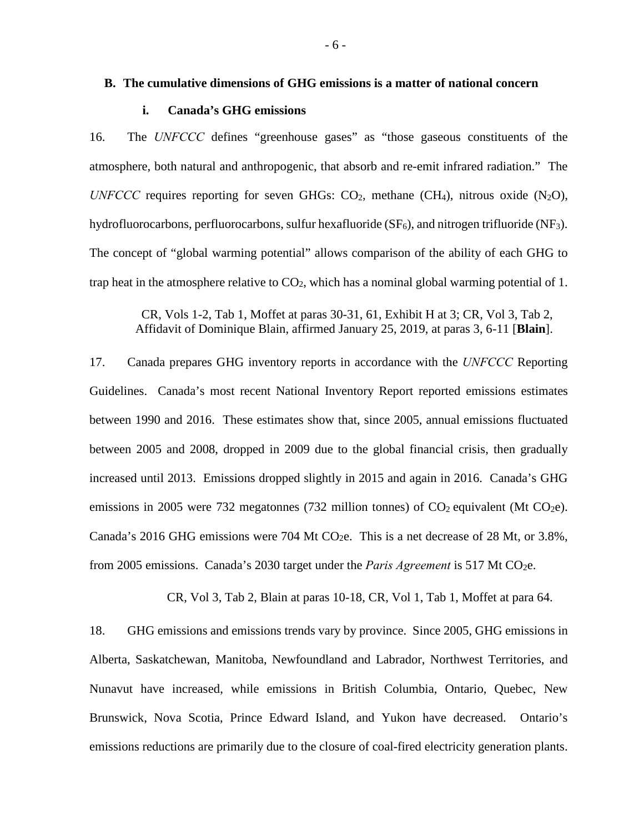#### <span id="page-12-0"></span>**B. The cumulative dimensions of GHG emissions is a matter of national concern**

## **i. Canada's GHG emissions**

<span id="page-12-1"></span>16. The *UNFCCC* defines "greenhouse gases" as "those gaseous constituents of the atmosphere, both natural and anthropogenic, that absorb and re-emit infrared radiation." The *UNFCCC* requires reporting for seven GHGs:  $CO<sub>2</sub>$ , methane (CH<sub>4</sub>), nitrous oxide (N<sub>2</sub>O), hydrofluorocarbons, perfluorocarbons, sulfur hexafluoride  $(SF_6)$ , and nitrogen trifluoride  $(NF_3)$ . The concept of "global warming potential" allows comparison of the ability of each GHG to trap heat in the atmosphere relative to  $CO<sub>2</sub>$ , which has a nominal global warming potential of 1.

CR, Vols 1-2, Tab 1, Moffet at paras 30-31, 61, Exhibit H at 3; CR, Vol 3, Tab 2, Affidavit of Dominique Blain, affirmed January 25, 2019, at paras 3, 6-11 [**Blain**].

17. Canada prepares GHG inventory reports in accordance with the *UNFCCC* Reporting Guidelines. Canada's most recent National Inventory Report reported emissions estimates between 1990 and 2016. These estimates show that, since 2005, annual emissions fluctuated between 2005 and 2008, dropped in 2009 due to the global financial crisis, then gradually increased until 2013. Emissions dropped slightly in 2015 and again in 2016. Canada's GHG emissions in 2005 were 732 megatonnes (732 million tonnes) of  $CO<sub>2</sub>$  equivalent (Mt  $CO<sub>2</sub>e$ ). Canada's 2016 GHG emissions were 704 Mt CO<sub>2</sub>e. This is a net decrease of 28 Mt, or 3.8%, from 2005 emissions. Canada's 2030 target under the *Paris Agreement* is 517 Mt CO<sub>2</sub>e.

CR, Vol 3, Tab 2, Blain at paras 10-18, CR, Vol 1, Tab 1, Moffet at para 64.

18. GHG emissions and emissions trends vary by province. Since 2005, GHG emissions in Alberta, Saskatchewan, Manitoba, Newfoundland and Labrador, Northwest Territories, and Nunavut have increased, while emissions in British Columbia, Ontario, Quebec, New Brunswick, Nova Scotia, Prince Edward Island, and Yukon have decreased. Ontario's emissions reductions are primarily due to the closure of coal-fired electricity generation plants.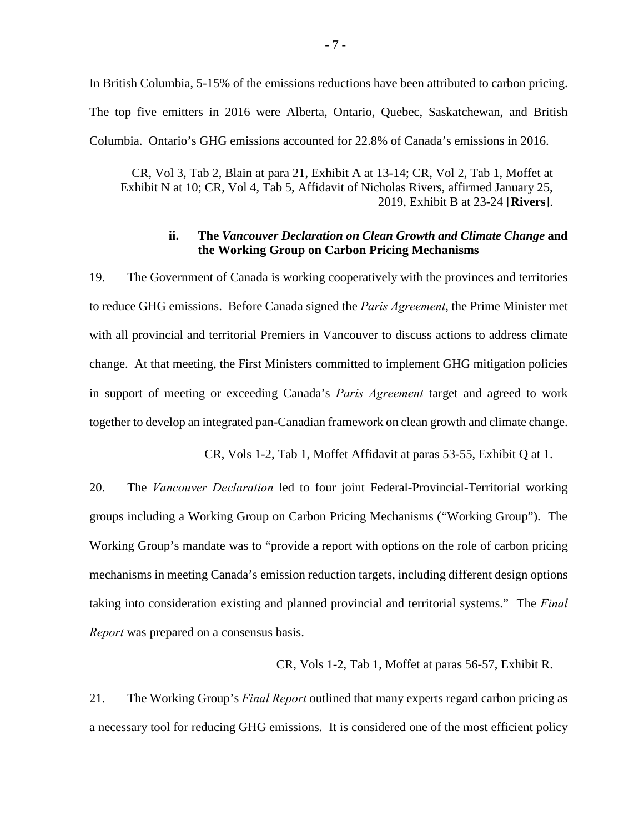In British Columbia, 5-15% of the emissions reductions have been attributed to carbon pricing. The top five emitters in 2016 were Alberta, Ontario, Quebec, Saskatchewan, and British Columbia. Ontario's GHG emissions accounted for 22.8% of Canada's emissions in 2016.

CR, Vol 3, Tab 2, Blain at para 21, Exhibit A at 13-14; CR, Vol 2, Tab 1, Moffet at Exhibit N at 10; CR, Vol 4, Tab 5, Affidavit of Nicholas Rivers, affirmed January 25, 2019, Exhibit B at 23-24 [**Rivers**].

## **ii. The** *Vancouver Declaration on Clean Growth and Climate Change* **and the Working Group on Carbon Pricing Mechanisms**

<span id="page-13-0"></span>19. The Government of Canada is working cooperatively with the provinces and territories to reduce GHG emissions. Before Canada signed the *Paris Agreement*, the Prime Minister met with all provincial and territorial Premiers in Vancouver to discuss actions to address climate change. At that meeting, the First Ministers committed to implement GHG mitigation policies in support of meeting or exceeding Canada's *Paris Agreement* target and agreed to work together to develop an integrated pan-Canadian framework on clean growth and climate change.

CR, Vols 1-2, Tab 1, Moffet Affidavit at paras 53-55, Exhibit Q at 1.

20. The *Vancouver Declaration* led to four joint Federal-Provincial-Territorial working groups including a Working Group on Carbon Pricing Mechanisms ("Working Group"). The Working Group's mandate was to "provide a report with options on the role of carbon pricing mechanisms in meeting Canada's emission reduction targets, including different design options taking into consideration existing and planned provincial and territorial systems." The *Final Report* was prepared on a consensus basis.

## CR, Vols 1-2, Tab 1, Moffet at paras 56-57, Exhibit R.

21. The Working Group's *Final Report* outlined that many experts regard carbon pricing as a necessary tool for reducing GHG emissions. It is considered one of the most efficient policy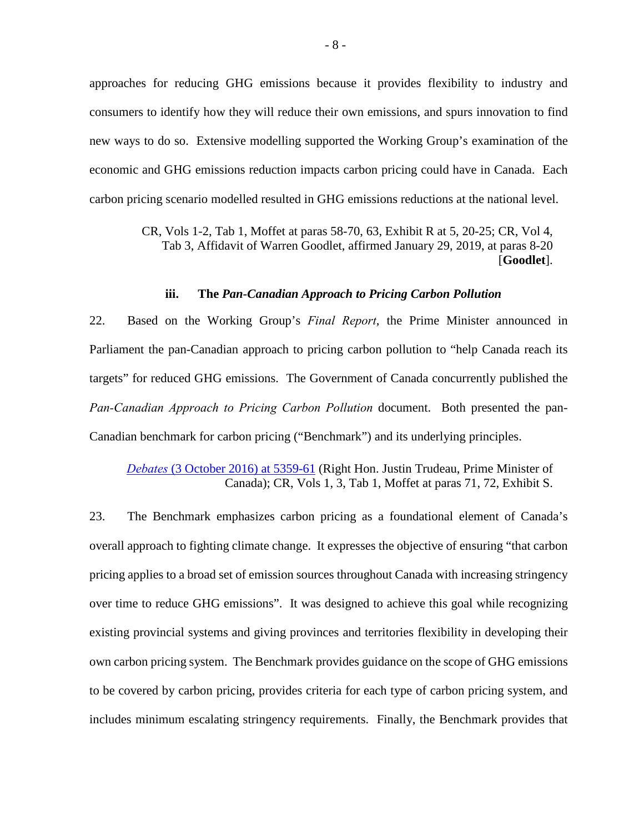approaches for reducing GHG emissions because it provides flexibility to industry and consumers to identify how they will reduce their own emissions, and spurs innovation to find new ways to do so. Extensive modelling supported the Working Group's examination of the economic and GHG emissions reduction impacts carbon pricing could have in Canada. Each carbon pricing scenario modelled resulted in GHG emissions reductions at the national level.

> CR, Vols 1-2, Tab 1, Moffet at paras 58-70, 63, Exhibit R at 5, 20-25; CR, Vol 4, Tab 3, Affidavit of Warren Goodlet, affirmed January 29, 2019, at paras 8-20 [**Goodlet**].

#### **iii. The** *Pan-Canadian Approach to Pricing Carbon Pollution*

<span id="page-14-0"></span>22. Based on the Working Group's *Final Report*, the Prime Minister announced in Parliament the pan-Canadian approach to pricing carbon pollution to "help Canada reach its targets" for reduced GHG emissions. The Government of Canada concurrently published the *Pan-Canadian Approach to Pricing Carbon Pollution* document. Both presented the pan-Canadian benchmark for carbon pricing ("Benchmark") and its underlying principles.

*Debates* [\(3 October 2016\) at 5359-61](http://www.ourcommons.ca/Content/House/421/Debates/086/HAN086-E.PDF) (Right Hon. Justin Trudeau, Prime Minister of Canada); CR, Vols 1, 3, Tab 1, Moffet at paras 71, 72, Exhibit S.

23. The Benchmark emphasizes carbon pricing as a foundational element of Canada's overall approach to fighting climate change. It expresses the objective of ensuring "that carbon pricing applies to a broad set of emission sources throughout Canada with increasing stringency over time to reduce GHG emissions". It was designed to achieve this goal while recognizing existing provincial systems and giving provinces and territories flexibility in developing their own carbon pricing system. The Benchmark provides guidance on the scope of GHG emissions to be covered by carbon pricing, provides criteria for each type of carbon pricing system, and includes minimum escalating stringency requirements. Finally, the Benchmark provides that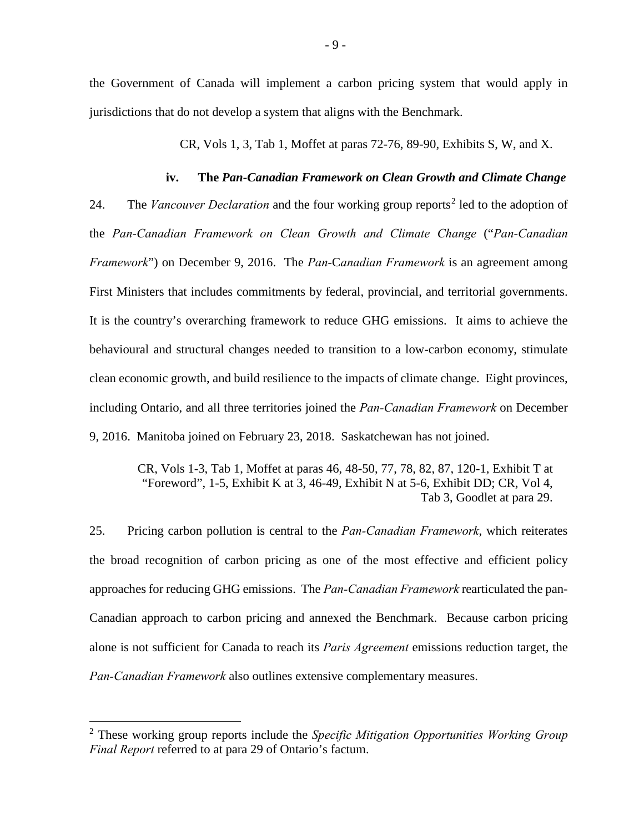the Government of Canada will implement a carbon pricing system that would apply in jurisdictions that do not develop a system that aligns with the Benchmark.

CR, Vols 1, 3, Tab 1, Moffet at paras 72-76, 89-90, Exhibits S, W, and X.

#### **iv. The** *Pan-Canadian Framework on Clean Growth and Climate Change*

<span id="page-15-0"></span>[2](#page-15-1)4. The *Vancouver Declaration* and the four working group reports<sup>2</sup> led to the adoption of the *Pan-Canadian Framework on Clean Growth and Climate Change* ("*Pan-Canadian Framework*") on December 9, 2016. The *Pan-*C*anadian Framework* is an agreement among First Ministers that includes commitments by federal, provincial, and territorial governments. It is the country's overarching framework to reduce GHG emissions. It aims to achieve the behavioural and structural changes needed to transition to a low-carbon economy, stimulate clean economic growth, and build resilience to the impacts of climate change. Eight provinces, including Ontario, and all three territories joined the *Pan-Canadian Framework* on December 9, 2016. Manitoba joined on February 23, 2018. Saskatchewan has not joined.

CR, Vols 1-3, Tab 1, Moffet at paras 46, 48-50, 77, 78, 82, 87, 120-1, Exhibit T at "Foreword", 1-5, Exhibit K at 3, 46-49, Exhibit N at 5-6, Exhibit DD; CR, Vol 4, Tab 3, Goodlet at para 29.

25. Pricing carbon pollution is central to the *Pan-Canadian Framework*, which reiterates the broad recognition of carbon pricing as one of the most effective and efficient policy approaches for reducing GHG emissions. The *Pan-Canadian Framework* rearticulated the pan-Canadian approach to carbon pricing and annexed the Benchmark. Because carbon pricing alone is not sufficient for Canada to reach its *Paris Agreement* emissions reduction target, the *Pan-Canadian Framework* also outlines extensive complementary measures.

-

<span id="page-15-1"></span><sup>2</sup> These working group reports include the *Specific Mitigation Opportunities Working Group Final Report* referred to at para 29 of Ontario's factum.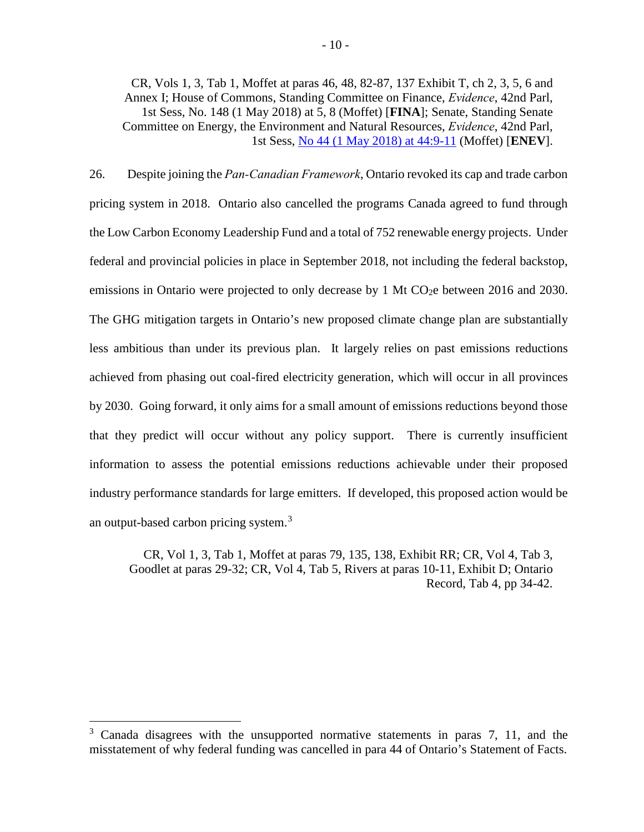CR, Vols 1, 3, Tab 1, Moffet at paras 46, 48, 82-87, 137 Exhibit T, ch 2, 3, 5, 6 and Annex I; House of Commons, Standing Committee on Finance, *Evidence*, 42nd Parl, 1st Sess, No. 148 (1 May 2018) at 5, 8 (Moffet) [**FINA**]; Senate, Standing Senate Committee on Energy, the Environment and Natural Resources, *Evidence*, 42nd Parl, 1st Sess, [No 44 \(1 May 2018\) at 44:9-11](https://sencanada.ca/Content/SEN/Committee/421/enev/pdf/44issue.pdf) (Moffet) [**ENEV**].

26. Despite joining the *Pan-Canadian Framework*, Ontario revoked its cap and trade carbon pricing system in 2018. Ontario also cancelled the programs Canada agreed to fund through the Low Carbon Economy Leadership Fund and a total of 752 renewable energy projects. Under federal and provincial policies in place in September 2018, not including the federal backstop, emissions in Ontario were projected to only decrease by 1 Mt CO<sub>2</sub>e between 2016 and 2030. The GHG mitigation targets in Ontario's new proposed climate change plan are substantially less ambitious than under its previous plan. It largely relies on past emissions reductions achieved from phasing out coal-fired electricity generation, which will occur in all provinces by 2030. Going forward, it only aims for a small amount of emissions reductions beyond those that they predict will occur without any policy support. There is currently insufficient information to assess the potential emissions reductions achievable under their proposed industry performance standards for large emitters. If developed, this proposed action would be an output-based carbon pricing system.<sup>[3](#page-16-0)</sup>

CR, Vol 1, 3, Tab 1, Moffet at paras 79, 135, 138, Exhibit RR; CR, Vol 4, Tab 3, Goodlet at paras 29-32; CR, Vol 4, Tab 5, Rivers at paras 10-11, Exhibit D; Ontario Record, Tab 4, pp 34-42.

-

<span id="page-16-0"></span><sup>&</sup>lt;sup>3</sup> Canada disagrees with the unsupported normative statements in paras 7, 11, and the misstatement of why federal funding was cancelled in para 44 of Ontario's Statement of Facts.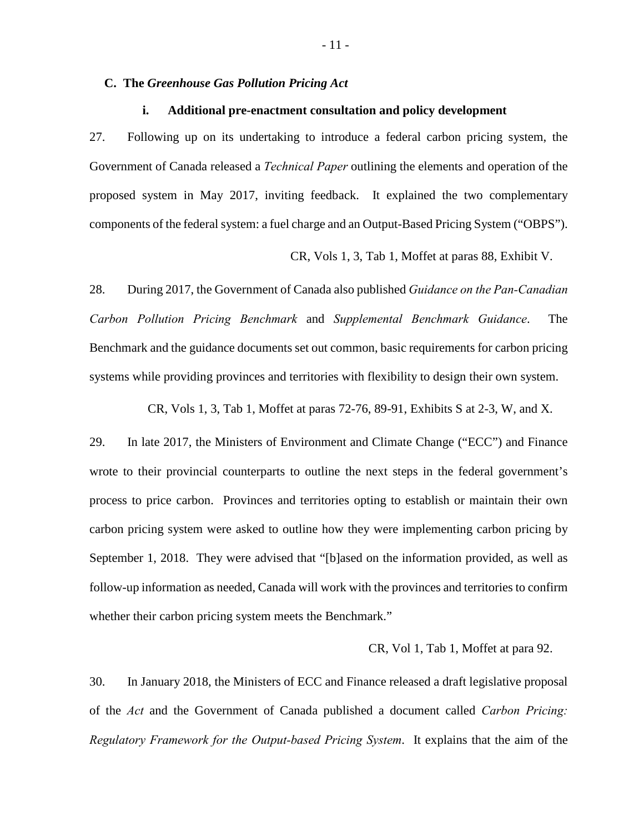#### <span id="page-17-0"></span>**C. The** *Greenhouse Gas Pollution Pricing Act*

#### **i. Additional pre-enactment consultation and policy development**

<span id="page-17-1"></span>27. Following up on its undertaking to introduce a federal carbon pricing system, the Government of Canada released a *Technical Paper* outlining the elements and operation of the proposed system in May 2017, inviting feedback. It explained the two complementary components of the federal system: a fuel charge and an Output-Based Pricing System ("OBPS").

CR, Vols 1, 3, Tab 1, Moffet at paras 88, Exhibit V.

28. During 2017, the Government of Canada also published *Guidance on the Pan-Canadian Carbon Pollution Pricing Benchmark* and *Supplemental Benchmark Guidance*. The Benchmark and the guidance documents set out common, basic requirements for carbon pricing systems while providing provinces and territories with flexibility to design their own system.

CR, Vols 1, 3, Tab 1, Moffet at paras 72-76, 89-91, Exhibits S at 2-3, W, and X.

29. In late 2017, the Ministers of Environment and Climate Change ("ECC") and Finance wrote to their provincial counterparts to outline the next steps in the federal government's process to price carbon. Provinces and territories opting to establish or maintain their own carbon pricing system were asked to outline how they were implementing carbon pricing by September 1, 2018. They were advised that "[b]ased on the information provided, as well as follow-up information as needed, Canada will work with the provinces and territories to confirm whether their carbon pricing system meets the Benchmark."

CR, Vol 1, Tab 1, Moffet at para 92.

30. In January 2018, the Ministers of ECC and Finance released a draft legislative proposal of the *Act* and the Government of Canada published a document called *Carbon Pricing: Regulatory Framework for the Output-based Pricing System*. It explains that the aim of the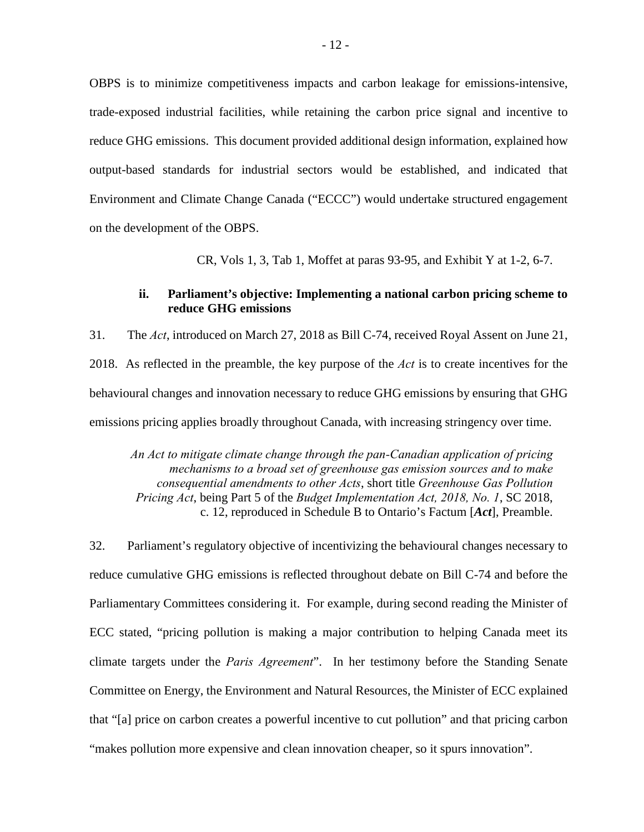OBPS is to minimize competitiveness impacts and carbon leakage for emissions-intensive, trade-exposed industrial facilities, while retaining the carbon price signal and incentive to reduce GHG emissions. This document provided additional design information, explained how output-based standards for industrial sectors would be established, and indicated that Environment and Climate Change Canada ("ECCC") would undertake structured engagement on the development of the OBPS.

CR, Vols 1, 3, Tab 1, Moffet at paras 93-95, and Exhibit Y at 1-2, 6-7.

## **ii. Parliament's objective: Implementing a national carbon pricing scheme to reduce GHG emissions**

<span id="page-18-0"></span>31. The *Act*, introduced on March 27, 2018 as Bill C-74, received Royal Assent on June 21, 2018. As reflected in the preamble, the key purpose of the *Act* is to create incentives for the behavioural changes and innovation necessary to reduce GHG emissions by ensuring that GHG emissions pricing applies broadly throughout Canada, with increasing stringency over time.

*An Act to mitigate climate change through the pan-Canadian application of pricing mechanisms to a broad set of greenhouse gas emission sources and to make consequential amendments to other Acts*, short title *Greenhouse Gas Pollution Pricing Act*, being Part 5 of the *Budget Implementation Act, 2018, No. 1*, SC 2018, c. 12, reproduced in Schedule B to Ontario's Factum [*Act*], Preamble.

32. Parliament's regulatory objective of incentivizing the behavioural changes necessary to reduce cumulative GHG emissions is reflected throughout debate on Bill C-74 and before the Parliamentary Committees considering it. For example, during second reading the Minister of ECC stated, "pricing pollution is making a major contribution to helping Canada meet its climate targets under the *Paris Agreement*". In her testimony before the Standing Senate Committee on Energy, the Environment and Natural Resources, the Minister of ECC explained that "[a] price on carbon creates a powerful incentive to cut pollution" and that pricing carbon "makes pollution more expensive and clean innovation cheaper, so it spurs innovation".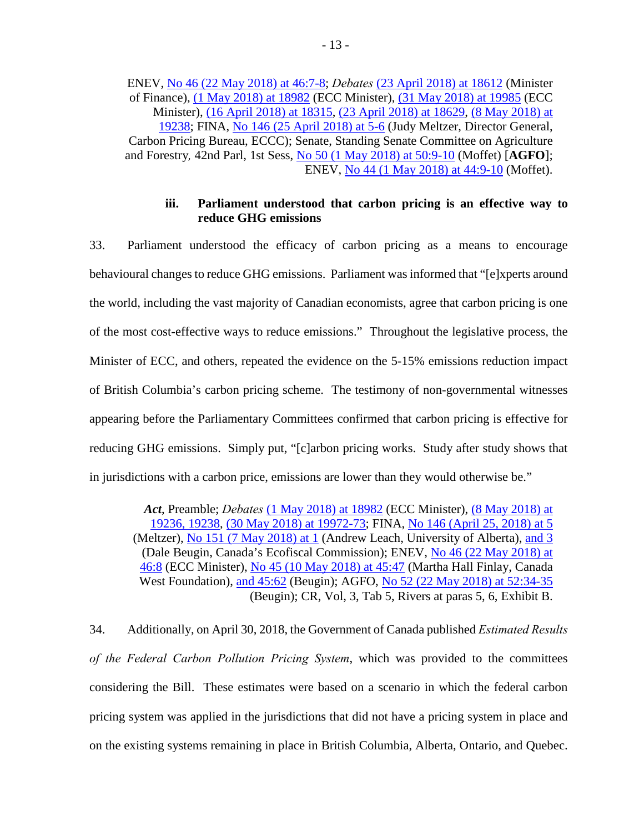ENEV, [No 46 \(22 May 2018\) at 46:7-8;](https://sencanada.ca/Content/SEN/Committee/421/enev/pdf/46issue.pdf) *Debates* [\(23 April 2018\) at 18612](http://www.ourcommons.ca/Content/House/421/Debates/283/HAN283-E.PDF) (Minister of Finance), [\(1 May 2018\) at 18982](http://www.ourcommons.ca/Content/House/421/Debates/289/HAN289-E.PDF) (ECC Minister), [\(31 May 2018\) at 19985](http://www.ourcommons.ca/Content/House/421/Debates/305/HAN305-E.PDF) (ECC Minister), [\(16 April 2018\) at 18315,](http://www.ourcommons.ca/Content/House/421/Debates/279/HAN279-E.PDF) [\(23 April 2018\) at 18629,](http://www.ourcommons.ca/Content/House/421/Debates/283/HAN283-E.PDF) [\(8 May 2018\) at](http://www.ourcommons.ca/Content/House/421/Debates/294/HAN294-E.PDF)  [19238;](http://www.ourcommons.ca/Content/House/421/Debates/294/HAN294-E.PDF) FINA, [No 146 \(25 April 2018\) at 5-6](http://www.ourcommons.ca/Content/Committee/421/FINA/Evidence/EV9803498/FINAEV146-E.PDF) (Judy Meltzer, Director General, Carbon Pricing Bureau, ECCC); Senate, Standing Senate Committee on Agriculture and Forestry*,* 42nd Parl, 1st Sess, [No 50 \(1 May 2018\) at 50:9-10](https://sencanada.ca/Content/SEN/Committee/421/agfo/pdf/50issue.pdf) (Moffet) [**AGFO**]; ENEV, [No 44 \(1 May 2018\) at 44:9-10](https://sencanada.ca/Content/SEN/Committee/421/enev/pdf/44issue.pdf) (Moffet).

## **iii. Parliament understood that carbon pricing is an effective way to reduce GHG emissions**

<span id="page-19-0"></span>33. Parliament understood the efficacy of carbon pricing as a means to encourage behavioural changes to reduce GHG emissions. Parliament was informed that "[e]xperts around the world, including the vast majority of Canadian economists, agree that carbon pricing is one of the most cost-effective ways to reduce emissions." Throughout the legislative process, the Minister of ECC, and others, repeated the evidence on the 5-15% emissions reduction impact of British Columbia's carbon pricing scheme. The testimony of non-governmental witnesses appearing before the Parliamentary Committees confirmed that carbon pricing is effective for reducing GHG emissions. Simply put, "[c]arbon pricing works. Study after study shows that in jurisdictions with a carbon price, emissions are lower than they would otherwise be."

*Act*, Preamble; *Debates* [\(1 May 2018\) at 18982](http://www.ourcommons.ca/Content/House/421/Debates/289/HAN289-E.PDF) (ECC Minister), [\(8 May 2018\) at](http://www.ourcommons.ca/Content/House/421/Debates/294/HAN294-E.PDF)  [19236, 19238,](http://www.ourcommons.ca/Content/House/421/Debates/294/HAN294-E.PDF) [\(30 May 2018\) at 19972-73;](http://www.ourcommons.ca/Content/House/421/Debates/304/HAN304-E.PDF) FINA, [No 146 \(April 25, 2018\) at 5](http://www.ourcommons.ca/Content/Committee/421/FINA/Evidence/EV9803498/FINAEV146-E.PDF) (Meltzer), [No 151 \(7 May 2018\) at 1](http://www.ourcommons.ca/Content/Committee/421/FINA/Evidence/EV9846959/FINAEV151-E.PDF) (Andrew Leach, University of Alberta), [and 3](http://www.ourcommons.ca/Content/Committee/421/FINA/Evidence/EV9846959/FINAEV151-E.PDF) (Dale Beugin, Canada's Ecofiscal Commission); ENEV, [No 46 \(22 May 2018\) at](https://sencanada.ca/Content/SEN/Committee/421/enev/pdf/46issue.pdf)  [46:8](https://sencanada.ca/Content/SEN/Committee/421/enev/pdf/46issue.pdf) (ECC Minister), [No 45 \(10 May 2018\) at 45:47](https://sencanada.ca/Content/SEN/Committee/421/enev/pdf/45issue.pdf) (Martha Hall Finlay, Canada West Foundation), [and 45:62](https://sencanada.ca/Content/SEN/Committee/421/enev/pdf/45issue.pdf) (Beugin); AGFO, [No 52 \(22 May 2018\) at 52:34-35](https://sencanada.ca/Content/SEN/Committee/421/agfo/pdf/52issue.pdf) (Beugin); CR, Vol, 3, Tab 5, Rivers at paras 5, 6, Exhibit B.

34. Additionally, on April 30, 2018, the Government of Canada published *Estimated Results of the Federal Carbon Pollution Pricing System*, which was provided to the committees considering the Bill. These estimates were based on a scenario in which the federal carbon pricing system was applied in the jurisdictions that did not have a pricing system in place and on the existing systems remaining in place in British Columbia, Alberta, Ontario, and Quebec.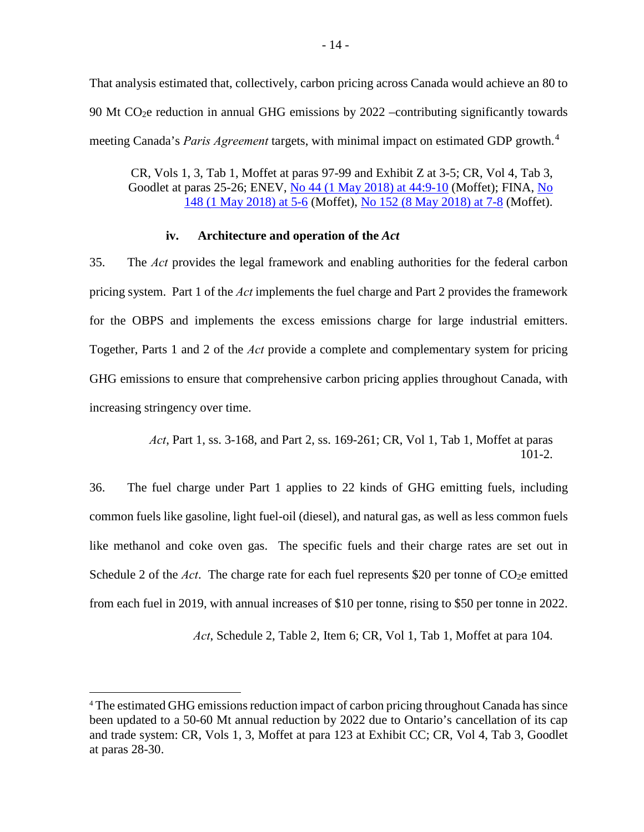That analysis estimated that, collectively, carbon pricing across Canada would achieve an 80 to 90 Mt CO2e reduction in annual GHG emissions by 2022 –contributing significantly towards meeting Canada's *Paris Agreement* targets, with minimal impact on estimated GDP growth. [4](#page-20-1)

CR, Vols 1, 3, Tab 1, Moffet at paras 97-99 and Exhibit Z at 3-5; CR, Vol 4, Tab 3, Goodlet at paras 25-26; ENEV, [No 44 \(1 May 2018\) at 44:9-10](https://sencanada.ca/Content/SEN/Committee/421/enev/pdf/44issue.pdf) (Moffet); FINA, No [148 \(1 May 2018\) at 5-6](http://www.ourcommons.ca/Content/Committee/421/FINA/Evidence/EV9824416/FINAEV148-E.PDF) (Moffet), [No 152 \(8 May 2018\) at 7-8](http://www.ourcommons.ca/Content/Committee/421/FINA/Evidence/EV9852772/FINAEV152-E.PDF) (Moffet).

## **iv. Architecture and operation of the** *Act*

<span id="page-20-0"></span>35. The *Act* provides the legal framework and enabling authorities for the federal carbon pricing system. Part 1 of the *Act* implements the fuel charge and Part 2 provides the framework for the OBPS and implements the excess emissions charge for large industrial emitters. Together, Parts 1 and 2 of the *Act* provide a complete and complementary system for pricing GHG emissions to ensure that comprehensive carbon pricing applies throughout Canada, with increasing stringency over time.

> *Act*, Part 1, ss. 3-168, and Part 2, ss. 169-261; CR, Vol 1, Tab 1, Moffet at paras 101-2.

36. The fuel charge under Part 1 applies to 22 kinds of GHG emitting fuels, including common fuels like gasoline, light fuel-oil (diesel), and natural gas, as well as less common fuels like methanol and coke oven gas. The specific fuels and their charge rates are set out in Schedule 2 of the *Act*. The charge rate for each fuel represents \$20 per tonne of CO<sub>2</sub>e emitted from each fuel in 2019, with annual increases of \$10 per tonne, rising to \$50 per tonne in 2022.

*Act*, Schedule 2, Table 2, Item 6; CR, Vol 1, Tab 1, Moffet at para 104.

<u>.</u>

<span id="page-20-1"></span><sup>4</sup> The estimated GHG emissions reduction impact of carbon pricing throughout Canada has since been updated to a 50-60 Mt annual reduction by 2022 due to Ontario's cancellation of its cap and trade system: CR, Vols 1, 3, Moffet at para 123 at Exhibit CC; CR, Vol 4, Tab 3, Goodlet at paras 28-30.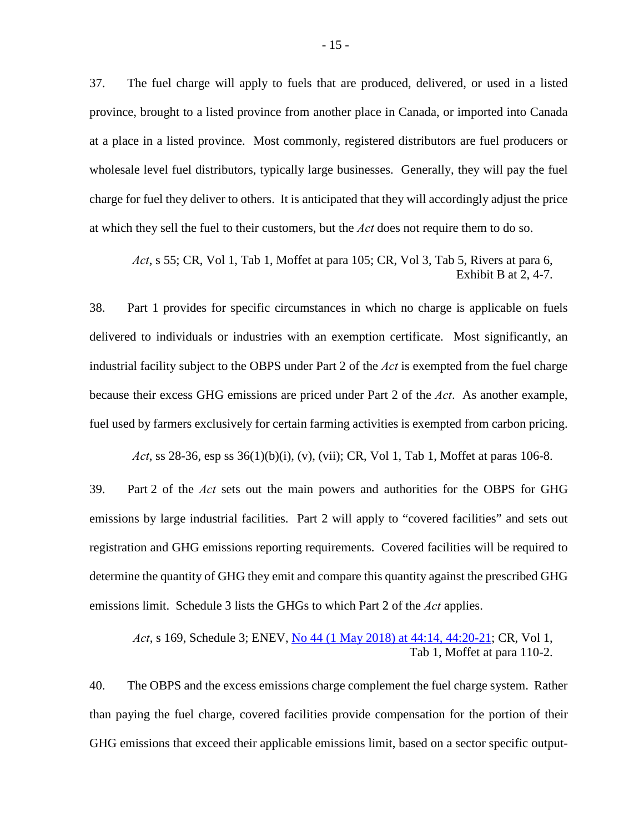37. The fuel charge will apply to fuels that are produced, delivered, or used in a listed province, brought to a listed province from another place in Canada, or imported into Canada at a place in a listed province. Most commonly, registered distributors are fuel producers or wholesale level fuel distributors, typically large businesses. Generally, they will pay the fuel charge for fuel they deliver to others. It is anticipated that they will accordingly adjust the price at which they sell the fuel to their customers, but the *Act* does not require them to do so.

*Act*, s 55; CR, Vol 1, Tab 1, Moffet at para 105; CR, Vol 3, Tab 5, Rivers at para 6, Exhibit B at 2, 4-7.

38. Part 1 provides for specific circumstances in which no charge is applicable on fuels delivered to individuals or industries with an exemption certificate. Most significantly, an industrial facility subject to the OBPS under Part 2 of the *Act* is exempted from the fuel charge because their excess GHG emissions are priced under Part 2 of the *Act*. As another example, fuel used by farmers exclusively for certain farming activities is exempted from carbon pricing.

*Act*, ss 28-36, esp ss 36(1)(b)(i), (v), (vii); CR, Vol 1, Tab 1, Moffet at paras 106-8.

39. Part 2 of the *Act* sets out the main powers and authorities for the OBPS for GHG emissions by large industrial facilities. Part 2 will apply to "covered facilities" and sets out registration and GHG emissions reporting requirements. Covered facilities will be required to determine the quantity of GHG they emit and compare this quantity against the prescribed GHG emissions limit. Schedule 3 lists the GHGs to which Part 2 of the *Act* applies.

*Act*, s 169, Schedule 3; ENEV, [No 44 \(1 May 2018\) at 44:14, 44:20-21;](https://sencanada.ca/Content/SEN/Committee/421/enev/pdf/44issue.pdf) CR, Vol 1, Tab 1, Moffet at para 110-2.

40. The OBPS and the excess emissions charge complement the fuel charge system. Rather than paying the fuel charge, covered facilities provide compensation for the portion of their GHG emissions that exceed their applicable emissions limit, based on a sector specific output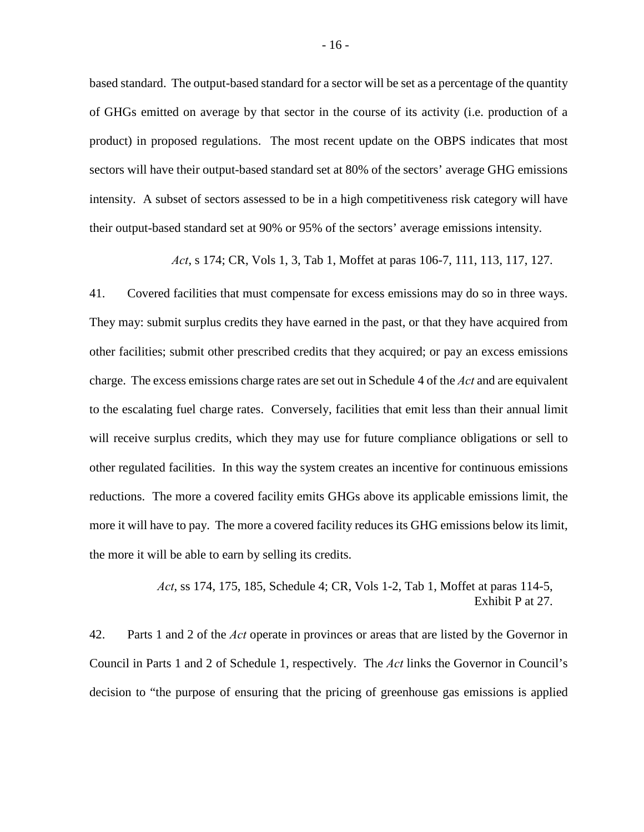based standard. The output-based standard for a sector will be set as a percentage of the quantity of GHGs emitted on average by that sector in the course of its activity (i.e. production of a product) in proposed regulations. The most recent update on the OBPS indicates that most sectors will have their output-based standard set at 80% of the sectors' average GHG emissions intensity. A subset of sectors assessed to be in a high competitiveness risk category will have their output-based standard set at 90% or 95% of the sectors' average emissions intensity.

*Act*, s 174; CR, Vols 1, 3, Tab 1, Moffet at paras 106-7, 111, 113, 117, 127.

41. Covered facilities that must compensate for excess emissions may do so in three ways. They may: submit surplus credits they have earned in the past, or that they have acquired from other facilities; submit other prescribed credits that they acquired; or pay an excess emissions charge. The excess emissions charge rates are set out in Schedule 4 of the *Act* and are equivalent to the escalating fuel charge rates. Conversely, facilities that emit less than their annual limit will receive surplus credits, which they may use for future compliance obligations or sell to other regulated facilities. In this way the system creates an incentive for continuous emissions reductions. The more a covered facility emits GHGs above its applicable emissions limit, the more it will have to pay. The more a covered facility reduces its GHG emissions below its limit, the more it will be able to earn by selling its credits.

> *Act*, ss 174, 175, 185, Schedule 4; CR, Vols 1-2, Tab 1, Moffet at paras 114-5, Exhibit P at 27.

42. Parts 1 and 2 of the *Act* operate in provinces or areas that are listed by the Governor in Council in Parts 1 and 2 of Schedule 1, respectively. The *Act* links the Governor in Council's decision to "the purpose of ensuring that the pricing of greenhouse gas emissions is applied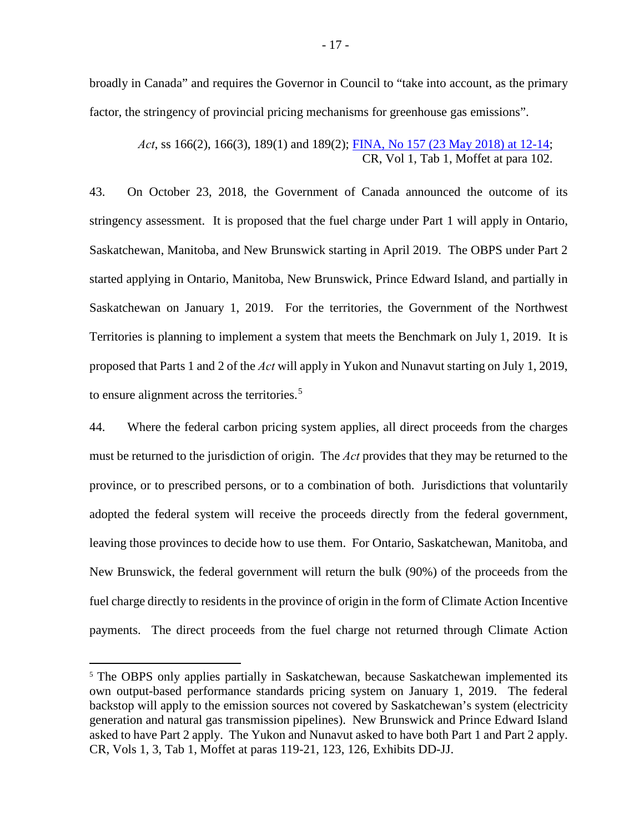broadly in Canada" and requires the Governor in Council to "take into account, as the primary factor, the stringency of provincial pricing mechanisms for greenhouse gas emissions".

*Act*, ss 166(2), 166(3), 189(1) and 189(2); [FINA, No 157 \(23 May 2018\) at 12-14;](http://www.ourcommons.ca/Content/Committee/421/FINA/Evidence/EV9883290/FINAEV157-E.PDF) CR, Vol 1, Tab 1, Moffet at para 102.

43. On October 23, 2018, the Government of Canada announced the outcome of its stringency assessment. It is proposed that the fuel charge under Part 1 will apply in Ontario, Saskatchewan, Manitoba, and New Brunswick starting in April 2019. The OBPS under Part 2 started applying in Ontario, Manitoba, New Brunswick, Prince Edward Island, and partially in Saskatchewan on January 1, 2019. For the territories, the Government of the Northwest Territories is planning to implement a system that meets the Benchmark on July 1, 2019. It is proposed that Parts 1 and 2 of the *Act* will apply in Yukon and Nunavut starting on July 1, 2019, to ensure alignment across the territories. [5](#page-23-0)

44. Where the federal carbon pricing system applies, all direct proceeds from the charges must be returned to the jurisdiction of origin. The *Act* provides that they may be returned to the province, or to prescribed persons, or to a combination of both.Jurisdictions that voluntarily adopted the federal system will receive the proceeds directly from the federal government, leaving those provinces to decide how to use them. For Ontario, Saskatchewan, Manitoba, and New Brunswick, the federal government will return the bulk (90%) of the proceeds from the fuel charge directly to residents in the province of origin in the form of Climate Action Incentive payments. The direct proceeds from the fuel charge not returned through Climate Action

<u>.</u>

<span id="page-23-0"></span><sup>&</sup>lt;sup>5</sup> The OBPS only applies partially in Saskatchewan, because Saskatchewan implemented its own output-based performance standards pricing system on January 1, 2019. The federal backstop will apply to the emission sources not covered by Saskatchewan's system (electricity generation and natural gas transmission pipelines). New Brunswick and Prince Edward Island asked to have Part 2 apply. The Yukon and Nunavut asked to have both Part 1 and Part 2 apply. CR, Vols 1, 3, Tab 1, Moffet at paras 119-21, 123, 126, Exhibits DD-JJ.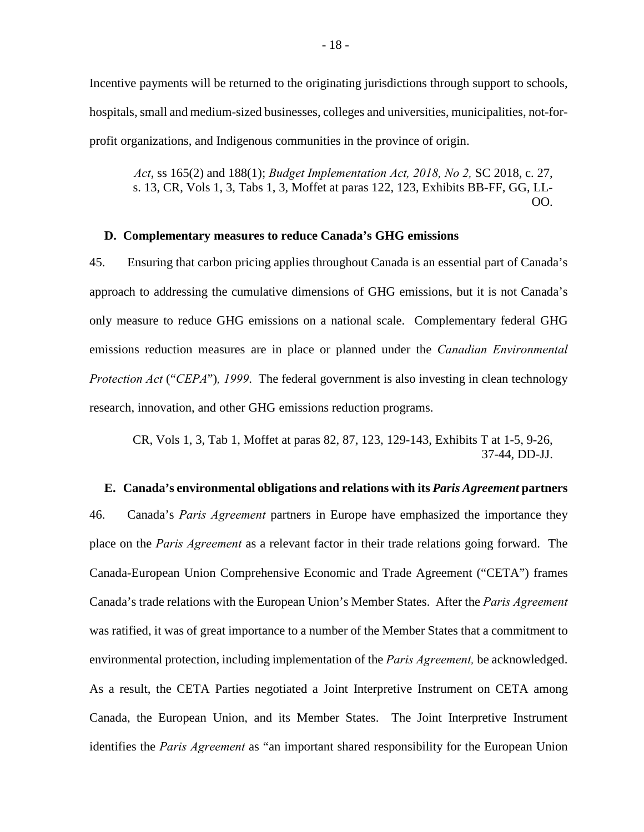Incentive payments will be returned to the originating jurisdictions through support to schools, hospitals, small and medium-sized businesses, colleges and universities, municipalities, not-forprofit organizations, and Indigenous communities in the province of origin.

*Act*, ss 165(2) and 188(1); *Budget Implementation Act, 2018, No 2,* SC 2018, c. 27, s. 13, CR, Vols 1, 3, Tabs 1, 3, Moffet at paras 122, 123, Exhibits BB-FF, GG, LL-OO.

#### <span id="page-24-0"></span>**D. Complementary measures to reduce Canada's GHG emissions**

45. Ensuring that carbon pricing applies throughout Canada is an essential part of Canada's approach to addressing the cumulative dimensions of GHG emissions, but it is not Canada's only measure to reduce GHG emissions on a national scale. Complementary federal GHG emissions reduction measures are in place or planned under the *Canadian Environmental Protection Act* ("*CEPA*")*, 1999*. The federal government is also investing in clean technology research, innovation, and other GHG emissions reduction programs.

CR, Vols 1, 3, Tab 1, Moffet at paras 82, 87, 123, 129-143, Exhibits T at 1-5, 9-26, 37-44, DD-JJ.

#### <span id="page-24-1"></span>**E. Canada's environmental obligations and relations with its** *Paris Agreement* **partners**

46. Canada's *Paris Agreement* partners in Europe have emphasized the importance they place on the *Paris Agreement* as a relevant factor in their trade relations going forward. The Canada-European Union Comprehensive Economic and Trade Agreement ("CETA") frames Canada's trade relations with the European Union's Member States. After the *Paris Agreement*  was ratified, it was of great importance to a number of the Member States that a commitment to environmental protection, including implementation of the *Paris Agreement,* be acknowledged. As a result, the CETA Parties negotiated a Joint Interpretive Instrument on CETA among Canada, the European Union, and its Member States. The Joint Interpretive Instrument identifies the *Paris Agreement* as "an important shared responsibility for the European Union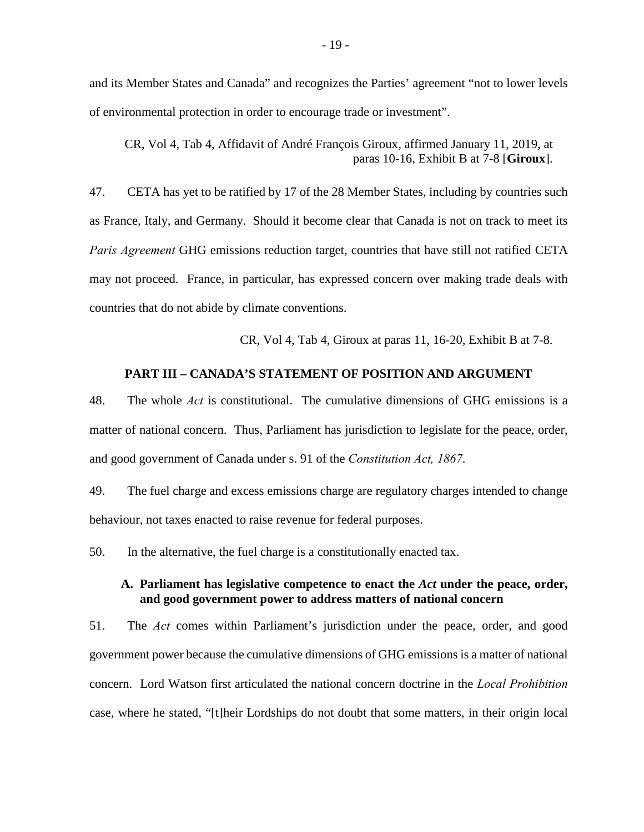and its Member States and Canada" and recognizes the Parties' agreement "not to lower levels of environmental protection in order to encourage trade or investment".

CR, Vol 4, Tab 4, Affidavit of André François Giroux, affirmed January 11, 2019, at paras 10-16, Exhibit B at 7-8 [**Giroux**].

47. CETA has yet to be ratified by 17 of the 28 Member States, including by countries such as France, Italy, and Germany. Should it become clear that Canada is not on track to meet its *Paris Agreement* GHG emissions reduction target, countries that have still not ratified CETA may not proceed. France, in particular, has expressed concern over making trade deals with countries that do not abide by climate conventions.

CR, Vol 4, Tab 4, Giroux at paras 11, 16-20, Exhibit B at 7-8.

## **PART III – CANADA'S STATEMENT OF POSITION AND ARGUMENT**

<span id="page-25-0"></span>48. The whole *Act* is constitutional. The cumulative dimensions of GHG emissions is a matter of national concern. Thus, Parliament has jurisdiction to legislate for the peace, order, and good government of Canada under s. 91 of the *Constitution Act, 1867*.

49. The fuel charge and excess emissions charge are regulatory charges intended to change behaviour, not taxes enacted to raise revenue for federal purposes.

<span id="page-25-1"></span>50. In the alternative, the fuel charge is a constitutionally enacted tax.

## **A. Parliament has legislative competence to enact the** *Act* **under the peace, order, and good government power to address matters of national concern**

51. The *Act* comes within Parliament's jurisdiction under the peace, order, and good government power because the cumulative dimensions of GHG emissions is a matter of national concern. Lord Watson first articulated the national concern doctrine in the *Local Prohibition*  case, where he stated, "[t]heir Lordships do not doubt that some matters, in their origin local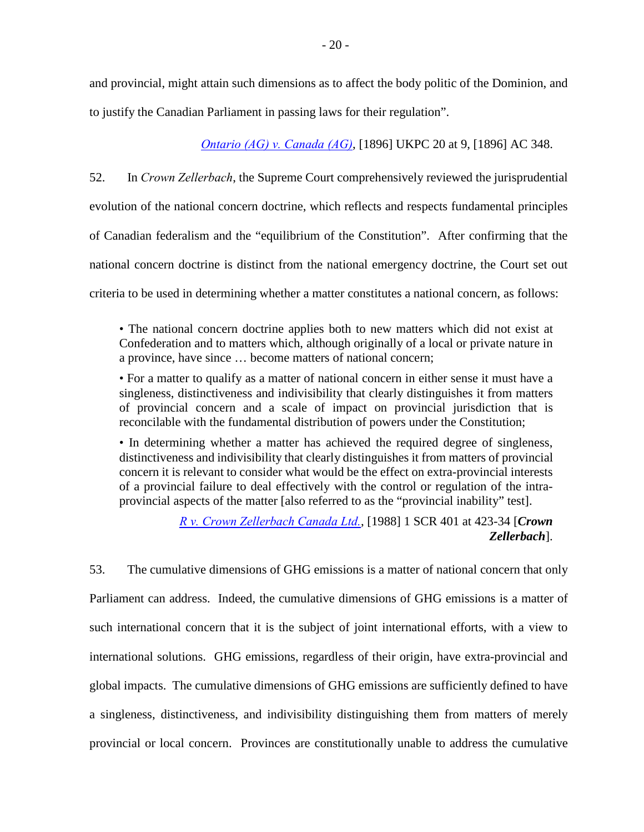and provincial, might attain such dimensions as to affect the body politic of the Dominion, and to justify the Canadian Parliament in passing laws for their regulation".

*[Ontario \(AG\) v. Canada \(AG\)](http://www.bailii.org/uk/cases/UKPC/1896/1896_20.html)*, [1896] UKPC 20 at 9, [1896] AC 348.

52. In *Crown Zellerbach*, the Supreme Court comprehensively reviewed the jurisprudential evolution of the national concern doctrine, which reflects and respects fundamental principles of Canadian federalism and the "equilibrium of the Constitution". After confirming that the national concern doctrine is distinct from the national emergency doctrine, the Court set out criteria to be used in determining whether a matter constitutes a national concern, as follows:

• The national concern doctrine applies both to new matters which did not exist at Confederation and to matters which, although originally of a local or private nature in a province, have since … become matters of national concern;

• For a matter to qualify as a matter of national concern in either sense it must have a singleness, distinctiveness and indivisibility that clearly distinguishes it from matters of provincial concern and a scale of impact on provincial jurisdiction that is reconcilable with the fundamental distribution of powers under the Constitution;

• In determining whether a matter has achieved the required degree of singleness, distinctiveness and indivisibility that clearly distinguishes it from matters of provincial concern it is relevant to consider what would be the effect on extra-provincial interests of a provincial failure to deal effectively with the control or regulation of the intraprovincial aspects of the matter [also referred to as the "provincial inability" test].

> *[R v. Crown Zellerbach Canada Ltd.](https://scc-csc.lexum.com/scc-csc/scc-csc/en/item/306/index.do)*, [1988] 1 SCR 401 at 423-34 [*Crown Zellerbach*].

53. The cumulative dimensions of GHG emissions is a matter of national concern that only Parliament can address. Indeed, the cumulative dimensions of GHG emissions is a matter of such international concern that it is the subject of joint international efforts, with a view to international solutions. GHG emissions, regardless of their origin, have extra-provincial and global impacts. The cumulative dimensions of GHG emissions are sufficiently defined to have a singleness, distinctiveness, and indivisibility distinguishing them from matters of merely provincial or local concern. Provinces are constitutionally unable to address the cumulative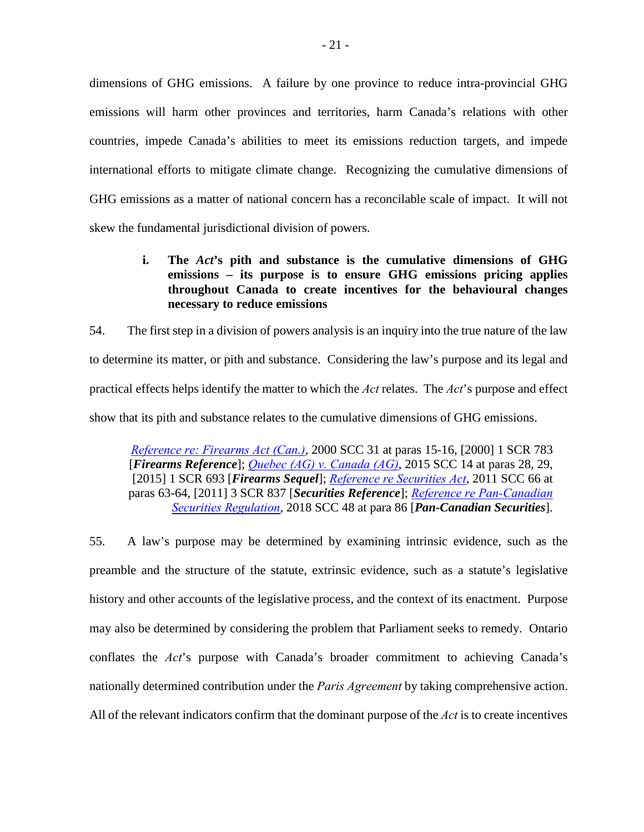dimensions of GHG emissions. A failure by one province to reduce intra-provincial GHG emissions will harm other provinces and territories, harm Canada's relations with other countries, impede Canada's abilities to meet its emissions reduction targets, and impede international efforts to mitigate climate change. Recognizing the cumulative dimensions of GHG emissions as a matter of national concern has a reconcilable scale of impact. It will not skew the fundamental jurisdictional division of powers.

## <span id="page-27-0"></span>**i. The** *Act***'s pith and substance is the cumulative dimensions of GHG emissions – its purpose is to ensure GHG emissions pricing applies throughout Canada to create incentives for the behavioural changes necessary to reduce emissions**

54. The first step in a division of powers analysis is an inquiry into the true nature of the law to determine its matter, or pith and substance. Considering the law's purpose and its legal and practical effects helps identify the matter to which the *Act* relates. The *Act*'s purpose and effect show that its pith and substance relates to the cumulative dimensions of GHG emissions.

*[Reference re: Firearms Act \(Can.\)](https://scc-csc.lexum.com/scc-csc/scc-csc/en/item/1794/index.do)*, 2000 SCC 31 at paras 15-16, [2000] 1 SCR 783 [*Firearms Reference*]; *[Quebec \(AG\) v. Canada \(AG\)](https://scc-csc.lexum.com/scc-csc/scc-csc/en/item/14713/index.do)*, 2015 SCC 14 at paras 28, 29, [2015] 1 SCR 693 [*Firearms Sequel*]; *[Reference re Securities Act](https://scc-csc.lexum.com/scc-csc/scc-csc/en/item/7984/index.do)*, 2011 SCC 66 at paras 63-64, [2011] 3 SCR 837 [*Securities Reference*]; *[Reference re Pan-Canadian](https://scc-csc.lexum.com/scc-csc/scc-csc/en/item/17355/index.do)  [Securities Regulation](https://scc-csc.lexum.com/scc-csc/scc-csc/en/item/17355/index.do)*, 2018 SCC 48 at para 86 [*Pan-Canadian Securities*].

55. A law's purpose may be determined by examining intrinsic evidence, such as the preamble and the structure of the statute, extrinsic evidence, such as a statute's legislative history and other accounts of the legislative process, and the context of its enactment. Purpose may also be determined by considering the problem that Parliament seeks to remedy. Ontario conflates the *Act*'s purpose with Canada's broader commitment to achieving Canada's nationally determined contribution under the *Paris Agreement* by taking comprehensive action. All of the relevant indicators confirm that the dominant purpose of the *Act* is to create incentives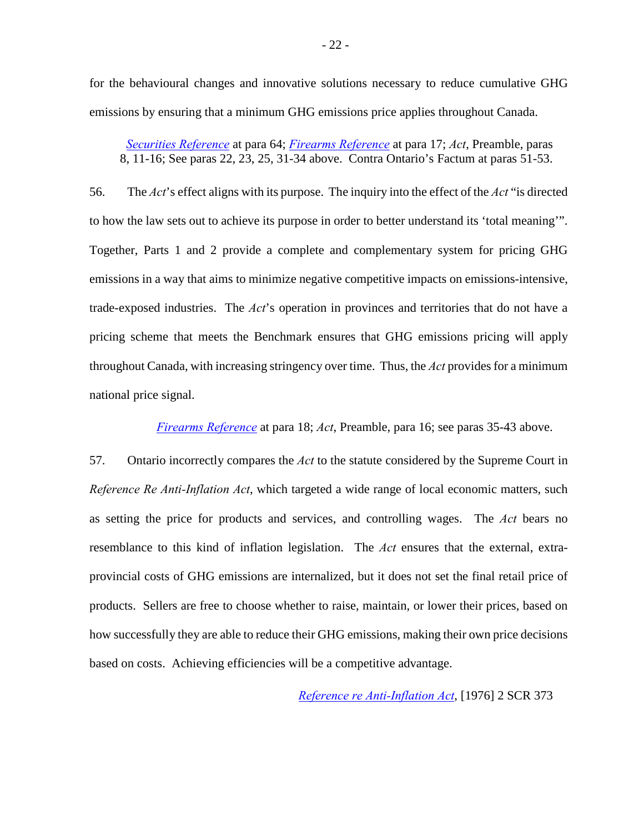for the behavioural changes and innovative solutions necessary to reduce cumulative GHG emissions by ensuring that a minimum GHG emissions price applies throughout Canada.

*[Securities Reference](https://scc-csc.lexum.com/scc-csc/scc-csc/en/item/7984/index.do)* at para 64; *[Firearms Reference](https://scc-csc.lexum.com/scc-csc/scc-csc/en/item/1794/index.do)* at para 17; *Act*, Preamble, paras 8, 11-16; See paras 22, 23, 25, 31-34 above. Contra Ontario's Factum at paras 51-53.

56. The *Act*'s effect aligns with its purpose. The inquiry into the effect of the *Act* "is directed to how the law sets out to achieve its purpose in order to better understand its 'total meaning'". Together, Parts 1 and 2 provide a complete and complementary system for pricing GHG emissions in a way that aims to minimize negative competitive impacts on emissions-intensive, trade-exposed industries. The *Act*'s operation in provinces and territories that do not have a pricing scheme that meets the Benchmark ensures that GHG emissions pricing will apply throughout Canada, with increasing stringency over time. Thus, the *Act* provides for a minimum national price signal.

*[Firearms Reference](https://scc-csc.lexum.com/scc-csc/scc-csc/en/item/1794/index.do)* at para 18; *Act*, Preamble, para 16; see paras 35-43 above.

57. Ontario incorrectly compares the *Act* to the statute considered by the Supreme Court in *Reference Re Anti-Inflation Act*, which targeted a wide range of local economic matters, such as setting the price for products and services, and controlling wages. The *Act* bears no resemblance to this kind of inflation legislation. The *Act* ensures that the external, extraprovincial costs of GHG emissions are internalized, but it does not set the final retail price of products. Sellers are free to choose whether to raise, maintain, or lower their prices, based on how successfully they are able to reduce their GHG emissions, making their own price decisions based on costs. Achieving efficiencies will be a competitive advantage.

*[Reference re Anti-Inflation Act](https://scc-csc.lexum.com/scc-csc/scc-csc/en/item/2696/index.do)*, [1976] 2 SCR 373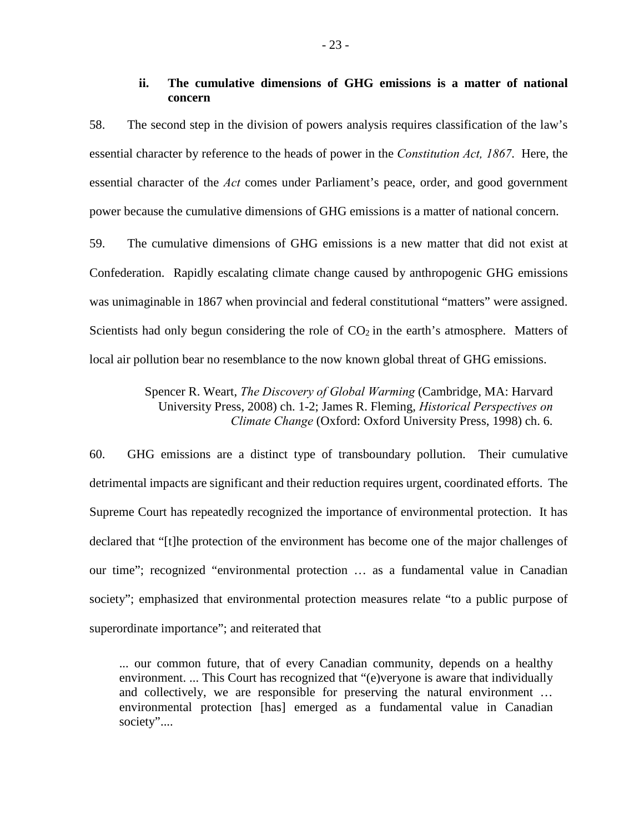## **ii. The cumulative dimensions of GHG emissions is a matter of national concern**

<span id="page-29-0"></span>58. The second step in the division of powers analysis requires classification of the law's essential character by reference to the heads of power in the *Constitution Act, 1867*. Here, the essential character of the *Act* comes under Parliament's peace, order, and good government power because the cumulative dimensions of GHG emissions is a matter of national concern.

59. The cumulative dimensions of GHG emissions is a new matter that did not exist at Confederation. Rapidly escalating climate change caused by anthropogenic GHG emissions was unimaginable in 1867 when provincial and federal constitutional "matters" were assigned. Scientists had only begun considering the role of  $CO<sub>2</sub>$  in the earth's atmosphere. Matters of local air pollution bear no resemblance to the now known global threat of GHG emissions.

> Spencer R. Weart, *The Discovery of Global Warming* (Cambridge, MA: Harvard University Press, 2008) ch. 1-2; James R. Fleming, *Historical Perspectives on Climate Change* (Oxford: Oxford University Press, 1998) ch. 6.

60. GHG emissions are a distinct type of transboundary pollution. Their cumulative detrimental impacts are significant and their reduction requires urgent, coordinated efforts. The Supreme Court has repeatedly recognized the importance of environmental protection. It has declared that "[t]he protection of the environment has become one of the major challenges of our time"; recognized "environmental protection … as a fundamental value in Canadian society"; emphasized that environmental protection measures relate "to a public purpose of superordinate importance"; and reiterated that

... our common future, that of every Canadian community, depends on a healthy environment. ... This Court has recognized that "(e)veryone is aware that individually and collectively, we are responsible for preserving the natural environment … environmental protection [has] emerged as a fundamental value in Canadian society"....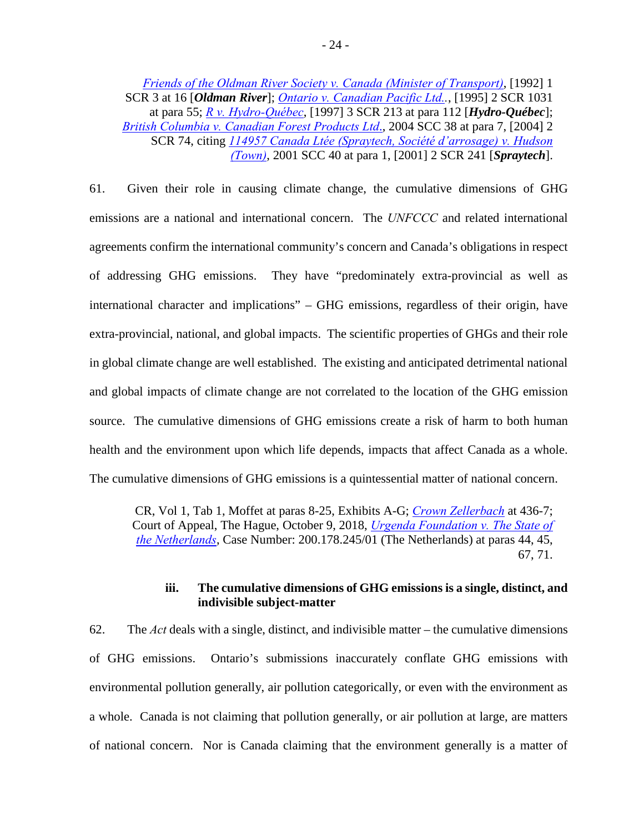*[Friends of the Oldman River Society v. Canada \(Minister of Transport\)](https://scc-csc.lexum.com/scc-csc/scc-csc/en/item/829/index.do)*, [1992] 1 SCR 3 at 16 [*Oldman River*]; *[Ontario v. Canadian Pacific Ltd..](https://scc-csc.lexum.com/scc-csc/scc-csc/en/item/1280/index.do)*, [1995] 2 SCR 1031 at para 55; *[R v. Hydro-Québec](https://scc-csc.lexum.com/scc-csc/scc-csc/en/item/1542/index.do)*, [1997] 3 SCR 213 at para 112 [*Hydro-Québec*]; *[British Columbia v. Canadian Forest Products Ltd](https://scc-csc.lexum.com/scc-csc/scc-csc/en/item/2152/index.do)*., 2004 SCC 38 at para 7, [2004] 2 SCR 74, citing *[114957 Canada Ltée \(Spraytech, Société d'arrosage\) v. Hudson](https://scc-csc.lexum.com/scc-csc/scc-csc/en/item/1878/index.do)  [\(Town\)](https://scc-csc.lexum.com/scc-csc/scc-csc/en/item/1878/index.do)*, 2001 SCC 40 at para 1, [2001] 2 SCR 241 [*Spraytech*].

61. Given their role in causing climate change, the cumulative dimensions of GHG emissions are a national and international concern. The *UNFCCC* and related international agreements confirm the international community's concern and Canada's obligations in respect of addressing GHG emissions. They have "predominately extra-provincial as well as international character and implications" – GHG emissions, regardless of their origin, have extra-provincial, national, and global impacts. The scientific properties of GHGs and their role in global climate change are well established. The existing and anticipated detrimental national and global impacts of climate change are not correlated to the location of the GHG emission source. The cumulative dimensions of GHG emissions create a risk of harm to both human health and the environment upon which life depends, impacts that affect Canada as a whole. The cumulative dimensions of GHG emissions is a quintessential matter of national concern.

CR, Vol 1, Tab 1, Moffet at paras 8-25, Exhibits A-G; *[Crown Zellerbach](https://scc-csc.lexum.com/scc-csc/scc-csc/en/item/306/index.do)* at 436-7; Court of Appeal, The Hague, October 9, 2018, *[Urgenda Foundation v. The State of](https://uitspraken.rechtspraak.nl/inziendocument?id=ECLI:NL:GHDHA:2018:2610)  [the Netherlands](https://uitspraken.rechtspraak.nl/inziendocument?id=ECLI:NL:GHDHA:2018:2610)*, Case Number: 200.178.245/01 (The Netherlands) at paras 44, 45, 67, 71.

## **iii. The cumulative dimensions of GHG emissions is a single, distinct, and indivisible subject-matter**

<span id="page-30-0"></span>62. The *Act* deals with a single, distinct, and indivisible matter – the cumulative dimensions of GHG emissions. Ontario's submissions inaccurately conflate GHG emissions with environmental pollution generally, air pollution categorically, or even with the environment as a whole. Canada is not claiming that pollution generally, or air pollution at large, are matters of national concern. Nor is Canada claiming that the environment generally is a matter of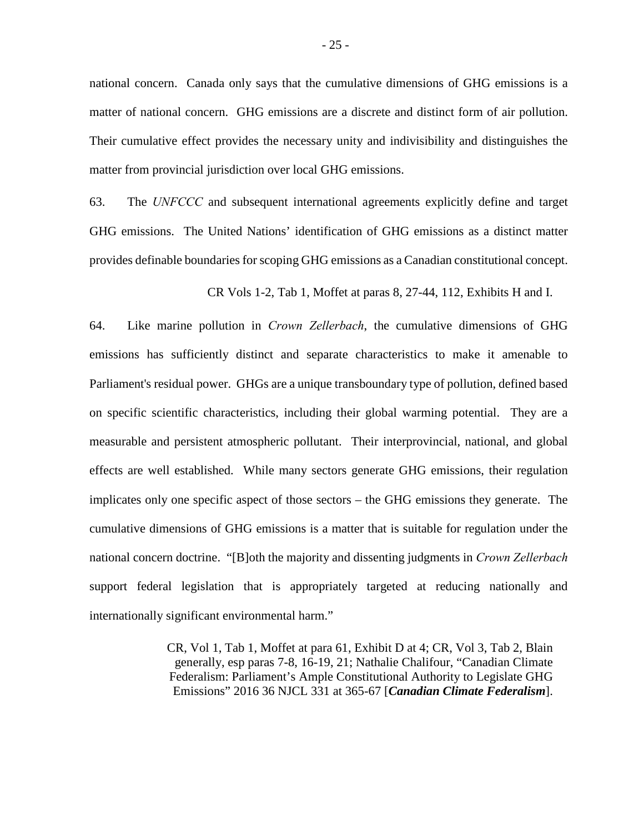national concern. Canada only says that the cumulative dimensions of GHG emissions is a matter of national concern. GHG emissions are a discrete and distinct form of air pollution. Their cumulative effect provides the necessary unity and indivisibility and distinguishes the matter from provincial jurisdiction over local GHG emissions.

63. The *UNFCCC* and subsequent international agreements explicitly define and target GHG emissions. The United Nations' identification of GHG emissions as a distinct matter provides definable boundaries for scoping GHG emissions as a Canadian constitutional concept.

CR Vols 1-2, Tab 1, Moffet at paras 8, 27-44, 112, Exhibits H and I.

64. Like marine pollution in *Crown Zellerbach*, the cumulative dimensions of GHG emissions has sufficiently distinct and separate characteristics to make it amenable to Parliament's residual power. GHGs are a unique transboundary type of pollution, defined based on specific scientific characteristics, including their global warming potential. They are a measurable and persistent atmospheric pollutant. Their interprovincial, national, and global effects are well established. While many sectors generate GHG emissions, their regulation implicates only one specific aspect of those sectors – the GHG emissions they generate. The cumulative dimensions of GHG emissions is a matter that is suitable for regulation under the national concern doctrine. "[B]oth the majority and dissenting judgments in *Crown Zellerbach*  support federal legislation that is appropriately targeted at reducing nationally and internationally significant environmental harm."

> CR, Vol 1, Tab 1, Moffet at para 61, Exhibit D at 4; CR, Vol 3, Tab 2, Blain generally, esp paras 7-8, 16-19, 21; Nathalie Chalifour, "Canadian Climate Federalism: Parliament's Ample Constitutional Authority to Legislate GHG Emissions" 2016 36 NJCL 331 at 365-67 [*Canadian Climate Federalism*].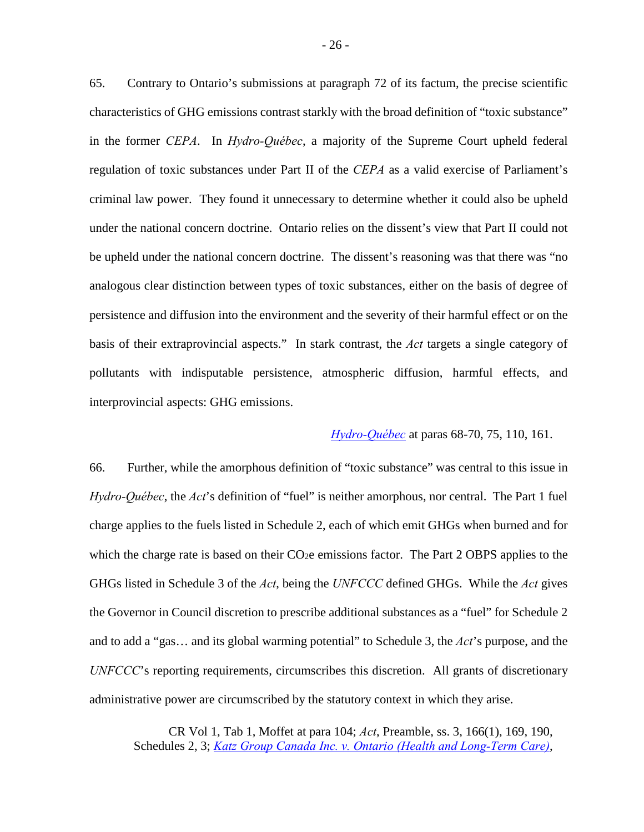65. Contrary to Ontario's submissions at paragraph 72 of its factum, the precise scientific characteristics of GHG emissions contrast starkly with the broad definition of "toxic substance" in the former *CEPA*. In *Hydro-Québec*, a majority of the Supreme Court upheld federal regulation of toxic substances under Part II of the *CEPA* as a valid exercise of Parliament's criminal law power. They found it unnecessary to determine whether it could also be upheld under the national concern doctrine. Ontario relies on the dissent's view that Part II could not be upheld under the national concern doctrine. The dissent's reasoning was that there was "no analogous clear distinction between types of toxic substances, either on the basis of degree of persistence and diffusion into the environment and the severity of their harmful effect or on the basis of their extraprovincial aspects." In stark contrast, the *Act* targets a single category of pollutants with indisputable persistence, atmospheric diffusion, harmful effects, and interprovincial aspects: GHG emissions.

## *[Hydro-Québec](https://scc-csc.lexum.com/scc-csc/scc-csc/en/item/1542/index.do)* at paras 68-70, 75, 110, 161.

66. Further, while the amorphous definition of "toxic substance" was central to this issue in *Hydro-Québec*, the *Act*'s definition of "fuel" is neither amorphous, nor central. The Part 1 fuel charge applies to the fuels listed in Schedule 2, each of which emit GHGs when burned and for which the charge rate is based on their CO<sub>2</sub>e emissions factor. The Part 2 OBPS applies to the GHGs listed in Schedule 3 of the *Act*, being the *UNFCCC* defined GHGs. While the *Act* gives the Governor in Council discretion to prescribe additional substances as a "fuel" for Schedule 2 and to add a "gas… and its global warming potential" to Schedule 3, the *Act*'s purpose, and the *UNFCCC*'s reporting requirements, circumscribes this discretion. All grants of discretionary administrative power are circumscribed by the statutory context in which they arise.

CR Vol 1, Tab 1, Moffet at para 104; *Act*, Preamble, ss. 3, 166(1), 169, 190, Schedules 2, 3; *[Katz Group Canada Inc. v. Ontario \(Health and Long‐Term Care\)](https://scc-csc.lexum.com/scc-csc/scc-csc/en/item/13342/index.do)*,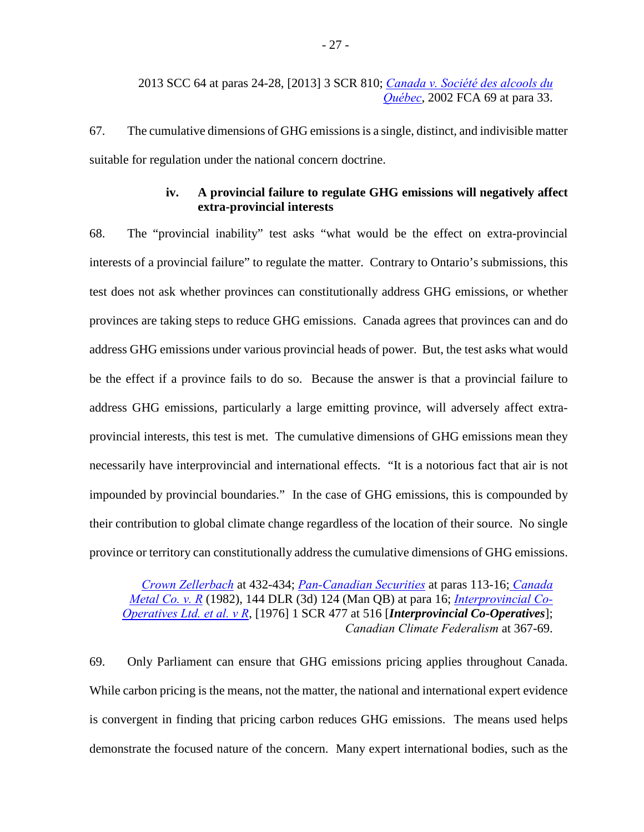67. The cumulative dimensions of GHG emissions is a single, distinct, and indivisible matter suitable for regulation under the national concern doctrine.

## **iv. A provincial failure to regulate GHG emissions will negatively affect extra-provincial interests**

<span id="page-33-0"></span>68. The "provincial inability" test asks "what would be the effect on extra-provincial interests of a provincial failure" to regulate the matter. Contrary to Ontario's submissions, this test does not ask whether provinces can constitutionally address GHG emissions, or whether provinces are taking steps to reduce GHG emissions. Canada agrees that provinces can and do address GHG emissions under various provincial heads of power. But, the test asks what would be the effect if a province fails to do so. Because the answer is that a provincial failure to address GHG emissions, particularly a large emitting province, will adversely affect extraprovincial interests, this test is met. The cumulative dimensions of GHG emissions mean they necessarily have interprovincial and international effects. "It is a notorious fact that air is not impounded by provincial boundaries." In the case of GHG emissions, this is compounded by their contribution to global climate change regardless of the location of their source. No single province or territory can constitutionally address the cumulative dimensions of GHG emissions.

*[Crown Zellerbach](https://scc-csc.lexum.com/scc-csc/scc-csc/en/item/306/index.do)* at 432-434; *[Pan-Canadian Securities](https://scc-csc.lexum.com/scc-csc/scc-csc/en/item/17355/index.do)* at paras 113-16; *[Canada](https://www.canlii.org/en/mb/mbqb/doc/1982/1982canlii2994/1982canlii2994.html)  [Metal Co. v. R](https://www.canlii.org/en/mb/mbqb/doc/1982/1982canlii2994/1982canlii2994.html)* (1982), 144 DLR (3d) 124 (Man QB) at para 16; *[Interprovincial Co-](https://scc-csc.lexum.com/scc-csc/scc-csc/en/item/5932/index.do)[Operatives Ltd. et al. v R](https://scc-csc.lexum.com/scc-csc/scc-csc/en/item/5932/index.do)*, [1976] 1 SCR 477 at 516 [*Interprovincial Co-Operatives*]; *Canadian Climate Federalism* at 367-69.

69. Only Parliament can ensure that GHG emissions pricing applies throughout Canada. While carbon pricing is the means, not the matter, the national and international expert evidence is convergent in finding that pricing carbon reduces GHG emissions. The means used helps demonstrate the focused nature of the concern. Many expert international bodies, such as the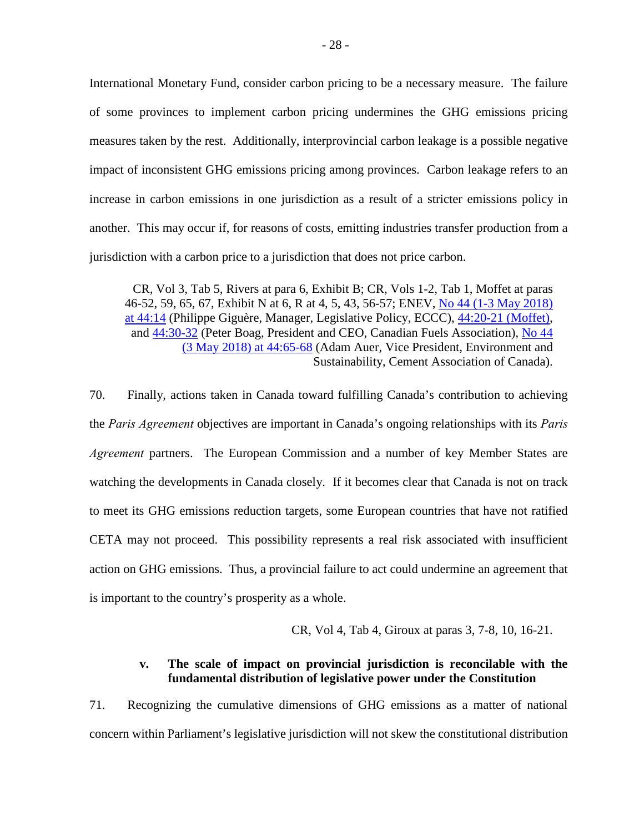International Monetary Fund, consider carbon pricing to be a necessary measure. The failure of some provinces to implement carbon pricing undermines the GHG emissions pricing measures taken by the rest. Additionally, interprovincial carbon leakage is a possible negative impact of inconsistent GHG emissions pricing among provinces. Carbon leakage refers to an increase in carbon emissions in one jurisdiction as a result of a stricter emissions policy in another. This may occur if, for reasons of costs, emitting industries transfer production from a jurisdiction with a carbon price to a jurisdiction that does not price carbon.

CR, Vol 3, Tab 5, Rivers at para 6, Exhibit B; CR, Vols 1-2, Tab 1, Moffet at paras 46-52, 59, 65, 67, Exhibit N at 6, R at 4, 5, 43, 56-57; ENEV, [No 44 \(1-3 May 2018\)](https://sencanada.ca/Content/SEN/Committee/421/enev/pdf/44issue.pdf)  [at 44:14](https://sencanada.ca/Content/SEN/Committee/421/enev/pdf/44issue.pdf) (Philippe Giguère, Manager, Legislative Policy, ECCC), [44:20-21 \(Moffet\),](https://sencanada.ca/Content/SEN/Committee/421/enev/pdf/44issue.pdf) and [44:30-32](https://sencanada.ca/Content/SEN/Committee/421/enev/pdf/44issue.pdf) (Peter Boag, President and CEO, Canadian Fuels Association), [No 44](https://sencanada.ca/Content/SEN/Committee/421/enev/pdf/44issue.pdf)  [\(3 May 2018\) at 44:65-68](https://sencanada.ca/Content/SEN/Committee/421/enev/pdf/44issue.pdf) (Adam Auer, Vice President, Environment and Sustainability, Cement Association of Canada).

70. Finally, actions taken in Canada toward fulfilling Canada's contribution to achieving the *Paris Agreement* objectives are important in Canada's ongoing relationships with its *Paris Agreement* partners. The European Commission and a number of key Member States are watching the developments in Canada closely. If it becomes clear that Canada is not on track to meet its GHG emissions reduction targets, some European countries that have not ratified CETA may not proceed. This possibility represents a real risk associated with insufficient action on GHG emissions. Thus, a provincial failure to act could undermine an agreement that is important to the country's prosperity as a whole.

CR, Vol 4, Tab 4, Giroux at paras 3, 7-8, 10, 16-21.

## **v. The scale of impact on provincial jurisdiction is reconcilable with the fundamental distribution of legislative power under the Constitution**

<span id="page-34-0"></span>71. Recognizing the cumulative dimensions of GHG emissions as a matter of national concern within Parliament's legislative jurisdiction will not skew the constitutional distribution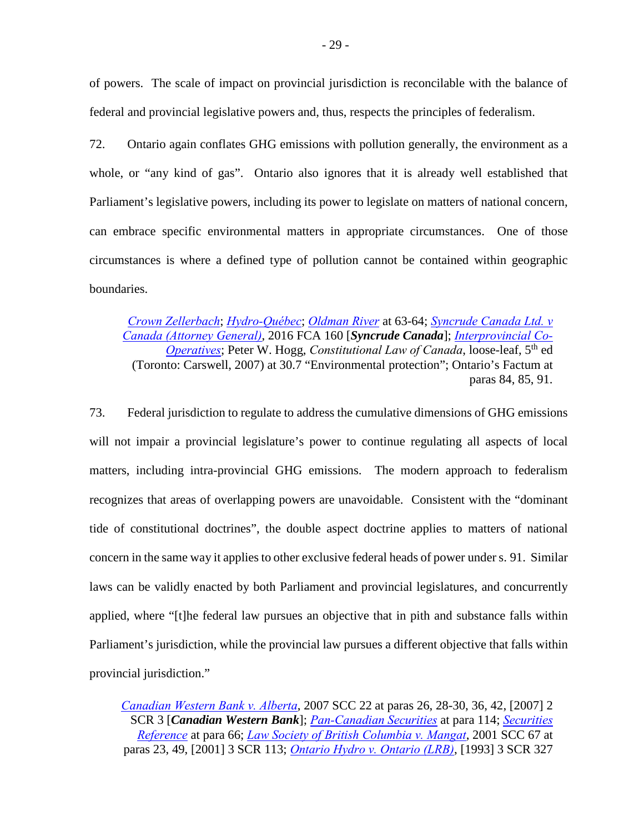of powers. The scale of impact on provincial jurisdiction is reconcilable with the balance of federal and provincial legislative powers and, thus, respects the principles of federalism.

72. Ontario again conflates GHG emissions with pollution generally, the environment as a whole, or "any kind of gas". Ontario also ignores that it is already well established that Parliament's legislative powers, including its power to legislate on matters of national concern, can embrace specific environmental matters in appropriate circumstances. One of those circumstances is where a defined type of pollution cannot be contained within geographic boundaries.

*[Crown Zellerbach](https://scc-csc.lexum.com/scc-csc/scc-csc/en/item/306/index.do)*; *[Hydro-Québec](https://scc-csc.lexum.com/scc-csc/scc-csc/en/item/1542/index.do)*; *[Oldman River](https://scc-csc.lexum.com/scc-csc/scc-csc/en/item/829/index.do)* at 63-64; *[Syncrude Canada Ltd. v](https://decisions.fca-caf.gc.ca/fca-caf/decisions/en/item/144495/index.do)  [Canada \(Attorney General\)](https://decisions.fca-caf.gc.ca/fca-caf/decisions/en/item/144495/index.do)*, 2016 FCA 160 [*Syncrude Canada*]; *[Interprovincial Co-](https://scc-csc.lexum.com/scc-csc/scc-csc/en/item/5932/index.do)[Operatives](https://scc-csc.lexum.com/scc-csc/scc-csc/en/item/5932/index.do)*; Peter W. Hogg, *Constitutional Law of Canada*, loose-leaf, 5<sup>th</sup> ed (Toronto: Carswell, 2007) at 30.7 "Environmental protection"; Ontario's Factum at paras 84, 85, 91.

73. Federal jurisdiction to regulate to address the cumulative dimensions of GHG emissions will not impair a provincial legislature's power to continue regulating all aspects of local matters, including intra-provincial GHG emissions. The modern approach to federalism recognizes that areas of overlapping powers are unavoidable. Consistent with the "dominant tide of constitutional doctrines", the double aspect doctrine applies to matters of national concern in the same way it applies to other exclusive federal heads of power under s. 91. Similar laws can be validly enacted by both Parliament and provincial legislatures, and concurrently applied, where "[t]he federal law pursues an objective that in pith and substance falls within Parliament's jurisdiction, while the provincial law pursues a different objective that falls within provincial jurisdiction."

*[Canadian Western Bank v. Alberta](https://scc-csc.lexum.com/scc-csc/scc-csc/en/item/2362/index.do)*, 2007 SCC 22 at paras 26, 28-30, 36, 42, [2007] 2 SCR 3 [*Canadian Western Bank*]; *[Pan-Canadian Securities](https://scc-csc.lexum.com/scc-csc/scc-csc/en/item/17355/index.do)* at para 114; *[Securities](https://scc-csc.lexum.com/scc-csc/scc-csc/en/item/7984/index.do)  [Reference](https://scc-csc.lexum.com/scc-csc/scc-csc/en/item/7984/index.do)* at para 66; *[Law Society of British Columbia v. Mangat](https://scc-csc.lexum.com/scc-csc/scc-csc/en/item/1907/index.do)*, 2001 SCC 67 at paras 23, 49, [2001] 3 SCR 113; *[Ontario Hydro v. Ontario \(LRB\)](https://scc-csc.lexum.com/scc-csc/scc-csc/en/item/1051/index.do)*, [1993] 3 SCR 327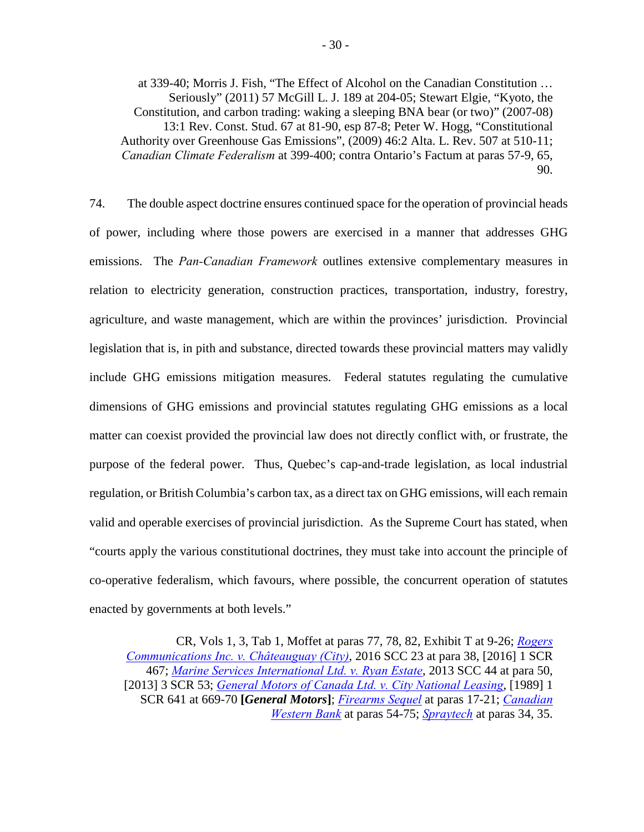at 339-40; Morris J. Fish, "The Effect of Alcohol on the Canadian Constitution … Seriously" (2011) 57 McGill L. J. 189 at 204-05; Stewart Elgie, "Kyoto, the Constitution, and carbon trading: waking a sleeping BNA bear (or two)" (2007-08) 13:1 Rev. Const. Stud. 67 at 81-90, esp 87-8; Peter W. Hogg, "Constitutional Authority over Greenhouse Gas Emissions", (2009) 46:2 Alta. L. Rev. 507 at 510-11; *Canadian Climate Federalism* at 399-400; contra Ontario's Factum at paras 57-9, 65, 90.

74. The double aspect doctrine ensures continued space for the operation of provincial heads of power, including where those powers are exercised in a manner that addresses GHG emissions. The *Pan-Canadian Framework* outlines extensive complementary measures in relation to electricity generation, construction practices, transportation, industry, forestry, agriculture, and waste management, which are within the provinces' jurisdiction. Provincial legislation that is, in pith and substance, directed towards these provincial matters may validly include GHG emissions mitigation measures. Federal statutes regulating the cumulative dimensions of GHG emissions and provincial statutes regulating GHG emissions as a local matter can coexist provided the provincial law does not directly conflict with, or frustrate, the purpose of the federal power. Thus, Quebec's cap-and-trade legislation, as local industrial regulation, or British Columbia's carbon tax, as a direct tax on GHG emissions, will each remain valid and operable exercises of provincial jurisdiction. As the Supreme Court has stated, when "courts apply the various constitutional doctrines, they must take into account the principle of co-operative federalism, which favours, where possible, the concurrent operation of statutes enacted by governments at both levels."

CR, Vols 1, 3, Tab 1, Moffet at paras 77, 78, 82, Exhibit T at 9-26; *[Rogers](https://scc-csc.lexum.com/scc-csc/scc-csc/en/item/16016/index.do)  [Communications Inc.](https://scc-csc.lexum.com/scc-csc/scc-csc/en/item/16016/index.do) v. Châteauguay (City)*, 2016 SCC 23 at para 38, [2016] 1 SCR 467; *[Marine Services International Ltd. v. Ryan Estate](https://scc-csc.lexum.com/scc-csc/scc-csc/en/item/13192/index.do)*, 2013 SCC 44 at para 50, [2013] 3 SCR 53; *[General Motors of Canada Ltd. v. City National Leasing](https://scc-csc.lexum.com/scc-csc/scc-csc/en/item/433/index.do)*, [1989] 1 SCR 641 at 669-70 **[***General Motors***]**; *[Firearms Sequel](https://scc-csc.lexum.com/scc-csc/scc-csc/en/item/14713/index.do)* at paras 17-21; *[Canadian](https://scc-csc.lexum.com/scc-csc/scc-csc/en/item/2362/index.do)  [Western Bank](https://scc-csc.lexum.com/scc-csc/scc-csc/en/item/2362/index.do)* at paras 54-75; *[Spraytech](https://scc-csc.lexum.com/scc-csc/scc-csc/en/item/1878/index.do)* at paras 34, 35.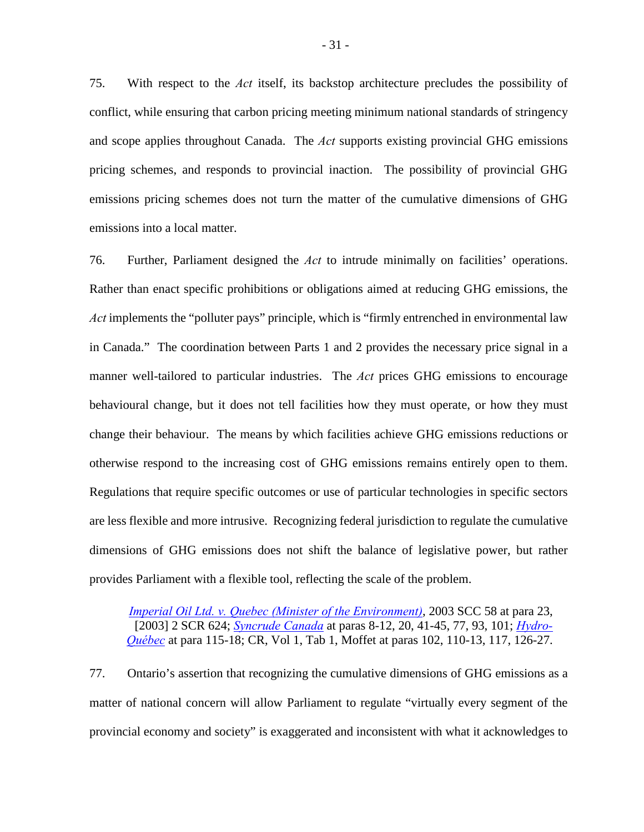75. With respect to the *Act* itself, its backstop architecture precludes the possibility of conflict, while ensuring that carbon pricing meeting minimum national standards of stringency and scope applies throughout Canada. The *Act* supports existing provincial GHG emissions pricing schemes, and responds to provincial inaction. The possibility of provincial GHG emissions pricing schemes does not turn the matter of the cumulative dimensions of GHG emissions into a local matter.

76. Further, Parliament designed the *Act* to intrude minimally on facilities' operations. Rather than enact specific prohibitions or obligations aimed at reducing GHG emissions, the *Act* implements the "polluter pays" principle, which is "firmly entrenched in environmental law in Canada." The coordination between Parts 1 and 2 provides the necessary price signal in a manner well-tailored to particular industries. The *Act* prices GHG emissions to encourage behavioural change, but it does not tell facilities how they must operate, or how they must change their behaviour. The means by which facilities achieve GHG emissions reductions or otherwise respond to the increasing cost of GHG emissions remains entirely open to them. Regulations that require specific outcomes or use of particular technologies in specific sectors are less flexible and more intrusive. Recognizing federal jurisdiction to regulate the cumulative dimensions of GHG emissions does not shift the balance of legislative power, but rather provides Parliament with a flexible tool, reflecting the scale of the problem.

*[Imperial Oil Ltd. v. Quebec \(Minister of the Environment\)](https://scc-csc.lexum.com/scc-csc/scc-csc/en/item/2092/index.do)*, 2003 SCC 58 at para 23, [2003] 2 SCR 624; *[Syncrude Canada](https://decisions.fca-caf.gc.ca/fca-caf/decisions/en/item/144495/index.do)* at paras 8-12, 20, 41-45, 77, 93, 101; *[Hydro-](https://scc-csc.lexum.com/scc-csc/scc-csc/en/item/1542/index.do)[Québec](https://scc-csc.lexum.com/scc-csc/scc-csc/en/item/1542/index.do)* at para 115-18; CR, Vol 1, Tab 1, Moffet at paras 102, 110-13, 117, 126-27.

77. Ontario's assertion that recognizing the cumulative dimensions of GHG emissions as a matter of national concern will allow Parliament to regulate "virtually every segment of the provincial economy and society" is exaggerated and inconsistent with what it acknowledges to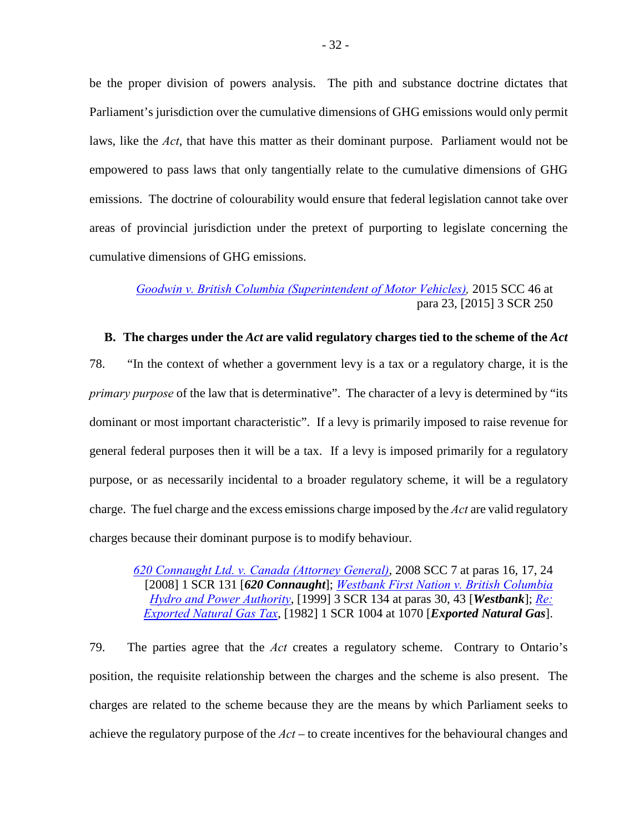be the proper division of powers analysis. The pith and substance doctrine dictates that Parliament's jurisdiction over the cumulative dimensions of GHG emissions would only permit laws, like the *Act*, that have this matter as their dominant purpose. Parliament would not be empowered to pass laws that only tangentially relate to the cumulative dimensions of GHG emissions. The doctrine of colourability would ensure that federal legislation cannot take over areas of provincial jurisdiction under the pretext of purporting to legislate concerning the cumulative dimensions of GHG emissions.

*[Goodwin v. British Columbia \(Superintendent of Motor Vehicles\),](https://scc-csc.lexum.com/scc-csc/scc-csc/en/item/15550/index.do)* 2015 SCC 46 at para 23, [2015] 3 SCR 250

## <span id="page-38-0"></span>**B. The charges under the** *Act* **are valid regulatory charges tied to the scheme of the** *Act*

78. "In the context of whether a government levy is a tax or a regulatory charge, it is the *primary purpose* of the law that is determinative". The character of a levy is determined by "its dominant or most important characteristic". If a levy is primarily imposed to raise revenue for general federal purposes then it will be a tax. If a levy is imposed primarily for a regulatory purpose, or as necessarily incidental to a broader regulatory scheme, it will be a regulatory charge. The fuel charge and the excess emissions charge imposed by the *Act* are valid regulatory charges because their dominant purpose is to modify behaviour.

*[620 Connaught Ltd. v. Canada \(Attorney General\)](https://scc-csc.lexum.com/scc-csc/scc-csc/en/item/2405/index.do)*, 2008 SCC 7 at paras 16, 17, 24 [2008] 1 SCR 131 [*620 Connaught*]; *[Westbank First Nation v. British Columbia](https://scc-csc.lexum.com/scc-csc/scc-csc/en/item/1727/index.do)  [Hydro and Power Authority](https://scc-csc.lexum.com/scc-csc/scc-csc/en/item/1727/index.do)*, [1999] 3 SCR 134 at paras 30, 43 [*Westbank*]; *[Re:](https://scc-csc.lexum.com/scc-csc/scc-csc/en/item/5493/index.do)  [Exported Natural Gas Tax](https://scc-csc.lexum.com/scc-csc/scc-csc/en/item/5493/index.do)*, [1982] 1 SCR 1004 at 1070 [*Exported Natural Gas*].

79. The parties agree that the *Act* creates a regulatory scheme. Contrary to Ontario's position, the requisite relationship between the charges and the scheme is also present. The charges are related to the scheme because they are the means by which Parliament seeks to achieve the regulatory purpose of the *Act* – to create incentives for the behavioural changes and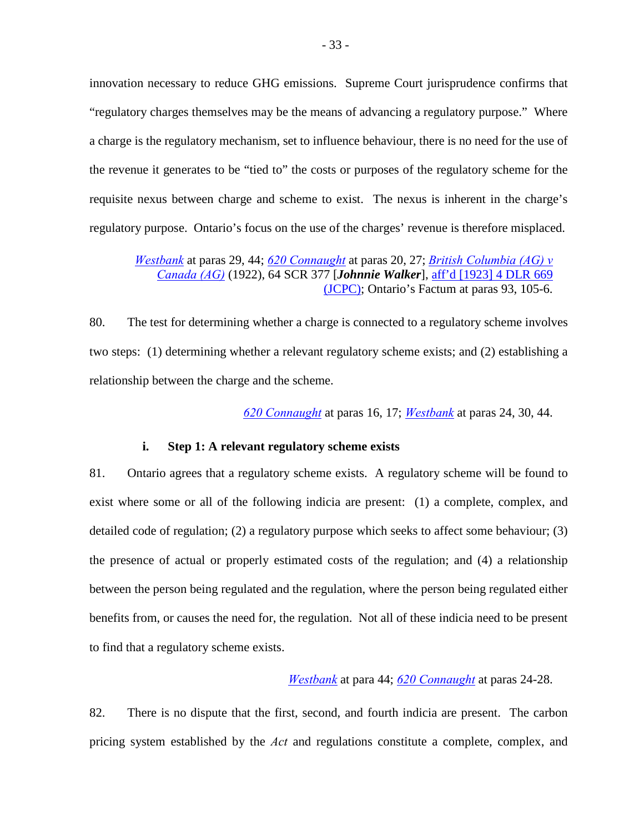innovation necessary to reduce GHG emissions. Supreme Court jurisprudence confirms that "regulatory charges themselves may be the means of advancing a regulatory purpose." Where a charge is the regulatory mechanism, set to influence behaviour, there is no need for the use of the revenue it generates to be "tied to" the costs or purposes of the regulatory scheme for the requisite nexus between charge and scheme to exist. The nexus is inherent in the charge's regulatory purpose. Ontario's focus on the use of the charges' revenue is therefore misplaced.

*[Westbank](https://scc-csc.lexum.com/scc-csc/scc-csc/en/item/1727/index.do)* at paras 29, 44; *[620 Connaught](https://scc-csc.lexum.com/scc-csc/scc-csc/en/item/2405/index.do)* at paras 20, 27; *[British Columbia \(AG\) v](https://scc-csc.lexum.com/scc-csc/scc-csc/en/item/9319/index.do)  [Canada \(AG\)](https://scc-csc.lexum.com/scc-csc/scc-csc/en/item/9319/index.do)* (1922), 64 SCR 377 [*Johnnie Walker*], [aff'd \[1923\] 4 DLR 669](https://www.canlii.org/en/ca/ukjcpc/doc/1923/1923canlii426/1923canlii426.html)  [\(JCPC\);](https://www.canlii.org/en/ca/ukjcpc/doc/1923/1923canlii426/1923canlii426.html) Ontario's Factum at paras 93, 105-6.

80. The test for determining whether a charge is connected to a regulatory scheme involves two steps: (1) determining whether a relevant regulatory scheme exists; and (2) establishing a relationship between the charge and the scheme.

*[620 Connaught](https://scc-csc.lexum.com/scc-csc/scc-csc/en/item/2405/index.do)* at paras 16, 17; *[Westbank](https://scc-csc.lexum.com/scc-csc/scc-csc/en/item/1727/index.do)* at paras 24, 30, 44.

#### **i. Step 1: A relevant regulatory scheme exists**

<span id="page-39-0"></span>81. Ontario agrees that a regulatory scheme exists. A regulatory scheme will be found to exist where some or all of the following indicia are present: (1) a complete, complex, and detailed code of regulation; (2) a regulatory purpose which seeks to affect some behaviour; (3) the presence of actual or properly estimated costs of the regulation; and (4) a relationship between the person being regulated and the regulation, where the person being regulated either benefits from, or causes the need for, the regulation. Not all of these indicia need to be present to find that a regulatory scheme exists.

## *[Westbank](https://scc-csc.lexum.com/scc-csc/scc-csc/en/item/1727/index.do)* at para 44; *[620 Connaught](https://scc-csc.lexum.com/scc-csc/scc-csc/en/item/2405/index.do)* at paras 24-28.

82. There is no dispute that the first, second, and fourth indicia are present. The carbon pricing system established by the *Act* and regulations constitute a complete, complex, and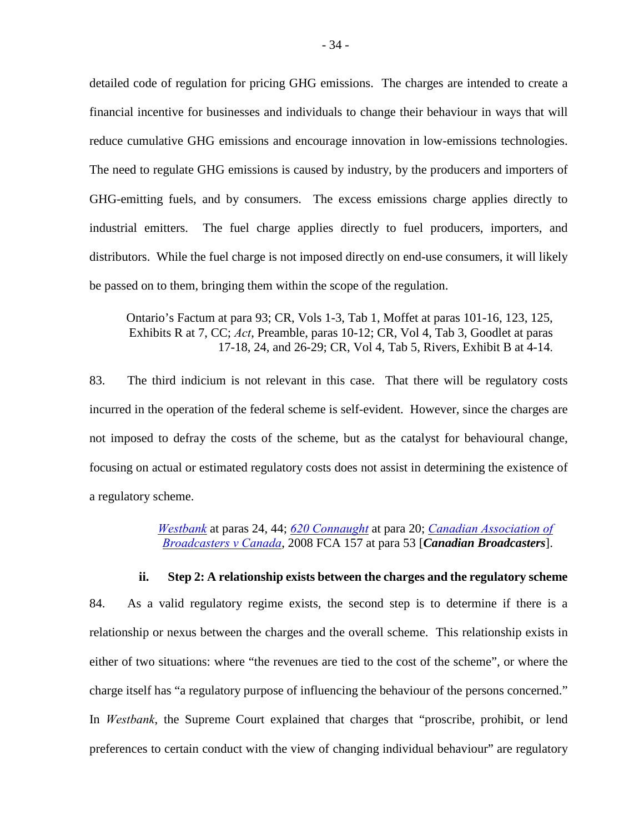detailed code of regulation for pricing GHG emissions. The charges are intended to create a financial incentive for businesses and individuals to change their behaviour in ways that will reduce cumulative GHG emissions and encourage innovation in low-emissions technologies. The need to regulate GHG emissions is caused by industry, by the producers and importers of GHG-emitting fuels, and by consumers. The excess emissions charge applies directly to industrial emitters. The fuel charge applies directly to fuel producers, importers, and distributors. While the fuel charge is not imposed directly on end-use consumers, it will likely be passed on to them, bringing them within the scope of the regulation.

Ontario's Factum at para 93; CR, Vols 1-3, Tab 1, Moffet at paras 101-16, 123, 125, Exhibits R at 7, CC; *Act*, Preamble, paras 10-12; CR, Vol 4, Tab 3, Goodlet at paras 17-18, 24, and 26-29; CR, Vol 4, Tab 5, Rivers, Exhibit B at 4-14.

83. The third indicium is not relevant in this case. That there will be regulatory costs incurred in the operation of the federal scheme is self-evident. However, since the charges are not imposed to defray the costs of the scheme, but as the catalyst for behavioural change, focusing on actual or estimated regulatory costs does not assist in determining the existence of a regulatory scheme.

> *[Westbank](https://scc-csc.lexum.com/scc-csc/scc-csc/en/item/1727/index.do)* at paras 24, 44; *[620 Connaught](https://scc-csc.lexum.com/scc-csc/scc-csc/en/item/2405/index.do)* at para 20; *[Canadian Association of](https://decisions.fca-caf.gc.ca/fca-caf/decisions/en/item/35984/index.do)  [Broadcasters v Canada](https://decisions.fca-caf.gc.ca/fca-caf/decisions/en/item/35984/index.do)*, 2008 FCA 157 at para 53 [*Canadian Broadcasters*].

<span id="page-40-0"></span>**ii. Step 2: A relationship exists between the charges and the regulatory scheme**  84. As a valid regulatory regime exists, the second step is to determine if there is a relationship or nexus between the charges and the overall scheme. This relationship exists in either of two situations: where "the revenues are tied to the cost of the scheme", or where the charge itself has "a regulatory purpose of influencing the behaviour of the persons concerned." In *Westbank*, the Supreme Court explained that charges that "proscribe, prohibit, or lend preferences to certain conduct with the view of changing individual behaviour" are regulatory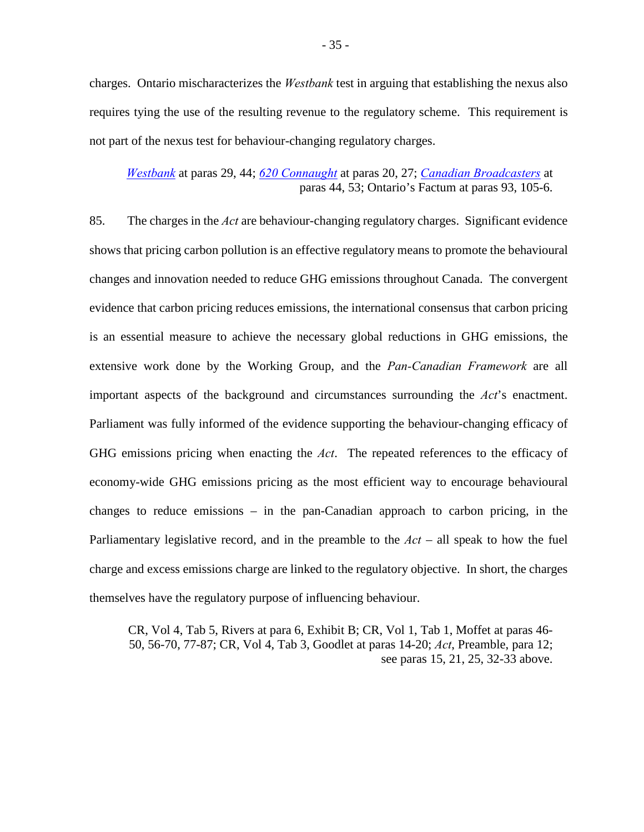charges. Ontario mischaracterizes the *Westbank* test in arguing that establishing the nexus also requires tying the use of the resulting revenue to the regulatory scheme. This requirement is not part of the nexus test for behaviour-changing regulatory charges.

## *[Westbank](https://scc-csc.lexum.com/scc-csc/scc-csc/en/item/1727/index.do)* at paras 29, 44; *[620 Connaught](https://scc-csc.lexum.com/scc-csc/scc-csc/en/item/2405/index.do)* at paras 20, 27; *[Canadian Broadcasters](https://decisions.fca-caf.gc.ca/fca-caf/decisions/en/item/35984/index.do)* at paras 44, 53; Ontario's Factum at paras 93, 105-6.

85. The charges in the *Act* are behaviour-changing regulatory charges. Significant evidence shows that pricing carbon pollution is an effective regulatory means to promote the behavioural changes and innovation needed to reduce GHG emissions throughout Canada. The convergent evidence that carbon pricing reduces emissions, the international consensus that carbon pricing is an essential measure to achieve the necessary global reductions in GHG emissions, the extensive work done by the Working Group, and the *Pan-Canadian Framework* are all important aspects of the background and circumstances surrounding the *Act*'s enactment. Parliament was fully informed of the evidence supporting the behaviour-changing efficacy of GHG emissions pricing when enacting the *Act*. The repeated references to the efficacy of economy-wide GHG emissions pricing as the most efficient way to encourage behavioural changes to reduce emissions – in the pan-Canadian approach to carbon pricing, in the Parliamentary legislative record, and in the preamble to the *Act* – all speak to how the fuel charge and excess emissions charge are linked to the regulatory objective. In short, the charges themselves have the regulatory purpose of influencing behaviour.

CR, Vol 4, Tab 5, Rivers at para 6, Exhibit B; CR, Vol 1, Tab 1, Moffet at paras 46- 50, 56-70, 77-87; CR, Vol 4, Tab 3, Goodlet at paras 14-20; *Act*, Preamble, para 12; see paras 15, 21, 25, 32-33 above.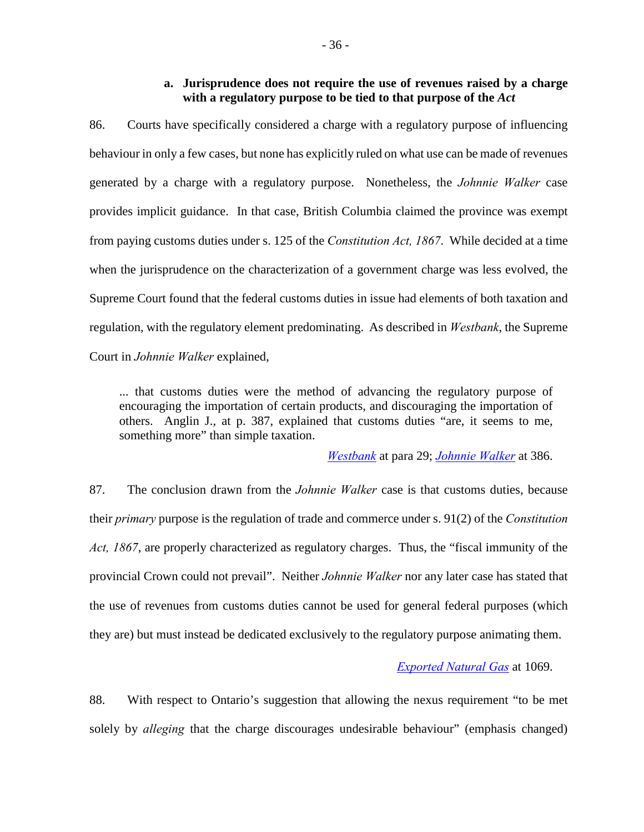## **a. Jurisprudence does not require the use of revenues raised by a charge with a regulatory purpose to be tied to that purpose of the** *Act*

<span id="page-42-0"></span>86. Courts have specifically considered a charge with a regulatory purpose of influencing behaviour in only a few cases, but none has explicitly ruled on what use can be made of revenues generated by a charge with a regulatory purpose. Nonetheless, the *Johnnie Walker* case provides implicit guidance. In that case, British Columbia claimed the province was exempt from paying customs duties under s. 125 of the *Constitution Act, 1867*. While decided at a time when the jurisprudence on the characterization of a government charge was less evolved, the Supreme Court found that the federal customs duties in issue had elements of both taxation and regulation, with the regulatory element predominating. As described in *Westbank*, the Supreme Court in *Johnnie Walker* explained,

... that customs duties were the method of advancing the regulatory purpose of encouraging the importation of certain products, and discouraging the importation of others. Anglin J., at p. 387, explained that customs duties "are, it seems to me, something more" than simple taxation.

*[Westbank](https://scc-csc.lexum.com/scc-csc/scc-csc/en/item/1727/index.do)* at para 29; *[Johnnie Walker](https://scc-csc.lexum.com/scc-csc/scc-csc/en/item/9319/index.do)* at 386.

87. The conclusion drawn from the *Johnnie Walker* case is that customs duties, because their *primary* purpose is the regulation of trade and commerce under s. 91(2) of the *Constitution Act, 1867*, are properly characterized as regulatory charges. Thus, the "fiscal immunity of the provincial Crown could not prevail". Neither *Johnnie Walker* nor any later case has stated that the use of revenues from customs duties cannot be used for general federal purposes (which they are) but must instead be dedicated exclusively to the regulatory purpose animating them.

## *[Exported Natural Gas](https://scc-csc.lexum.com/scc-csc/scc-csc/en/item/5493/index.do)* at 1069.

88. With respect to Ontario's suggestion that allowing the nexus requirement "to be met solely by *alleging* that the charge discourages undesirable behaviour" (emphasis changed)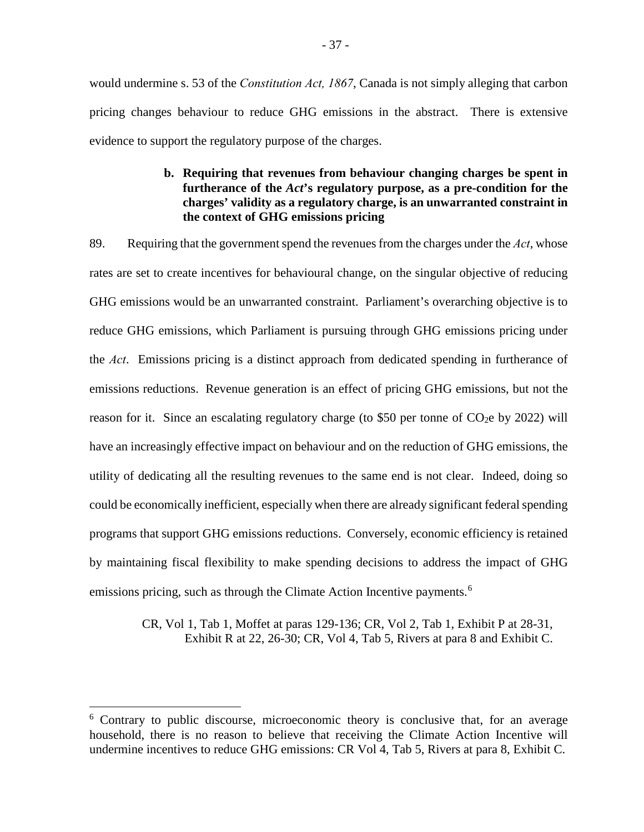would undermine s. 53 of the *Constitution Act, 1867*, Canada is not simply alleging that carbon pricing changes behaviour to reduce GHG emissions in the abstract. There is extensive evidence to support the regulatory purpose of the charges.

## **b. Requiring that revenues from behaviour changing charges be spent in furtherance of the** *Act***'s regulatory purpose, as a pre-condition for the charges' validity as a regulatory charge, is an unwarranted constraint in the context of GHG emissions pricing**

<span id="page-43-0"></span>89. Requiring that the government spend the revenues from the charges under the *Act*, whose rates are set to create incentives for behavioural change, on the singular objective of reducing GHG emissions would be an unwarranted constraint. Parliament's overarching objective is to reduce GHG emissions, which Parliament is pursuing through GHG emissions pricing under the *Act*.Emissions pricing is a distinct approach from dedicated spending in furtherance of emissions reductions. Revenue generation is an effect of pricing GHG emissions, but not the reason for it. Since an escalating regulatory charge (to \$50 per tonne of  $CO<sub>2</sub>e$  by 2022) will have an increasingly effective impact on behaviour and on the reduction of GHG emissions, the utility of dedicating all the resulting revenues to the same end is not clear. Indeed, doing so could be economically inefficient, especially when there are already significant federal spending programs that support GHG emissions reductions. Conversely, economic efficiency is retained by maintaining fiscal flexibility to make spending decisions to address the impact of GHG emissions pricing, such as through the Climate Action Incentive payments.<sup>[6](#page-43-1)</sup>

> CR, Vol 1, Tab 1, Moffet at paras 129-136; CR, Vol 2, Tab 1, Exhibit P at 28-31, Exhibit R at 22, 26-30; CR, Vol 4, Tab 5, Rivers at para 8 and Exhibit C.

-

<span id="page-43-1"></span><sup>&</sup>lt;sup>6</sup> Contrary to public discourse, microeconomic theory is conclusive that, for an average household, there is no reason to believe that receiving the Climate Action Incentive will undermine incentives to reduce GHG emissions: CR Vol 4, Tab 5, Rivers at para 8, Exhibit C.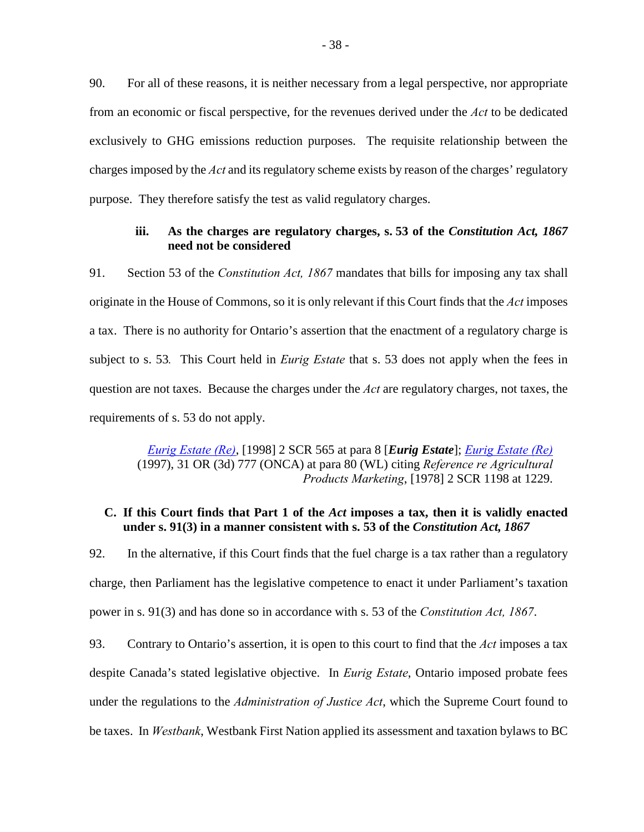90. For all of these reasons, it is neither necessary from a legal perspective, nor appropriate from an economic or fiscal perspective, for the revenues derived under the *Act* to be dedicated exclusively to GHG emissions reduction purposes. The requisite relationship between the charges imposed by the *Act* and its regulatory scheme exists by reason of the charges' regulatory purpose. They therefore satisfy the test as valid regulatory charges.

## **iii. As the charges are regulatory charges, s. 53 of the** *Constitution Act, 1867* **need not be considered**

<span id="page-44-0"></span>91. Section 53 of the *Constitution Act, 1867* mandates that bills for imposing any tax shall originate in the House of Commons, so it is only relevant if this Court finds that the *Act* imposes a tax. There is no authority for Ontario's assertion that the enactment of a regulatory charge is subject to s. 53*.* This Court held in *Eurig Estate* that s. 53 does not apply when the fees in question are not taxes. Because the charges under the *Act* are regulatory charges, not taxes, the requirements of s. 53 do not apply.

> *[Eurig Estate \(Re\)](https://scc-csc.lexum.com/scc-csc/scc-csc/en/item/1651/index.do)*, [1998] 2 SCR 565 at para 8 [*Eurig Estate*]; *[Eurig Estate \(Re\)](https://www.canlii.org/en/on/onca/doc/1997/1997canlii1080/1997canlii1080.html)* (1997), 31 OR (3d) 777 (ONCA) at para 80 (WL) citing *Reference re Agricultural Products Marketing*, [1978] 2 SCR 1198 at 1229.

## <span id="page-44-1"></span>**C. If this Court finds that Part 1 of the** *Act* **imposes a tax, then it is validly enacted under s. 91(3) in a manner consistent with s. 53 of the** *Constitution Act, 1867*

92. In the alternative, if this Court finds that the fuel charge is a tax rather than a regulatory charge, then Parliament has the legislative competence to enact it under Parliament's taxation power in s. 91(3) and has done so in accordance with s. 53 of the *Constitution Act, 1867*.

93. Contrary to Ontario's assertion, it is open to this court to find that the *Act* imposes a tax despite Canada's stated legislative objective. In *Eurig Estate*, Ontario imposed probate fees under the regulations to the *Administration of Justice Act*, which the Supreme Court found to be taxes. In *Westbank*, Westbank First Nation applied its assessment and taxation bylaws to BC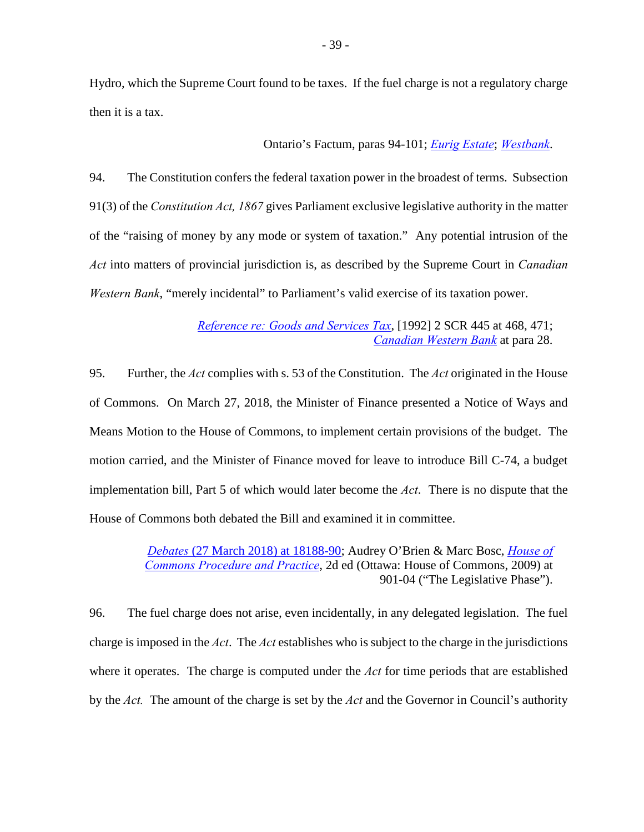Hydro, which the Supreme Court found to be taxes. If the fuel charge is not a regulatory charge then it is a tax.

Ontario's Factum, paras 94-101; *[Eurig Estate](https://scc-csc.lexum.com/scc-csc/scc-csc/en/item/1651/index.do)*; *[Westbank](https://scc-csc.lexum.com/scc-csc/scc-csc/en/item/1727/index.do)*.

94. The Constitution confers the federal taxation power in the broadest of terms. Subsection 91(3) of the *Constitution Act, 1867* gives Parliament exclusive legislative authority in the matter of the "raising of money by any mode or system of taxation." Any potential intrusion of the *Act* into matters of provincial jurisdiction is, as described by the Supreme Court in *Canadian Western Bank*, "merely incidental" to Parliament's valid exercise of its taxation power.

> *[Reference re: Goods and Services Tax](https://scc-csc.lexum.com/scc-csc/scc-csc/en/item/897/index.do)*, [1992] 2 SCR 445 at 468, 471; *[Canadian Western Bank](https://scc-csc.lexum.com/scc-csc/scc-csc/en/item/2362/index.do)* at para 28.

95. Further, the *Act* complies with s. 53 of the Constitution. The *Act* originated in the House of Commons. On March 27, 2018, the Minister of Finance presented a Notice of Ways and Means Motion to the House of Commons, to implement certain provisions of the budget. The motion carried, and the Minister of Finance moved for leave to introduce Bill C-74, a budget implementation bill, Part 5 of which would later become the *Act*. There is no dispute that the House of Commons both debated the Bill and examined it in committee.

> *Debates* [\(27 March 2018\) at 18188-90;](http://www.ourcommons.ca/Content/House/421/Debates/276/HAN276-E.PDF) Audrey O'Brien & Marc Bosc, *[House of](http://www.ourcommons.ca/procedure-book-livre/Document.aspx?Language=E&Mode=1&sbdid=F26EB116-B0B6-490C-B410-33D985BC9B6B&sbpid=6ABAC7E5-2E85-460D-BA40-03C98C16C566#0628D55D-693F-40FF-9C30-CB3D1F697C83)  [Commons Procedure and Practice](http://www.ourcommons.ca/procedure-book-livre/Document.aspx?Language=E&Mode=1&sbdid=F26EB116-B0B6-490C-B410-33D985BC9B6B&sbpid=6ABAC7E5-2E85-460D-BA40-03C98C16C566#0628D55D-693F-40FF-9C30-CB3D1F697C83)*, 2d ed (Ottawa: House of Commons, 2009) at 901-04 ("The Legislative Phase").

96. The fuel charge does not arise, even incidentally, in any delegated legislation. The fuel charge is imposed in the *Act*. The *Act* establishes who is subject to the charge in the jurisdictions where it operates. The charge is computed under the *Act* for time periods that are established by the *Act.* The amount of the charge is set by the *Act* and the Governor in Council's authority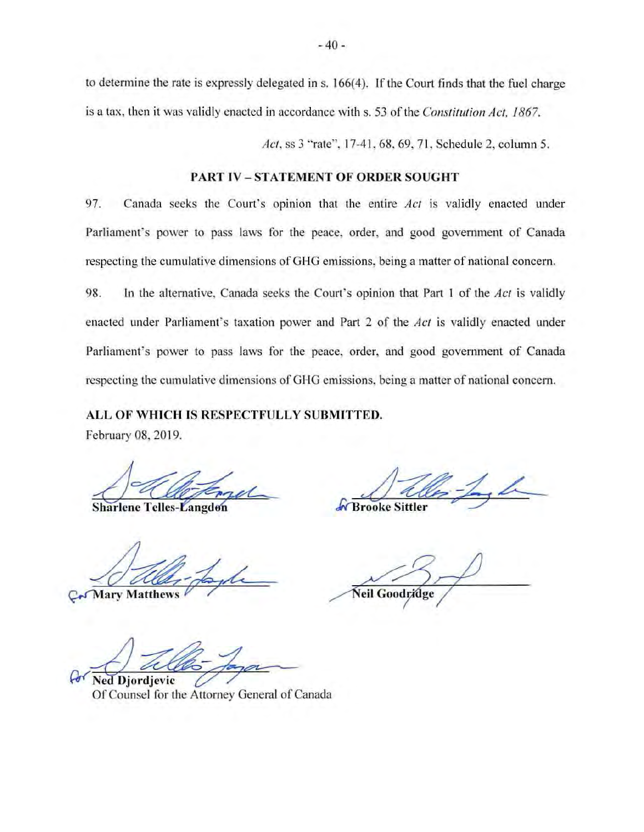to determine the rate is expressly delegated in s. 166( 4). If the Court finds that the fuel charge is a tax, then it was validly enacted in accordance with s. 53 of the *Constitution Act*, 1867.

*Act,* ss 3 "rate'', 17-41 , 68, 69, 71 , Schedule 2, column 5.

## **PART IV - STATEMENT OF ORDER SOUGHT**

97. Canada seeks the Court's opinion that the entire *Act* is validly enacted under Parliament's power to pass laws for the peace, order, and good government of Canada respecting the cumulative dimensions of GHG emissions, being a matter of national concern.

98. ln the alternative, Canada seeks the Court's opinion that Part l of the *Act* is validly enacted under Parliament's taxation power and Part 2 of the *Act* is validly enacted under Parliament's power to pass laws for the peace, order, and good government of Canada respecting the cumulative dimensions of GHG emissions. being a matter of national concern.

## **ALL OF WHICH IS RESPECTFULLY SUBMITTED.**

February 08, 2019.

**Sharlene Telles-Langdon** 

**Mary Matthews** 

Por Ned Djordjevic Company Connect of Canada

Of Counsel for the Attorney General of Canada

**Brooke Sittler** 

Neil Goodridge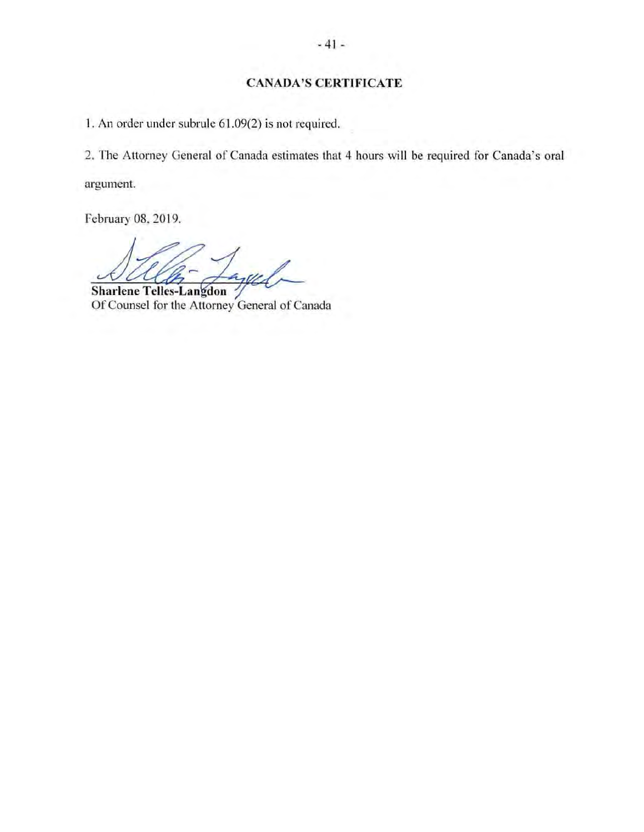# **CANADA'S CERTIFICATE**

1. An order under subrule 61.09(2) is not required.

2. The Attorney General of Canada estimates that 4 hours will be required for Canada's oral argument.

February 08, 2019.

Laged

**Sharlene Telles-Langdon** Of Counsel for the Attorney General of Canada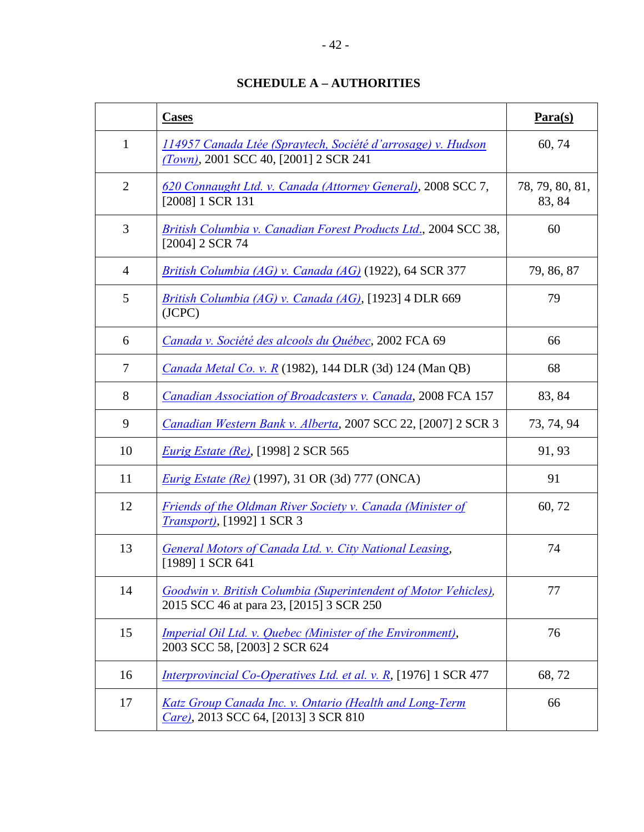# **SCHEDULE A – AUTHORITIES**

<span id="page-48-0"></span>

|                | <b>Cases</b>                                                                                                     | $Para(s)$                 |
|----------------|------------------------------------------------------------------------------------------------------------------|---------------------------|
| $\mathbf{1}$   | 114957 Canada Ltée (Spraytech, Société d'arrosage) v. Hudson<br>(Town), 2001 SCC 40, [2001] 2 SCR 241            | 60, 74                    |
| $\overline{2}$ | 620 Connaught Ltd. v. Canada (Attorney General), 2008 SCC 7,<br>[2008] 1 SCR 131                                 | 78, 79, 80, 81,<br>83, 84 |
| 3              | British Columbia v. Canadian Forest Products Ltd., 2004 SCC 38,<br>[2004] 2 SCR 74                               | 60                        |
| $\overline{4}$ | <i>British Columbia (AG) v. Canada (AG)</i> (1922), 64 SCR 377                                                   | 79, 86, 87                |
| 5              | <i>British Columbia (AG) v. Canada (AG)</i> , [1923] 4 DLR 669<br>(JCPC)                                         | 79                        |
| 6              | Canada v. Société des alcools du Québec, 2002 FCA 69                                                             | 66                        |
| $\overline{7}$ | <i>Canada Metal Co. v. R</i> (1982), 144 DLR (3d) 124 (Man QB)                                                   | 68                        |
| 8              | Canadian Association of Broadcasters v. Canada, 2008 FCA 157                                                     | 83, 84                    |
| 9              | Canadian Western Bank v. Alberta, 2007 SCC 22, [2007] 2 SCR 3                                                    | 73, 74, 94                |
| 10             | <i>Eurig Estate (Re)</i> , [1998] 2 SCR 565                                                                      | 91, 93                    |
| 11             | <i>Eurig Estate (Re)</i> (1997), 31 OR (3d) 777 (ONCA)                                                           | 91                        |
| 12             | <b>Friends of the Oldman River Society v. Canada (Minister of</b><br>Transport), [1992] 1 SCR 3                  | 60, 72                    |
| 13             | General Motors of Canada Ltd. v. City National Leasing,<br>[1989] 1 SCR 641                                      | 74                        |
| 14             | Goodwin v. British Columbia (Superintendent of Motor Vehicles),<br>2015 SCC 46 at para 23, [2015] 3 SCR 250      | 77                        |
| 15             | <i><u><b>Imperial Oil Ltd. v. Quebec (Minister of the Environment),</b></u></i><br>2003 SCC 58, [2003] 2 SCR 624 | 76                        |
| 16             | <i>Interprovincial Co-Operatives Ltd. et al. v. R</i> , [1976] 1 SCR 477                                         | 68,72                     |
| 17             | Katz Group Canada Inc. v. Ontario (Health and Long-Term<br>Care), 2013 SCC 64, [2013] 3 SCR 810                  | 66                        |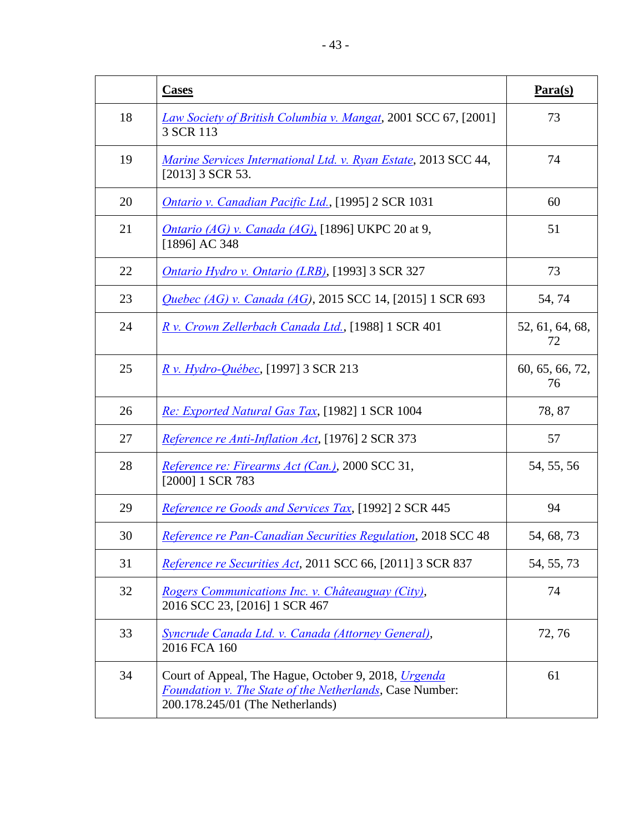|    | <b>Cases</b>                                                                                                                                                       | $Para(s)$             |
|----|--------------------------------------------------------------------------------------------------------------------------------------------------------------------|-----------------------|
| 18 | Law Society of British Columbia v. Mangat, 2001 SCC 67, [2001]<br>3 SCR 113                                                                                        | 73                    |
| 19 | Marine Services International Ltd. v. Ryan Estate, 2013 SCC 44,<br>[2013] 3 SCR 53.                                                                                | 74                    |
| 20 | <b>Ontario v. Canadian Pacific Ltd., [1995] 2 SCR 1031</b>                                                                                                         | 60                    |
| 21 | <i>Ontario (AG) v. Canada (AG)</i> , [1896] UKPC 20 at 9,<br>[1896] AC 348                                                                                         | 51                    |
| 22 | <i>Ontario Hydro v. Ontario (LRB)</i> , [1993] 3 SCR 327                                                                                                           | 73                    |
| 23 | Quebec (AG) v. Canada (AG), 2015 SCC 14, [2015] 1 SCR 693                                                                                                          | 54, 74                |
| 24 | R v. Crown Zellerbach Canada Ltd., [1988] 1 SCR 401                                                                                                                | 52, 61, 64, 68,<br>72 |
| 25 | <u>R v. Hydro-Québec</u> , [1997] 3 SCR 213                                                                                                                        | 60, 65, 66, 72,<br>76 |
| 26 | Re: Exported Natural Gas Tax, [1982] 1 SCR 1004                                                                                                                    | 78, 87                |
| 27 | Reference re Anti-Inflation Act, [1976] 2 SCR 373                                                                                                                  | 57                    |
| 28 | Reference re: Firearms Act (Can.), 2000 SCC 31,<br>[2000] 1 SCR 783                                                                                                | 54, 55, 56            |
| 29 | Reference re Goods and Services Tax, [1992] 2 SCR 445                                                                                                              | 94                    |
| 30 | Reference re Pan-Canadian Securities Regulation, 2018 SCC 48                                                                                                       | 54, 68, 73            |
| 31 | Reference re Securities Act, 2011 SCC 66, [2011] 3 SCR 837                                                                                                         | 54, 55, 73            |
| 32 | Rogers Communications Inc. v. Châteauguay (City),<br>2016 SCC 23, [2016] 1 SCR 467                                                                                 | 74                    |
| 33 | Syncrude Canada Ltd. v. Canada (Attorney General),<br>2016 FCA 160                                                                                                 | 72, 76                |
| 34 | Court of Appeal, The Hague, October 9, 2018, <i>Urgenda</i><br><b>Foundation v. The State of the Netherlands, Case Number:</b><br>200.178.245/01 (The Netherlands) | 61                    |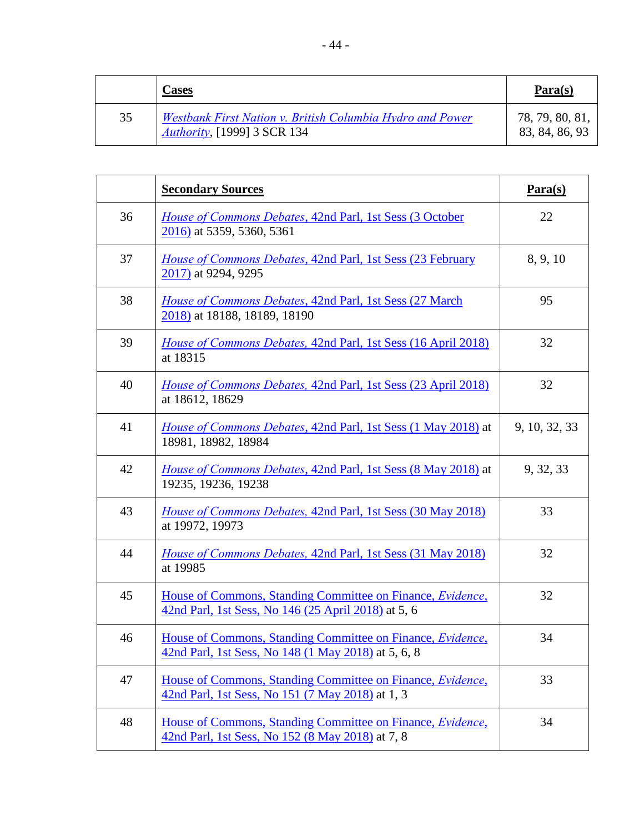|    | <u>Cases</u>                                                                                     | $\mathbf{Para}(\mathbf{s})$       |
|----|--------------------------------------------------------------------------------------------------|-----------------------------------|
| 35 | Westbank First Nation v. British Columbia Hydro and Power<br><i>Authority</i> , [1999] 3 SCR 134 | 78, 79, 80, 81,<br>83, 84, 86, 93 |

|    | <b>Secondary Sources</b>                                                                                          | $Para(s)$     |
|----|-------------------------------------------------------------------------------------------------------------------|---------------|
| 36 | House of Commons Debates, 42nd Parl, 1st Sess (3 October<br>2016) at 5359, 5360, 5361                             | 22            |
| 37 | <i>House of Commons Debates, 42nd Parl, 1st Sess (23 February</i><br>2017) at 9294, 9295                          | 8, 9, 10      |
| 38 | House of Commons Debates, 42nd Parl, 1st Sess (27 March<br>2018) at 18188, 18189, 18190                           | 95            |
| 39 | <i>House of Commons Debates, 42nd Parl, 1st Sess (16 April 2018)</i><br>at 18315                                  | 32            |
| 40 | <i>House of Commons Debates, 42nd Parl, 1st Sess (23 April 2018)</i><br>at 18612, 18629                           | 32            |
| 41 | <i>House of Commons Debates, 42nd Parl, 1st Sess (1 May 2018) at</i><br>18981, 18982, 18984                       | 9, 10, 32, 33 |
| 42 | <i>House of Commons Debates, 42nd Parl, 1st Sess (8 May 2018) at</i><br>19235, 19236, 19238                       | 9, 32, 33     |
| 43 | <i>House of Commons Debates, 42nd Parl, 1st Sess (30 May 2018)</i><br>at 19972, 19973                             | 33            |
| 44 | <i>House of Commons Debates, 42nd Parl, 1st Sess (31 May 2018)</i><br>at 19985                                    | 32            |
| 45 | House of Commons, Standing Committee on Finance, Evidence,<br>42nd Parl, 1st Sess, No 146 (25 April 2018) at 5, 6 | 32            |
| 46 | House of Commons, Standing Committee on Finance, Evidence,<br>42nd Parl, 1st Sess, No 148 (1 May 2018) at 5, 6, 8 | 34            |
| 47 | House of Commons, Standing Committee on Finance, Evidence,<br>42nd Parl, 1st Sess, No 151 (7 May 2018) at 1, 3    | 33            |
| 48 | House of Commons, Standing Committee on Finance, Evidence,<br>42nd Parl, 1st Sess, No 152 (8 May 2018) at 7, 8    | 34            |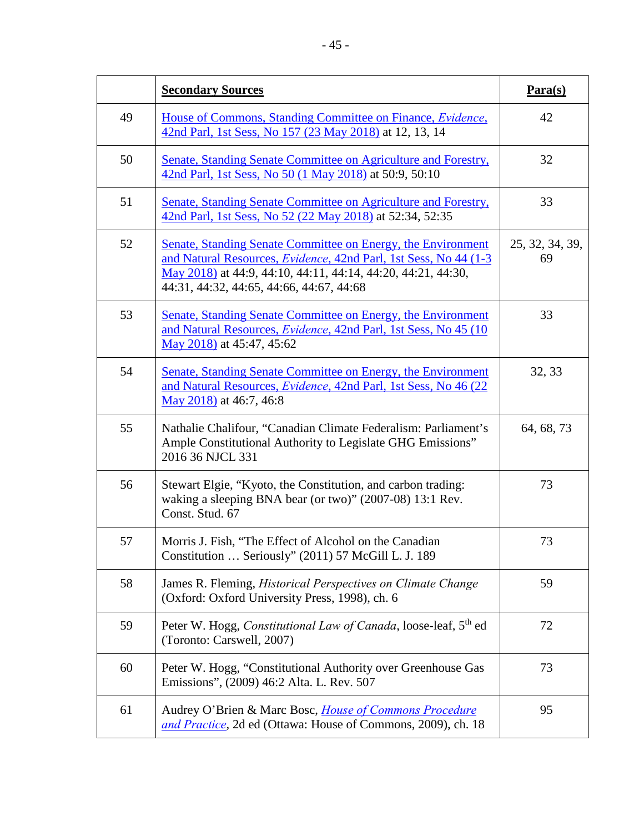|    | <b>Secondary Sources</b>                                                                                                                                                                                                                      | $Para(s)$             |
|----|-----------------------------------------------------------------------------------------------------------------------------------------------------------------------------------------------------------------------------------------------|-----------------------|
| 49 | House of Commons, Standing Committee on Finance, Evidence,<br>42nd Parl, 1st Sess, No 157 (23 May 2018) at 12, 13, 14                                                                                                                         | 42                    |
| 50 | Senate, Standing Senate Committee on Agriculture and Forestry,<br>42nd Parl, 1st Sess, No 50 (1 May 2018) at 50:9, 50:10                                                                                                                      | 32                    |
| 51 | Senate, Standing Senate Committee on Agriculture and Forestry,<br>42nd Parl, 1st Sess, No 52 (22 May 2018) at 52:34, 52:35                                                                                                                    | 33                    |
| 52 | Senate, Standing Senate Committee on Energy, the Environment<br>and Natural Resources, Evidence, 42nd Parl, 1st Sess, No 44 (1-3)<br>May 2018) at 44:9, 44:10, 44:11, 44:14, 44:20, 44:21, 44:30,<br>44:31, 44:32, 44:65, 44:66, 44:67, 44:68 | 25, 32, 34, 39,<br>69 |
| 53 | Senate, Standing Senate Committee on Energy, the Environment<br>and Natural Resources, <i>Evidence</i> , 42nd Parl, 1st Sess, No 45 (10)<br>May 2018) at 45:47, 45:62                                                                         | 33                    |
| 54 | Senate, Standing Senate Committee on Energy, the Environment<br>and Natural Resources, Evidence, 42nd Parl, 1st Sess, No 46 (22)<br>May 2018) at 46:7, 46:8                                                                                   | 32, 33                |
| 55 | Nathalie Chalifour, "Canadian Climate Federalism: Parliament's<br>Ample Constitutional Authority to Legislate GHG Emissions"<br>2016 36 NJCL 331                                                                                              | 64, 68, 73            |
| 56 | Stewart Elgie, "Kyoto, the Constitution, and carbon trading:<br>waking a sleeping BNA bear (or two)" (2007-08) 13:1 Rev.<br>Const. Stud. 67                                                                                                   | 73                    |
| 57 | Morris J. Fish, "The Effect of Alcohol on the Canadian<br>Constitution  Seriously" (2011) 57 McGill L. J. 189                                                                                                                                 | 73                    |
| 58 | James R. Fleming, <i>Historical Perspectives on Climate Change</i><br>(Oxford: Oxford University Press, 1998), ch. 6                                                                                                                          | 59                    |
| 59 | Peter W. Hogg, Constitutional Law of Canada, loose-leaf, 5th ed<br>(Toronto: Carswell, 2007)                                                                                                                                                  | 72                    |
| 60 | Peter W. Hogg, "Constitutional Authority over Greenhouse Gas<br>Emissions", (2009) 46:2 Alta. L. Rev. 507                                                                                                                                     | 73                    |
| 61 | Audrey O'Brien & Marc Bosc, <i>House of Commons Procedure</i><br>and Practice, 2d ed (Ottawa: House of Commons, 2009), ch. 18                                                                                                                 | 95                    |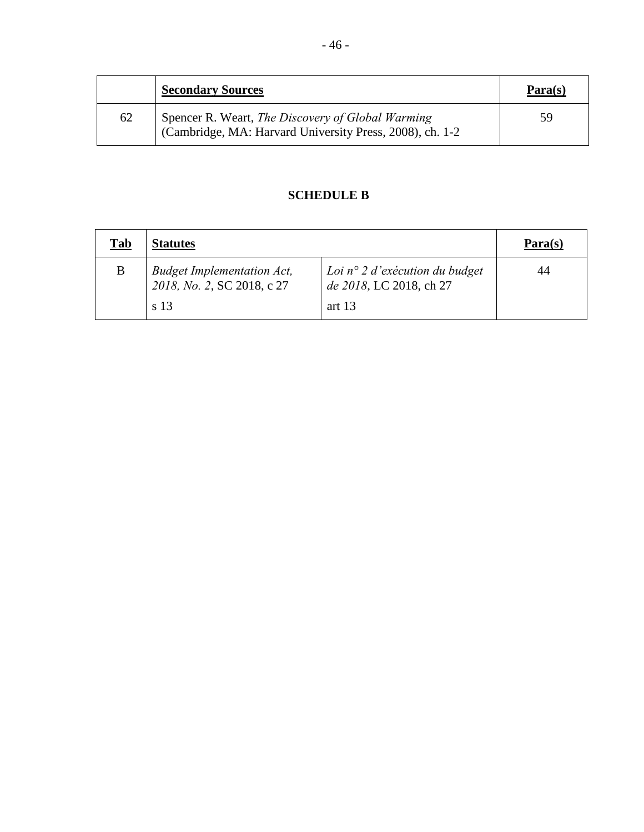|    | <b>Secondary Sources</b>                                                                                      | $Para(s)$ |
|----|---------------------------------------------------------------------------------------------------------------|-----------|
| 62 | Spencer R. Weart, The Discovery of Global Warming<br>(Cambridge, MA: Harvard University Press, 2008), ch. 1-2 | 59        |

# **SCHEDULE B**

<span id="page-52-0"></span>

| <u>Tab</u> | <b>Statutes</b>                                                         |                                                                                | $\mathbf{Para}(\mathbf{s})$ |
|------------|-------------------------------------------------------------------------|--------------------------------------------------------------------------------|-----------------------------|
| B          | <b>Budget Implementation Act,</b><br>2018, No. 2, SC 2018, c 27<br>s 13 | Loi $n^{\circ}$ 2 d'exécution du budget<br>de 2018, LC 2018, ch 27<br>art $13$ | 44                          |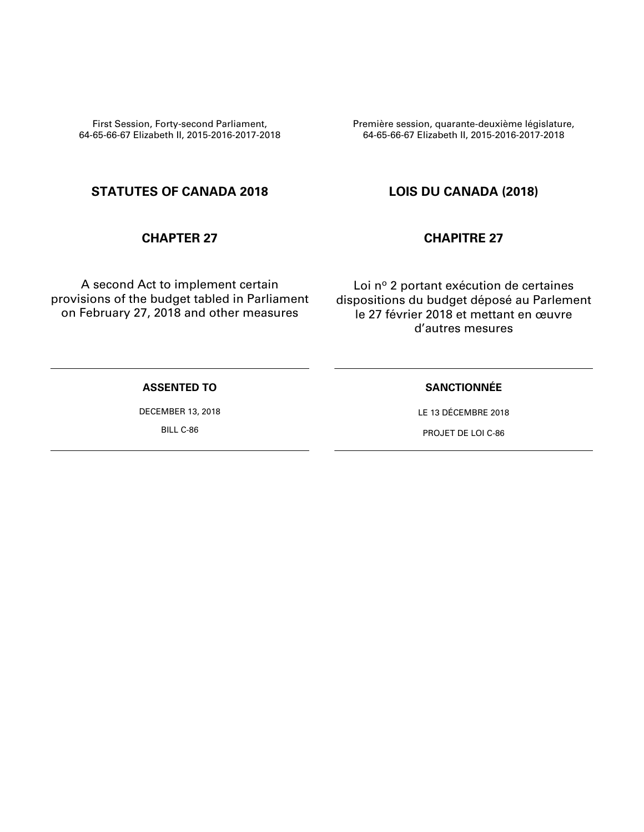First Session, Forty-second Parliament, 64-65-66-67 Elizabeth II, 2015-2016-2017-2018 Première session, quarante-deuxième législature, 64-65-66-67 Elizabeth II, 2015-2016-2017-2018

# **STATUTES OF CANADA 2018 LOIS DU CANADA (2018)**

A second Act to implement certain provisions of the budget tabled in Parliament on February 27, 2018 and other measures

## **CHAPTER 27 CHAPITRE 27**

Loi nº 2 portant exécution de certaines dispositions du budget déposé au Parlement le 27 février 2018 et mettant en œuvre d'autres mesures

## **ASSENTED TO**

DECEMBER 13, 2018

BILL C-86

### **SANCTIONNÉE**

LE 13 DÉCEMBRE 2018

PROJET DE LOI C-86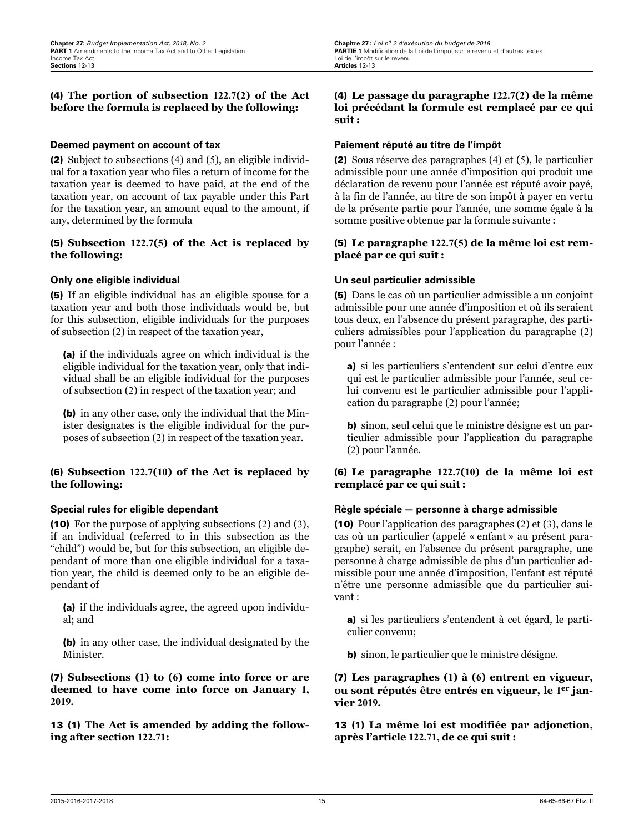#### (4) **The portion of subsection 122.7(2) of the Act before the formula is replaced by the following:**

#### **Deemed payment on account of tax**

(2) Subject to subsections (4) and (5), an eligible individual for a taxation year who files a return of income for the taxation year is deemed to have paid, at the end of the taxation year, on account of tax payable under this Part for the taxation year, an amount equal to the amount, if any, determined by the formula

#### (5) **Subsection 122.7(5) of the Act is replaced by the following:**

#### **Only one eligible individual**

(5) If an eligible individual has an eligible spouse for a taxation year and both those individuals would be, but for this subsection, eligible individuals for the purposes of subsection (2) in respect of the taxation year,

(a) if the individuals agree on which individual is the eligible individual for the taxation year, only that individual shall be an eligible individual for the purposes of subsection (2) in respect of the taxation year; and

(b) in any other case, only the individual that the Minister designates is the eligible individual for the purposes of subsection (2) in respect of the taxation year.

#### (6) **Subsection 122.7(10) of the Act is replaced by the following:**

#### **Special rules for eligible dependant**

(10) For the purpose of applying subsections (2) and (3), if an individual (referred to in this subsection as the "child") would be, but for this subsection, an eligible dependant of more than one eligible individual for a taxation year, the child is deemed only to be an eligible dependant of

(a) if the individuals agree, the agreed upon individual; and

(b) in any other case, the individual designated by the Minister.

(7) **Subsections (1) to (6) come into force or are deemed to have come into force on January 1, 2019.**

13 (1) **The Act is amended by adding the following after section 122.71:**

#### (4) **Le passage du paragraphe 122.7(2) de la même loi précédant la formule est remplacé par ce qui suit :**

#### **Paiement réputé au titre de l'impôt**

(2) Sous réserve des paragraphes (4) et (5), le particulier admissible pour une année d'imposition qui produit une déclaration de revenu pour l'année est réputé avoir payé, à la fin de l'année, au titre de son impôt à payer en vertu de la présente partie pour l'année, une somme égale à la somme positive obtenue par la formule suivante :

#### (5) **Le paragraphe 122.7(5) de la même loi est remplacé par ce qui suit:**

#### **Un seul particulier admissible**

(5) Dans le cas où un particulier admissible a un conjoint admissible pour une année d'imposition et où ils seraient tous deux, en l'absence du présent paragraphe, des particuliers admissibles pour l'application du paragraphe (2) pour l'année :

a) si les particuliers s'entendent sur celui d'entre eux qui est le particulier admissible pour l'année, seul celui convenu est le particulier admissible pour l'application du paragraphe (2) pour l'année;

b) sinon, seul celui que le ministre désigne est un particulier admissible pour l'application du paragraphe (2) pour l'année.

#### (6) **Le paragraphe 122.7(10) de la même loi est remplacé par ce qui suit:**

#### **Règle spéciale — personne à charge admissible**

(10) Pour l'application des paragraphes (2) et (3), dans le cas où un particulier (appelé « enfant » au présent paragraphe) serait, en l'absence du présent paragraphe, une personne à charge admissible de plus d'un particulier admissible pour une année d'imposition, l'enfant est réputé n'être une personne admissible que du particulier suivant :

a) si les particuliers s'entendent à cet égard, le particulier convenu;

b) sinon, le particulier que le ministre désigne.

(7) **Les paragraphes (1) à (6) entrent en vigueur, ou sont réputés être entrés en vigueur, le 1 er janvier 2019.**

13 (1) **La même loi est modifiée par adjonction, après l'article 122.71, de ce qui suit:**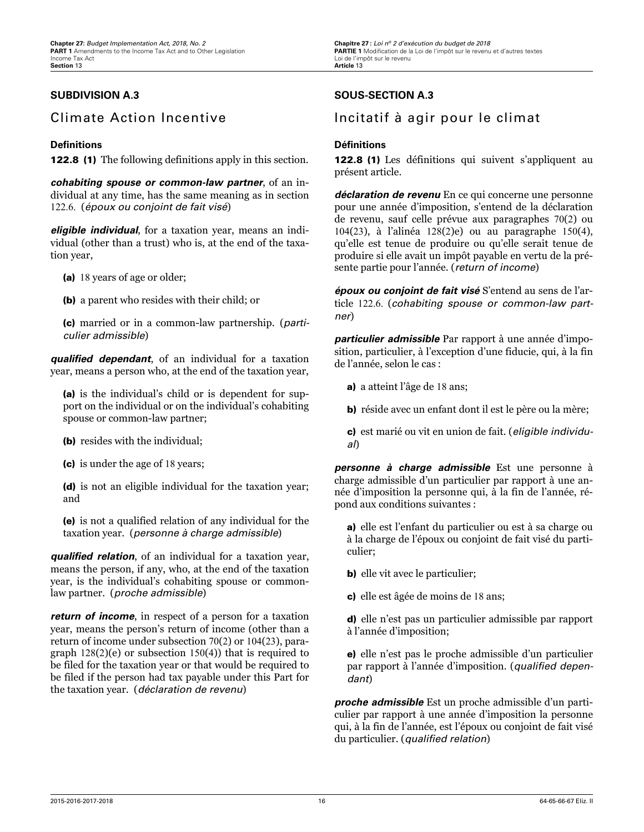## **SUBDIVISION A.3**

# Climate Action Incentive

#### **Definitions**

122.8 (1) The following definitions apply in this section.

*cohabiting spouse or common-law partner*, of an individual at any time, has the same meaning as in section 122.6. (*époux ou conjoint de fait visé*)

*eligible individual*, for a taxation year, means an individual (other than a trust) who is, at the end of the taxation year,

- (a) 18 years of age or older;
- (b) a parent who resides with their child; or

(c) married or in a common-law partnership. (*particulier admissible*)

**qualified dependant**, of an individual for a taxation year, means a person who, at the end of the taxation year,

(a) is the individual's child or is dependent for support on the individual or on the individual's cohabiting spouse or common-law partner;

- (b) resides with the individual;
- (c) is under the age of 18 years;

(d) is not an eligible individual for the taxation year; and

(e) is not a qualified relation of any individual for the taxation year. (*personne à charge admissible*)

*qualified relation*, of an individual for a taxation year, means the person, if any, who, at the end of the taxation year, is the individual's cohabiting spouse or commonlaw partner. (*proche admissible*)

*return of income*, in respect of a person for a taxation year, means the person's return of income (other than a return of income under subsection 70(2) or 104(23), paragraph  $128(2)(e)$  or subsection  $150(4)$ ) that is required to be filed for the taxation year or that would be required to be filed if the person had tax payable under this Part for the taxation year. (*déclaration de revenu*)

## **SOUS-SECTION A.3**

# Incitatif à agir pour le climat

#### **Définitions**

122.8 (1) Les définitions qui suivent s'appliquent au présent article.

*déclaration de revenu* En ce qui concerne une personne pour une année d'imposition, s'entend de la déclaration de revenu, sauf celle prévue aux paragraphes 70(2) ou 104(23), à l'alinéa 128(2)e) ou au paragraphe 150(4), qu'elle est tenue de produire ou qu'elle serait tenue de produire si elle avait un impôt payable en vertu de la présente partie pour l'année. (*return of income*)

*époux ou conjoint de fait visé* S'entend au sens de l'article 122.6. (*cohabiting spouse or common-law partner*)

*particulier admissible* Par rapport à une année d'imposition, particulier, à l'exception d'une fiducie, qui, à la fin de l'année, selon le cas :

- a) a atteint l'âge de 18 ans;
- b) réside avec un enfant dont il est le père ou la mère;
- c) est marié ou vit en union de fait. (*eligible individual*)

*personne à charge admissible* Est une personne à charge admissible d'un particulier par rapport à une année d'imposition la personne qui, à la fin de l'année, répond aux conditions suivantes :

a) elle est l'enfant du particulier ou est à sa charge ou à la charge de l'époux ou conjoint de fait visé du particulier;

- b) elle vit avec le particulier;
- c) elle est âgée de moins de 18 ans;

d) elle n'est pas un particulier admissible par rapport à l'année d'imposition;

e) elle n'est pas le proche admissible d'un particulier par rapport à l'année d'imposition. (*qualified dependant*)

*proche admissible* Est un proche admissible d'un particulier par rapport à une année d'imposition la personne qui, à la fin de l'année, est l'époux ou conjoint de fait visé du particulier. (*qualified relation*)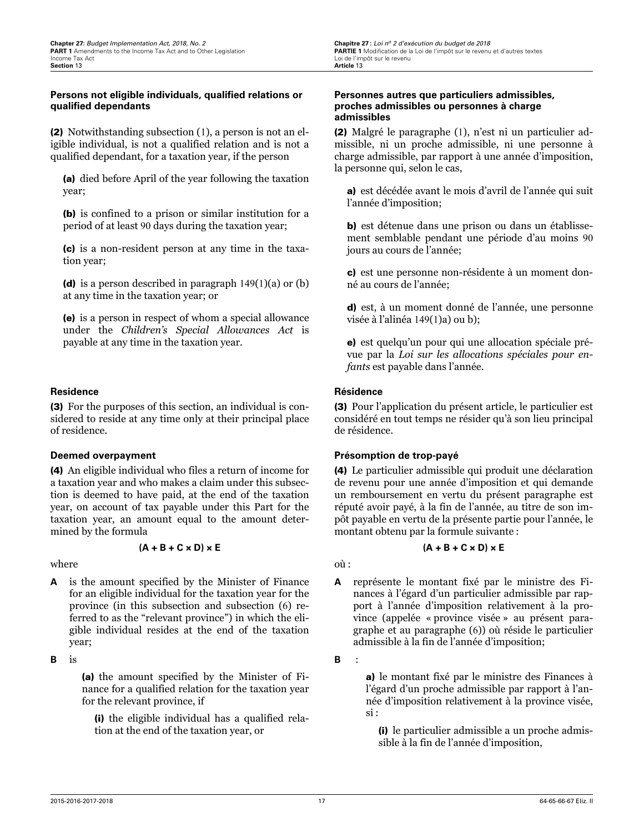#### Persons not eligible individuals, qualified relations or **qualied dependants**

(2) Notwithstanding subsection (1), a person is not an eligible individual, is not a qualified relation and is not a qualified dependant, for a taxation year, if the person

(a) died before April of the year following the taxation year;

(b) is confined to a prison or similar institution for a period of at least 90 days during the taxation year;

(c) is a non-resident person at any time in the taxation year;

(d) is a person described in paragraph 149(1)(a) or (b) at any time in the taxation year; or

(e) is a person in respect of whom a special allowance under the *Children's Special Allowances Act* is payable at any time in the taxation year.

#### **Residence**

(3) For the purposes of this section, an individual is considered to reside at any time only at their principal place of residence.

#### **Deemed overpayment**

(4) An eligible individual who files a return of income for a taxation year and who makes a claim under this subsection is deemed to have paid, at the end of the taxation year, on account of tax payable under this Part for the taxation year, an amount equal to the amount determined by the formula

#### **(A + B + C × D) × E**

where

**A** is the amount specified by the Minister of Finance for an eligible individual for the taxation year for the province (in this subsection and subsection (6) referred to as the "relevant province") in which the eligible individual resides at the end of the taxation year;

**B** is

(a) the amount specified by the Minister of Finance for a qualified relation for the taxation year for the relevant province, if

(i) the eligible individual has a qualified relation at the end of the taxation year, or

#### **Personnes autres que particuliers admissibles, proches admissibles ou personnes à charge admissibles**

(2) Malgré le paragraphe (1), n'est ni un particulier admissible, ni un proche admissible, ni une personne à charge admissible, par rapport à une année d'imposition, la personne qui, selon le cas,

a) est décédée avant le mois d'avril de l'année qui suit l'année d'imposition;

b) est détenue dans une prison ou dans un établissement semblable pendant une période d'au moins 90 jours au cours de l'année;

c) est une personne non-résidente à un moment donné au cours de l'année;

d) est, à un moment donné de l'année, une personne visée à l'alinéa 149(1)a) ou b);

e) est quelqu'un pour qui une allocation spéciale prévue par la *Loi sur les allocations spéciales pour enfants* est payable dans l'année.

#### **Résidence**

(3) Pour l'application du présent article, le particulier est considéré en tout temps ne résider qu'à son lieu principal de résidence.

#### **Présomption de trop-payé**

(4) Le particulier admissible qui produit une déclaration de revenu pour une année d'imposition et qui demande un remboursement en vertu du présent paragraphe est réputé avoir payé, à la fin de l'année, au titre de son impôt payable en vertu de la présente partie pour l'année, le montant obtenu par la formule suivante :

#### **(A + B + C × D) × E**

où :

**A** représente le montant fixé par le ministre des Finances à l'égard d'un particulier admissible par rapport à l'année d'imposition relativement à la province (appelée « province visée » au présent paragraphe et au paragraphe (6)) où réside le particulier admissible à la fin de l'année d'imposition;

**B** :

a) le montant fixé par le ministre des Finances à l'égard d'un proche admissible par rapport à l'année d'imposition relativement à la province visée, si :

(i) le particulier admissible a un proche admissible à la fin de l'année d'imposition,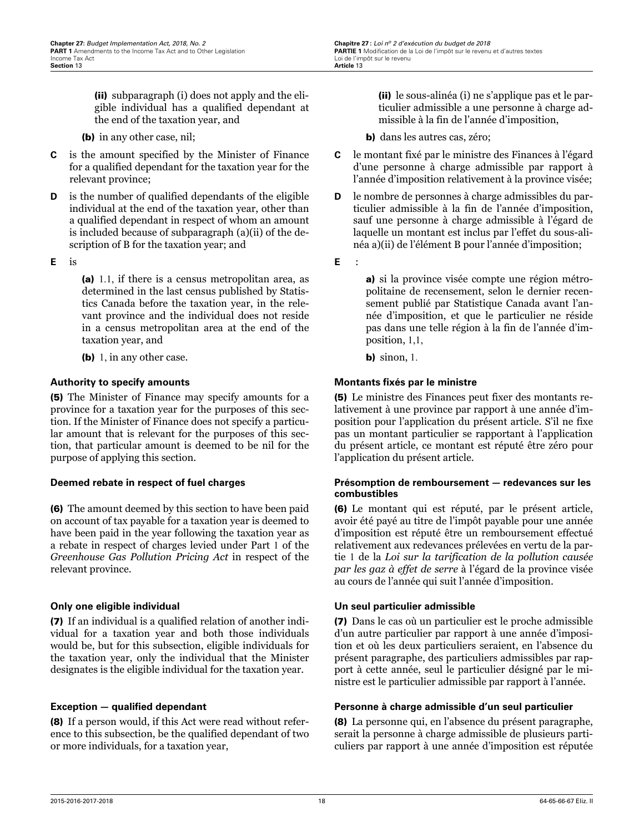(ii) subparagraph (i) does not apply and the eligible individual has a qualified dependant at the end of the taxation year, and

(b) in any other case, nil;

- **C** is the amount specified by the Minister of Finance for a qualified dependant for the taxation year for the relevant province;
- **D** is the number of qualified dependants of the eligible individual at the end of the taxation year, other than a qualified dependant in respect of whom an amount is included because of subparagraph (a)(ii) of the description of B for the taxation year; and
- **E** is

(a) 1.1, if there is a census metropolitan area, as determined in the last census published by Statistics Canada before the taxation year, in the relevant province and the individual does not reside in a census metropolitan area at the end of the taxation year, and

(b) 1, in any other case.

#### **Authority to specify amounts**

(5) The Minister of Finance may specify amounts for a province for a taxation year for the purposes of this section. If the Minister of Finance does not specify a particular amount that is relevant for the purposes of this section, that particular amount is deemed to be nil for the purpose of applying this section.

#### **Deemed rebate in respect of fuel charges**

(6) The amount deemed by this section to have been paid on account of tax payable for a taxation year is deemed to have been paid in the year following the taxation year as a rebate in respect of charges levied under Part 1 of the *Greenhouse Gas Pollution Pricing Act* in respect of the relevant province.

#### **Only one eligible individual**

(7) If an individual is a qualified relation of another individual for a taxation year and both those individuals would be, but for this subsection, eligible individuals for the taxation year, only the individual that the Minister designates is the eligible individual for the taxation year.

#### **Exception – qualified dependant**

(8) If a person would, if this Act were read without reference to this subsection, be the qualified dependant of two or more individuals, for a taxation year,

(ii) le sous-alinéa (i) ne s'applique pas et le particulier admissible a une personne à charge admissible à la fin de l'année d'imposition,

b) dans les autres cas, zéro;

- **C** le montant fixé par le ministre des Finances à l'égard d'une personne à charge admissible par rapport à l'année d'imposition relativement à la province visée;
- **D** le nombre de personnes à charge admissibles du particulier admissible à la fin de l'année d'imposition, sauf une personne à charge admissible à l'égard de laquelle un montant est inclus par l'effet du sous-alinéa a)(ii) de l'élément B pour l'année d'imposition;
- **E** :

a) si la province visée compte une région métropolitaine de recensement, selon le dernier recensement publié par Statistique Canada avant l'année d'imposition, et que le particulier ne réside pas dans une telle région à la fin de l'année d'imposition, 1,1,

**b**) sinon, 1.

#### **Montants fixés par le ministre**

(5) Le ministre des Finances peut fixer des montants relativement à une province par rapport à une année d'imposition pour l'application du présent article. S'il ne fixe pas un montant particulier se rapportant à l'application du présent article, ce montant est réputé être zéro pour l'application du présent article.

#### **Présomption de remboursement — redevances sur les combustibles**

(6) Le montant qui est réputé, par le présent article, avoir été payé au titre de l'impôt payable pour une année d'imposition est réputé être un remboursement effectué relativement aux redevances prélevées en vertu de la partie 1 de la *Loi sur la tarification de la pollution causée par les gaz à effet de serre* à l'égard de la province visée au cours de l'année qui suit l'année d'imposition.

#### **Un seul particulier admissible**

(7) Dans le cas où un particulier est le proche admissible d'un autre particulier par rapport à une année d'imposition et où les deux particuliers seraient, en l'absence du présent paragraphe, des particuliers admissibles par rapport à cette année, seul le particulier désigné par le ministre est le particulier admissible par rapport à l'année.

#### **Personne à charge admissible d'un seul particulier**

(8) La personne qui, en l'absence du présent paragraphe, serait la personne à charge admissible de plusieurs particuliers par rapport à une année d'imposition est réputée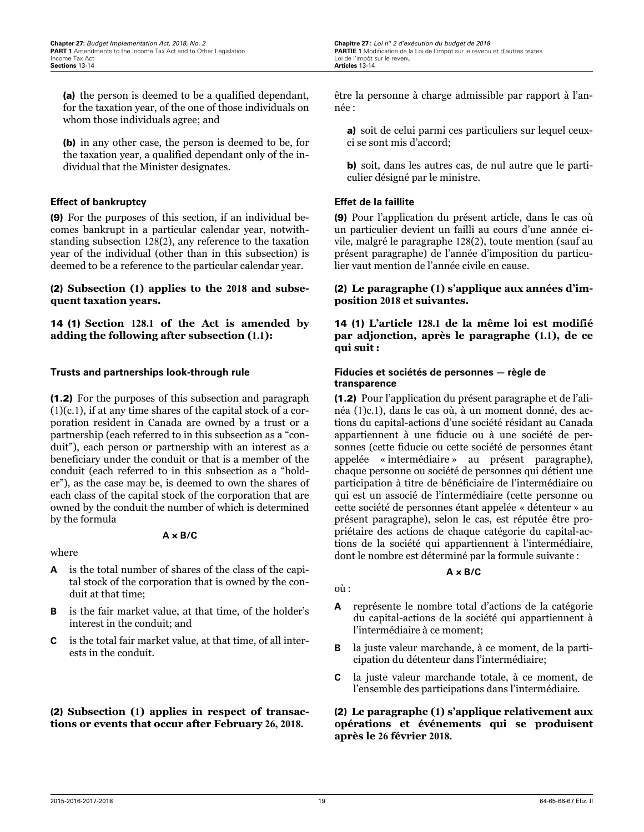(a) the person is deemed to be a qualified dependant, for the taxation year, of the one of those individuals on whom those individuals agree; and

(b) in any other case, the person is deemed to be, for the taxation year, a qualified dependant only of the individual that the Minister designates.

#### **Effect of bankruptcy**

(9) For the purposes of this section, if an individual becomes bankrupt in a particular calendar year, notwithstanding subsection 128(2), any reference to the taxation year of the individual (other than in this subsection) is deemed to be a reference to the particular calendar year.

#### (2) **Subsection (1) applies to the 2018 and subsequent taxation years.**

14 (1) **Section 128.1 of the Act is amended by adding the following after subsection (1.1):**

#### **Trusts and partnerships look-through rule**

(1.2) For the purposes of this subsection and paragraph  $(1)(c.1)$ , if at any time shares of the capital stock of a corporation resident in Canada are owned by a trust or a partnership (each referred to in this subsection as a "conduit"), each person or partnership with an interest as a beneficiary under the conduit or that is a member of the conduit (each referred to in this subsection as a "holder"), as the case may be, is deemed to own the shares of each class of the capital stock of the corporation that are owned by the conduit the number of which is determined by the formula

#### **A × B/C**

where

- **A** is the total number of shares of the class of the capital stock of the corporation that is owned by the conduit at that time;
- **B** is the fair market value, at that time, of the holder's interest in the conduit; and
- **C** is the total fair market value, at that time, of all interests in the conduit.

(2) **Subsection (1) applies in respect of transactions or events that occur after February 26, 2018.**

être la personne à charge admissible par rapport à l'année :

- a) soit de celui parmi ces particuliers sur lequel ceuxci se sont mis d'accord;
- b) soit, dans les autres cas, de nul autre que le particulier désigné par le ministre.

#### **Effet de la faillite**

(9) Pour l'application du présent article, dans le cas où un particulier devient un failli au cours d'une année civile, malgré le paragraphe 128(2), toute mention (sauf au présent paragraphe) de l'année d'imposition du particulier vaut mention de l'année civile en cause.

#### (2) **Le paragraphe (1) s'applique aux années d'imposition 2018 et suivantes.**

14 (1) **L'article 128.1 de la même loi est modifié par adjonction, après le paragraphe (1.1), de ce qui suit :**

#### **Fiducies et sociétés de personnes — règle de transparence**

(1.2) Pour l'application du présent paragraphe et de l'alinéa (1)c.1), dans le cas où, à un moment donné, des actions du capital-actions d'une société résidant au Canada appartiennent à une fiducie ou à une société de personnes (cette fiducie ou cette société de personnes étant appelée « intermédiaire » au présent paragraphe), chaque personne ou société de personnes qui détient une participation à titre de bénéficiaire de l'intermédiaire ou qui est un associé de l'intermédiaire (cette personne ou cette société de personnes étant appelée « détenteur » au présent paragraphe), selon le cas, est réputée être propriétaire des actions de chaque catégorie du capital-actions de la société qui appartiennent à l'intermédiaire, dont le nombre est déterminé par la formule suivante :

#### **A × B/C**

- où :
- **A** représente le nombre total d'actions de la catégorie du capital-actions de la société qui appartiennent à l'intermédiaire à ce moment;
- **B** la juste valeur marchande, à ce moment, de la participation du détenteur dans l'intermédiaire;
- **C** la juste valeur marchande totale, à ce moment, de l'ensemble des participations dans l'intermédiaire.

#### (2) **Le paragraphe (1) s'applique relativement aux opérations et événements qui se produisent après le 26 février 2018.**